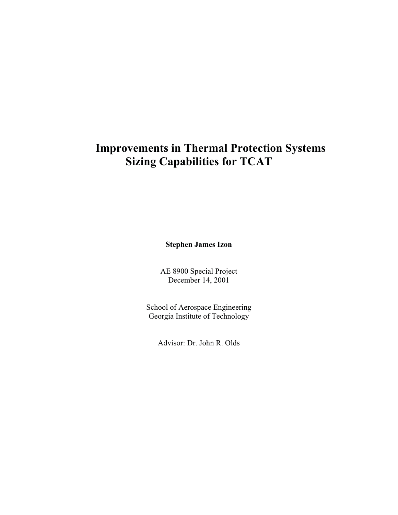# Improvement Sizing Canabilities for TCAT  $S = \frac{1}{2}$  capabilities for  $S = \frac{1}{2}$

Stephen James Izon

AE 8900 Special Project December 14, 2001

School of Aerospace Engineering Georgia Institute of Technology

Advisor: Dr. John R. Olds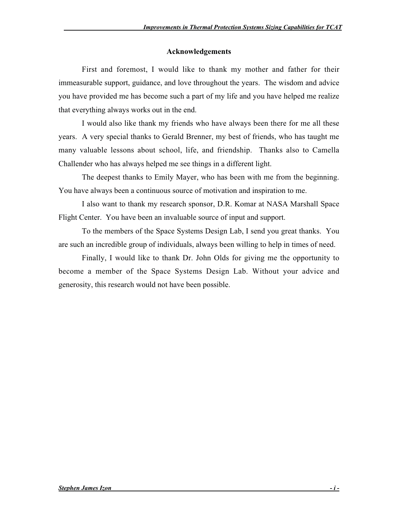# Acknowledgements

First and foremost, I would like to thank my mother and father for their immeasurable support, guidance, and love throughout the years. The wisdom and advice you have provided me has become such a part of my life and you have helped me realize that everything always works out in the end.

I would also like thank my friends who have always been there for me all these years. A very special thanks to Gerald Brenner, my best of friends, who has taught me many valuable lessons about school, life, and friendship. Thanks also to Camella Challender who has always helped me see things in a different light.

The deepest thanks to Emily Mayer, who has been with me from the beginning. You have always been a continuous source of motivation and inspiration to me.

I also want to thank my research sponsor, D.R. Komar at NASA Marshall Space Flight Center. You have been an invaluable source of input and support.

To the members of the Space Systems Design Lab, I send you great thanks. You are such an incredible group of individuals, always been willing to help in times of need.

Finally, I would like to thank Dr. John Olds for giving me the opportunity to become a member of the Space Systems Design Lab. Without your advice and generosity, this research would not have been possible.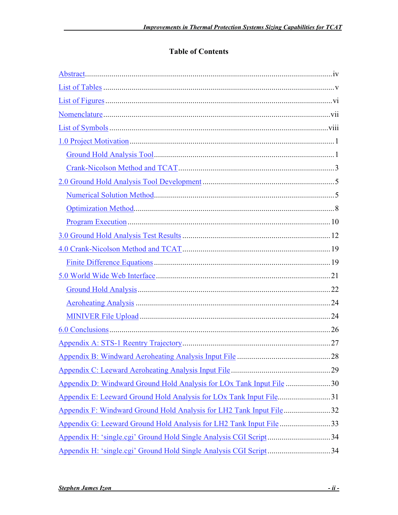# Table of Contents

| Appendix D: Windward Ground Hold Analysis for LOx Tank Input File 30 |  |
|----------------------------------------------------------------------|--|
| Appendix E: Leeward Ground Hold Analysis for LOx Tank Input File31   |  |
| Appendix F: Windward Ground Hold Analysis for LH2 Tank Input File32  |  |
| Appendix G: Leeward Ground Hold Analysis for LH2 Tank Input File33   |  |
| Appendix H: 'single.cgi' Ground Hold Single Analysis CGI Script34    |  |
| Appendix H: 'single.cgi' Ground Hold Single Analysis CGI Script34    |  |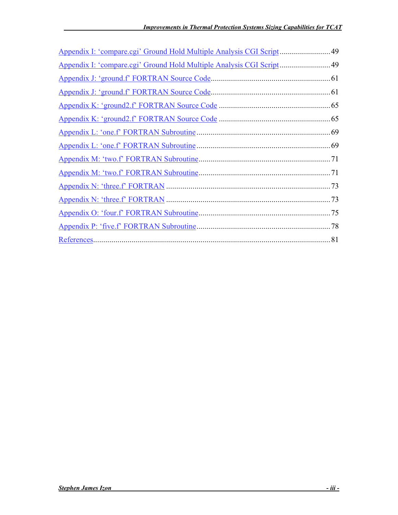| Appendix I: 'compare.cgi' Ground Hold Multiple Analysis CGI Script 49 |  |
|-----------------------------------------------------------------------|--|
| Appendix I: 'compare.cgi' Ground Hold Multiple Analysis CGI Script 49 |  |
|                                                                       |  |
|                                                                       |  |
|                                                                       |  |
|                                                                       |  |
|                                                                       |  |
|                                                                       |  |
|                                                                       |  |
|                                                                       |  |
|                                                                       |  |
|                                                                       |  |
|                                                                       |  |
|                                                                       |  |
|                                                                       |  |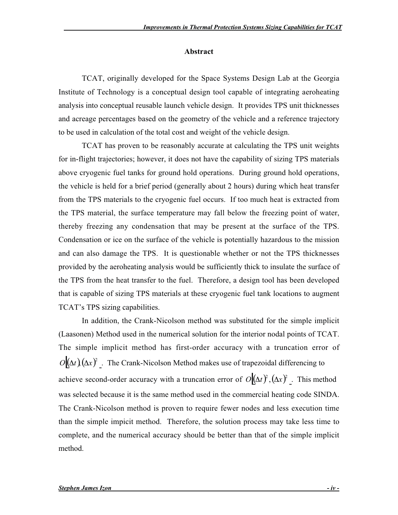#### Abstract

TCAT, originally developed for the Space Systems Design Lab at the Georgia Institute of Technology is a conceptual design tool capable of integrating aeroheating analysis into conceptual reusable launch vehicle design. It provides TPS unit thicknesses and acreage percentages based on the geometry of the vehicle and a reference trajectory to be used in calculation of the total cost and weight of the vehicle design.

TCAT has proven to be reasonably accurate at calculating the TPS unit weights for in-flight trajectories; however, it does not have the capability of sizing TPS materials above cryogenic fuel tanks for ground hold operations. During ground hold operations, the vehicle is held for a brief period (generally about 2 hours) during which heat transfer from the TPS materials to the cryogenic fuel occurs. If too much heat is extracted from the TPS material, the surface temperature may fall below the freezing point of water, thereby freezing any condensation that may be present at the surface of the TPS. Condensation or ice on the surface of the vehicle is potentially hazardous to the mission and can also damage the TPS. It is questionable whether or not the TPS thicknesses provided by the aeroheating analysis would be sufficiently thick to insulate the surface of the TPS from the heat transfer to the fuel. Therefore, a design tool has been developed that is capable of sizing TPS materials at these cryogenic fuel tank locations to augment TCAT's TPS sizing capabilities.

In addition, the Crank-Nicolson method was substituted for the simple implicit (Laasonen) Method used in the numerical solution for the interior nodal points of TCAT. The simple implicit method has first-order accuracy with a truncation error of  $O(\Delta t)(\Delta x)^2$ . The Crank-Nicolson Method makes use of trapezoidal differencing to achieve second-order accuracy with a truncation error of  $O[(\Delta t)^2, (\Delta x)^2]$ . This method was selected because it is the same method used in the commercial heating code SINDA. The Crank-Nicolson method is proven to require fewer nodes and less execution time than the simple impicit method. Therefore, the solution process may take less time to complete, and the numerical accuracy should be better than that of the simple implicit method.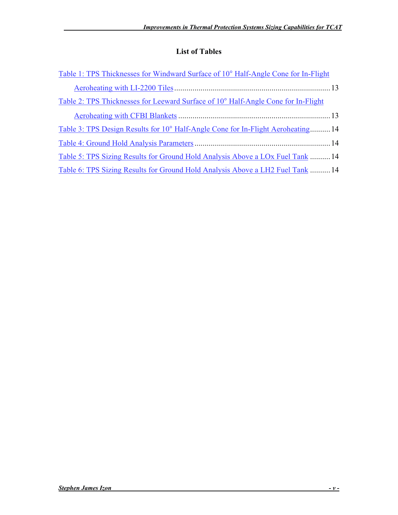# List of Tables

| Table 1: TPS Thicknesses for Windward Surface of 10° Half-Angle Cone for In-Flight |  |
|------------------------------------------------------------------------------------|--|
|                                                                                    |  |
| Table 2: TPS Thicknesses for Leeward Surface of 10° Half-Angle Cone for In-Flight  |  |
|                                                                                    |  |
| Table 3: TPS Design Results for 10° Half-Angle Cone for In-Flight Aeroheating 14   |  |
|                                                                                    |  |
| Table 5: TPS Sizing Results for Ground Hold Analysis Above a LOx Fuel Tank  14     |  |
| Table 6: TPS Sizing Results for Ground Hold Analysis Above a LH2 Fuel Tank  14     |  |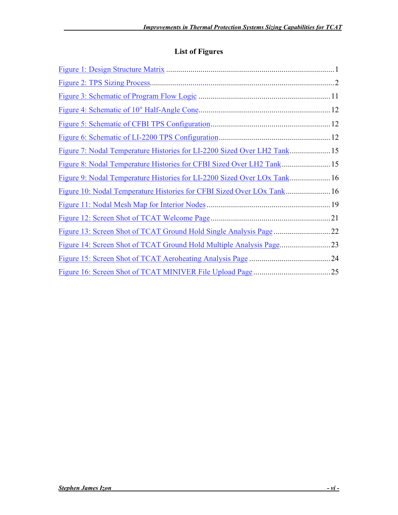# List of Figures

| Figure 7: Nodal Temperature Histories for LI-2200 Sized Over LH2 Tank 15 |  |
|--------------------------------------------------------------------------|--|
| Figure 8: Nodal Temperature Histories for CFBI Sized Over LH2 Tank 15    |  |
| Figure 9: Nodal Temperature Histories for LI-2200 Sized Over LOx Tank 16 |  |
| Figure 10: Nodal Temperature Histories for CFBI Sized Over LOx Tank 16   |  |
|                                                                          |  |
|                                                                          |  |
|                                                                          |  |
|                                                                          |  |
|                                                                          |  |
|                                                                          |  |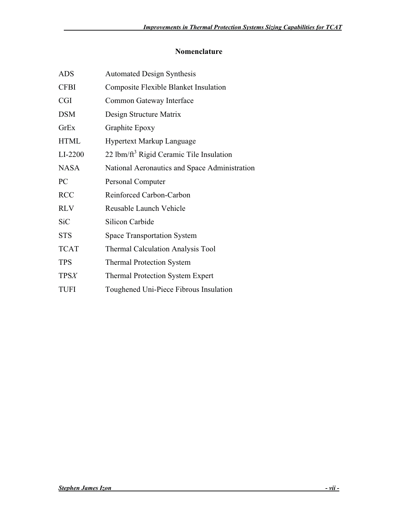# Nomenclature

| <b>ADS</b>  | <b>Automated Design Synthesis</b>                    |  |  |
|-------------|------------------------------------------------------|--|--|
| <b>CFBI</b> | <b>Composite Flexible Blanket Insulation</b>         |  |  |
| <b>CGI</b>  | Common Gateway Interface                             |  |  |
| <b>DSM</b>  | Design Structure Matrix                              |  |  |
| GrEx        | Graphite Epoxy                                       |  |  |
| <b>HTML</b> | <b>Hypertext Markup Language</b>                     |  |  |
| LI-2200     | 22 lbm/ft <sup>3</sup> Rigid Ceramic Tile Insulation |  |  |
| <b>NASA</b> | National Aeronautics and Space Administration        |  |  |
| PC          | Personal Computer                                    |  |  |
| <b>RCC</b>  | Reinforced Carbon-Carbon                             |  |  |
| <b>RLV</b>  | Reusable Launch Vehicle                              |  |  |
| <b>SiC</b>  | <b>Silicon Carbide</b>                               |  |  |
| <b>STS</b>  | <b>Space Transportation System</b>                   |  |  |
| <b>TCAT</b> | <b>Thermal Calculation Analysis Tool</b>             |  |  |
| <b>TPS</b>  | <b>Thermal Protection System</b>                     |  |  |
| <b>TPSX</b> | <b>Thermal Protection System Expert</b>              |  |  |
| TUFI        | Toughened Uni-Piece Fibrous Insulation               |  |  |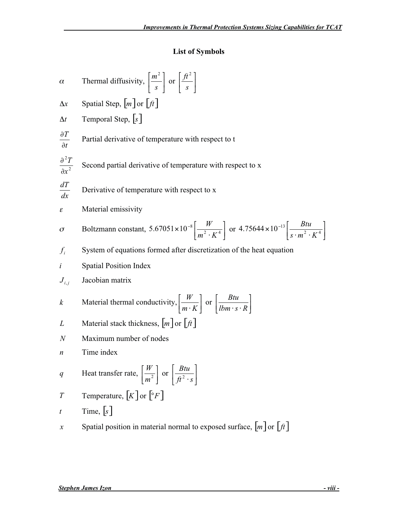# List of Symbols

$$
\alpha
$$
 Thermal diffusivity,  $\left[\frac{m^2}{s}\right]$  or  $\left[\frac{ft^2}{s}\right]$ 

- $\Delta x$  Spatial Step,  $[m]$  or  $[ft]$
- $\Delta t$  Temporal Step,  $\lceil s \rceil$

2

∂

- t T ∂ Partial derivative of temperature with respect to t
	- 2  $\mathbf{x}$ T Second partial derivative of temperature with respect to x
- $\frac{dT}{dx}$ Derivative of temperature with respect to  $x$
- $\varepsilon$  Material emissivity

$$
\sigma
$$
 Boltzmann constant, 5.67051×10<sup>-8</sup>  $\left[ \frac{W}{m^2 \cdot K^4} \right]$  or 4.75644×10<sup>-13</sup>  $\left[ \frac{Btu}{s \cdot m^2 \cdot K^4} \right]$ 

- $i = f_i$  System of equations formed after discretization of the heat equation
- $i$  Spatial Position Index

$$
J_{i,j} \qquad \text{Jacobian matrix}
$$

$$
k \qquad \text{Material thermal conductivity,} \left[\frac{W}{m \cdot K}\right] \text{ or } \left[\frac{Btu}{lbm \cdot s \cdot R}\right]
$$

- L Material stack thickness,  $[m]$  or  $[f_t]$
- $N$  Maximum number of nodes
- $n$  Time index

$$
q \qquad \text{Heat transfer rate, } \left[\frac{W}{m^2}\right] \text{ or } \left[\frac{Btu}{ft^2 \cdot s}\right]
$$

T Temperature,  $[K]$  or  $\lbrack ^{\circ}F]$ 

 $t$  Time,  $\lceil s \rceil$ 

x Spatial position in material normal to exposed surface,  $\lfloor m \rfloor$  or  $\lfloor ft \rfloor$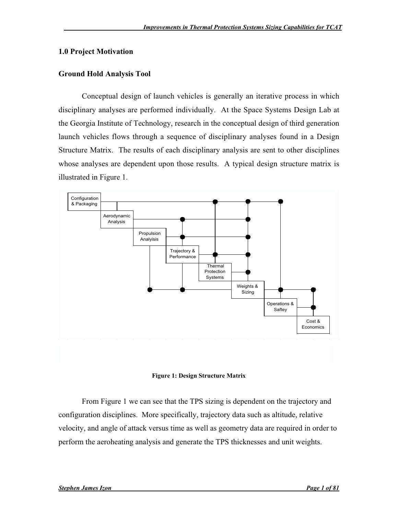#### 1.0 Project Motivation

#### Ground Hold Analysis Tool

Conceptual design of launch vehicles is generally an iterative process in which disciplinary analyses are performed individually. At the Space Systems Design Lab at the Georgia Institute of Technology, research in the conceptual design of third generation launch vehicles flows through a sequence of disciplinary analyses found in a Design Structure Matrix. The results of each disciplinary analysis are sent to other disciplines whose analyses are dependent upon those results. A typical design structure matrix is illustrated in Figure 1.





From Figure 1 we can see that the TPS sizing is dependent on the trajectory and configuration disciplines. More specifically, trajectory data such as altitude, relative velocity, and angle of attack versus time as well as geometry data are required in order to perform the aeroheating analysis and generate the TPS thicknesses and unit weights.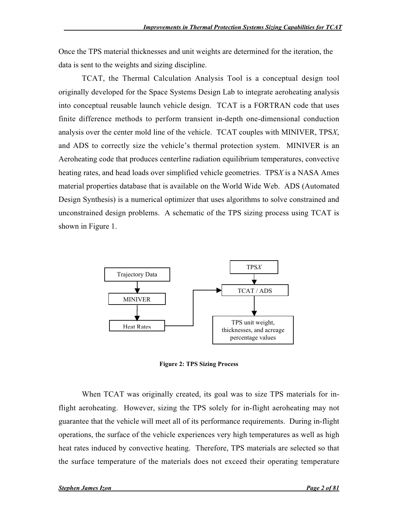Once the TPS material thicknesses and unit weights are determined for the iteration, the data is sent to the weights and sizing discipline.

TCAT, the Thermal Calculation Analysis Tool is a conceptual design tool originally developed for the Space Systems Design Lab to integrate aeroheating analysis into conceptual reusable launch vehicle design. TCAT is a FORTRAN code that uses finite difference methods to perform transient in-depth one-dimensional conduction analysis over the center mold line of the vehicle. TCAT couples with MINIVER, TPSX, and ADS to correctly size the vehicle's thermal protection system. MINIVER is an Aeroheating code that produces centerline radiation equilibrium temperatures, convective heating rates, and head loads over simplified vehicle geometries. TPSX is a NASA Ames material properties database that is available on the World Wide Web. ADS (Automated Design Synthesis) is a numerical optimizer that uses algorithms to solve constrained and unconstrained design problems. A schematic of the TPS sizing process using TCAT is shown in Figure 1.



Figure 2: TPS Sizing Process

When TCAT was originally created, its goal was to size TPS materials for inflight aeroheating. However, sizing the TPS solely for in-flight aeroheating may not guarantee that the vehicle will meet all of its performance requirements. During in-flight operations, the surface of the vehicle experiences very high temperatures as well as high heat rates induced by convective heating. Therefore, TPS materials are selected so that the surface temperature of the materials does not exceed their operating temperature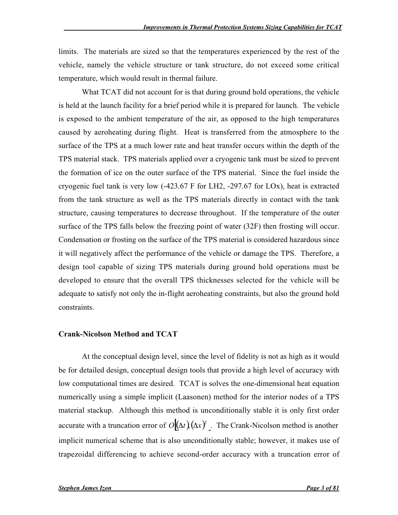limits. The materials are sized so that the temperatures experienced by the rest of the vehicle, namely the vehicle structure or tank structure, do not exceed some critical temperature, which would result in thermal failure.

What TCAT did not account for is that during ground hold operations, the vehicle is held at the launch facility for a brief period while it is prepared for launch. The vehicle is exposed to the ambient temperature of the air, as opposed to the high temperatures caused by aeroheating during flight. Heat is transferred from the atmosphere to the surface of the TPS at a much lower rate and heat transfer occurs within the depth of the TPS material stack. TPS materials applied over a cryogenic tank must be sized to prevent the formation of ice on the outer surface of the TPS material. Since the fuel inside the cryogenic fuel tank is very low (-423.67 F for LH2, -297.67 for LOx), heat is extracted from the tank structure as well as the TPS materials directly in contact with the tank structure, causing temperatures to decrease throughout. If the temperature of the outer surface of the TPS falls below the freezing point of water (32F) then frosting will occur. Condensation or frosting on the surface of the TPS material is considered hazardous since it will negatively affect the performance of the vehicle or damage the TPS. Therefore, a design tool capable of sizing TPS materials during ground hold operations must be developed to ensure that the overall TPS thicknesses selected for the vehicle will be adequate to satisfy not only the in-flight aeroheating constraints, but also the ground hold constraints.

## Crank-Nicolson Method and TCAT

At the conceptual design level, since the level of fidelity is not as high as it would be for detailed design, conceptual design tools that provide a high level of accuracy with low computational times are desired. TCAT is solves the one-dimensional heat equation numerically using a simple implicit (Laasonen) method for the interior nodes of a TPS material stackup. Although this method is unconditionally stable it is only first order accurate with a truncation error of  $O[(\Delta t)(\Delta x)^2]$ . The Crank-Nicolson method is another implicit numerical scheme that is also unconditionally stable; however, it makes use of trapezoidal differencing to achieve second-order accuracy with a truncation error of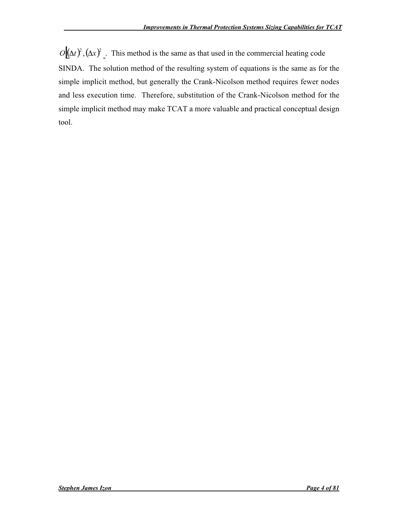$[ O(\Delta t )^2, (\Delta x)^2$ . This method is the same as that used in the commercial heating code SINDA. The solution method of the resulting system of equations is the same as for the simple implicit method, but generally the Crank-Nicolson method requires fewer nodes and less execution time. Therefore, substitution of the Crank-Nicolson method for the simple implicit method may make TCAT a more valuable and practical conceptual design tool.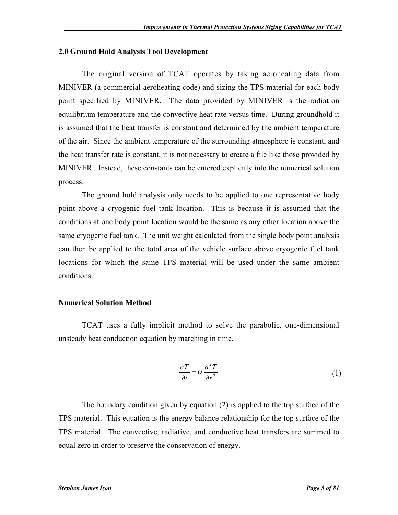#### 2.0 Ground Hold Analysis Tool Development

The original version of TCAT operates by taking aeroheating data from MINIVER (a commercial aeroheating code) and sizing the TPS material for each body point specified by MINIVER. The data provided by MINIVER is the radiation equilibrium temperature and the convective heat rate versus time. During groundhold it is assumed that the heat transfer is constant and determined by the ambient temperature of the air. Since the ambient temperature of the surrounding atmosphere is constant, and the heat transfer rate is constant, it is not necessary to create a file like those provided by MINIVER. Instead, these constants can be entered explicitly into the numerical solution process.

The ground hold analysis only needs to be applied to one representative body point above a cryogenic fuel tank location. This is because it is assumed that the conditions at one body point location would be the same as any other location above the same cryogenic fuel tank. The unit weight calculated from the single body point analysis can then be applied to the total area of the vehicle surface above cryogenic fuel tank locations for which the same TPS material will be used under the same ambient conditions.

#### Numerical Solution Method

TCAT uses a fully implicit method to solve the parabolic, one-dimensional unsteady heat conduction equation by marching in time.

$$
\frac{\partial T}{\partial t} = \alpha \frac{\partial^2 T}{\partial x^2} \tag{1}
$$

The boundary condition given by equation (2) is applied to the top surface of the TPS material. This equation is the energy balance relationship for the top surface of the TPS material. The convective, radiative, and conductive heat transfers are summed to equal zero in order to preserve the conservation of energy.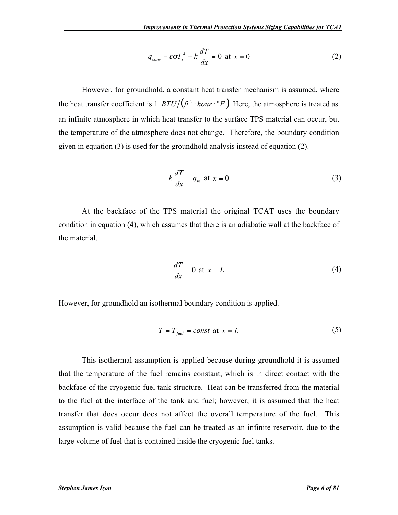$$
q_{conv} - \varepsilon \sigma T_s^4 + k \frac{dT}{dx} = 0 \text{ at } x = 0 \tag{2}
$$

However, for groundhold, a constant heat transfer mechanism is assumed, where the heat transfer coefficient is 1  $BTU/(ft^2 \cdot hour \cdot \cdot \cdot F)$ . Here, the atmosphere is treated as an infinite atmosphere in which heat transfer to the surface TPS material can occur, but the temperature of the atmosphere does not change. Therefore, the boundary condition given in equation (3) is used for the groundhold analysis instead of equation (2).

$$
k\frac{dT}{dx} = q_{in} \text{ at } x = 0
$$
 (3)

At the backface of the TPS material the original TCAT uses the boundary condition in equation (4), which assumes that there is an adiabatic wall at the backface of the material.

$$
\frac{dT}{dx} = 0 \text{ at } x = L \tag{4}
$$

However, for groundhold an isothermal boundary condition is applied.

$$
T = T_{\text{fuel}} = const \text{ at } x = L \tag{5}
$$

This isothermal assumption is applied because during groundhold it is assumed that the temperature of the fuel remains constant, which is in direct contact with the backface of the cryogenic fuel tank structure. Heat can be transferred from the material to the fuel at the interface of the tank and fuel; however, it is assumed that the heat transfer that does occur does not affect the overall temperature of the fuel. This assumption is valid because the fuel can be treated as an infinite reservoir, due to the large volume of fuel that is contained inside the cryogenic fuel tanks.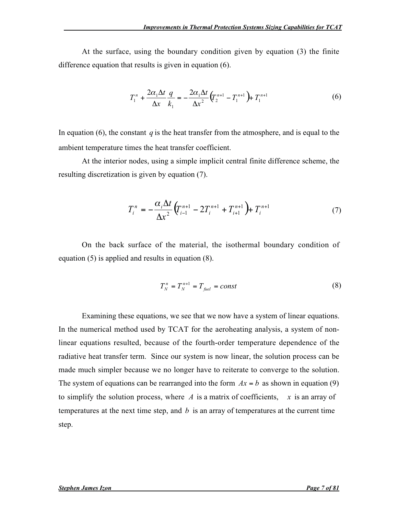At the surface, using the boundary condition given by equation (3) the finite difference equation that results is given in equation (6).

$$
T_1^n + \frac{2\alpha_1 \Delta t}{\Delta x} \frac{q}{k_1} = -\frac{2\alpha_1 \Delta t}{\Delta x^2} \left( T_2^{n+1} - T_1^{n+1} \right) + T_1^{n+1}
$$
(6)

In equation (6), the constant  $q$  is the heat transfer from the atmosphere, and is equal to the ambient temperature times the heat transfer coefficient.

At the interior nodes, using a simple implicit central finite difference scheme, the resulting discretization is given by equation (7).

$$
T_i^n = -\frac{\alpha_i \Delta t}{\Delta x^2} \left( T_{i-1}^{n+1} - 2T_i^{n+1} + T_{i+1}^{n+1} \right) + T_i^{n+1}
$$
 (7)

On the back surface of the material, the isothermal boundary condition of equation (5) is applied and results in equation (8).

$$
T_N^n = T_N^{n+1} = T_{\text{fuel}} = const \tag{8}
$$

Examining these equations, we see that we now have a system of linear equations. In the numerical method used by TCAT for the aeroheating analysis, a system of nonlinear equations resulted, because of the fourth-order temperature dependence of the radiative heat transfer term. Since our system is now linear, the solution process can be made much simpler because we no longer have to reiterate to converge to the solution. The system of equations can be rearranged into the form  $Ax = b$  as shown in equation (9) to simplify the solution process, where  $\Lambda$  is a matrix of coefficients,  $\chi$  is an array of temperatures at the next time step, and  $b$  is an array of temperatures at the current time step.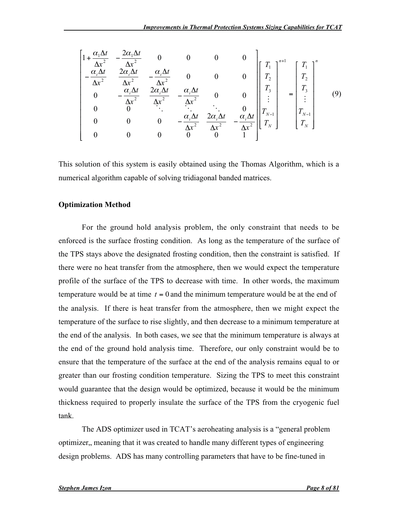$$
\begin{bmatrix}\n1 + \frac{\alpha_1 \Delta t}{\Delta x^2} & -\frac{2\alpha_1 \Delta t}{\Delta x^2} & 0 & 0 & 0 \\
-\frac{\alpha_1 \Delta t}{\Delta x^2} & \frac{2\alpha_1 \Delta t}{\Delta x^2} & -\frac{\alpha_1 \Delta t}{\Delta x^2} & 0 & 0 & 0 \\
0 & -\frac{\alpha_1 \Delta t}{\Delta x^2} & \frac{2\alpha_1 \Delta t}{\Delta x^2} & -\frac{\alpha_1 \Delta t}{\Delta x^2} & 0 & 0 \\
0 & 0 & \ddots & \ddots & \ddots & 0 \\
0 & 0 & 0 & -\frac{\alpha_1 \Delta t}{\Delta x^2} & \frac{2\alpha_1 \Delta t}{\Delta x^2} & -\frac{\alpha_1 \Delta t}{\Delta x^2} & \frac{\alpha_1 \Delta t}{\Delta x^2} & -\frac{\alpha_1 \Delta t}{\Delta x^2}\n\end{bmatrix}\n\begin{bmatrix}\nT_1 \\
T_2 \\
T_3 \\
\vdots \\
T_N\n\end{bmatrix} = \begin{bmatrix}\nT_1 \\
T_2 \\
T_3 \\
\vdots \\
T_N\n\end{bmatrix}
$$
\n(9)

This solution of this system is easily obtained using the Thomas Algorithm, which is a numerical algorithm capable of solving tridiagonal banded matrices.

#### Optimization Method

For the ground hold analysis problem, the only constraint that needs to be enforced is the surface frosting condition. As long as the temperature of the surface of the TPS stays above the designated frosting condition, then the constraint is satisfied. If there were no heat transfer from the atmosphere, then we would expect the temperature profile of the surface of the TPS to decrease with time. In other words, the maximum temperature would be at time  $t = 0$  and the minimum temperature would be at the end of the analysis. If there is heat transfer from the atmosphere, then we might expect the temperature of the surface to rise slightly, and then decrease to a minimum temperature at the end of the analysis. In both cases, we see that the minimum temperature is always at the end of the ground hold analysis time. Therefore, our only constraint would be to ensure that the temperature of the surface at the end of the analysis remains equal to or greater than our frosting condition temperature. Sizing the TPS to meet this constraint would guarantee that the design would be optimized, because it would be the minimum thickness required to properly insulate the surface of the TPS from the cryogenic fuel tank.

The ADS optimizer used in TCAT's aeroheating analysis is a "general problem optimizer,, meaning that it was created to handle many different types of engineering design problems. ADS has many controlling parameters that have to be fine-tuned in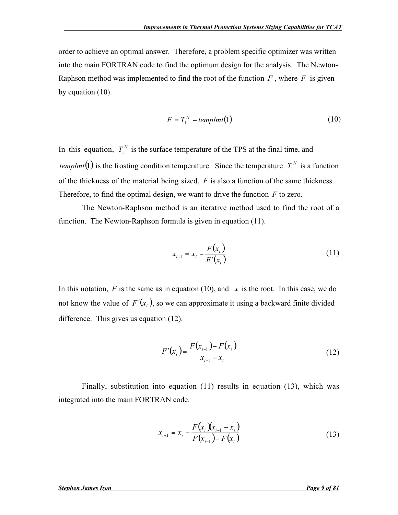order to achieve an optimal answer. Therefore, a problem specific optimizer was written into the main FORTRAN code to find the optimum design for the analysis. The Newton-Raphson method was implemented to find the root of the function  $F$ , where  $F$  is given by equation (10).

$$
F = T_1^N - tempInt(1)
$$
 (10)

In this equation,  $T_1^N$  is the surface temperature of the TPS at the final time, and templmt(1) is the frosting condition temperature. Since the temperature  $T_1^N$  is a function of the thickness of the material being sized,  $F$  is also a function of the same thickness. Therefore, to find the optimal design, we want to drive the function  $F$  to zero.

The Newton-Raphson method is an iterative method used to find the root of a function. The Newton-Raphson formula is given in equation (11).

$$
x_{i+1} = x_i - \frac{F(x_i)}{F'(x_i)}
$$
 (11)

In this notation, F is the same as in equation (10), and  $x$  is the root. In this case, we do not know the value of  $F'(x_i)$ , so we can approximate it using a backward finite divided difference. This gives us equation (12).

$$
F'(x_i) = \frac{F(x_{i-1}) - F(x_i)}{x_{i-1} - x_i}
$$
\n(12)

Finally, substitution into equation (11) results in equation (13), which was integrated into the main FORTRAN code.

$$
x_{i+1} = x_i - \frac{F(x_i)(x_{i-1} - x_i)}{F(x_{i-1}) - F(x_i)}
$$
(13)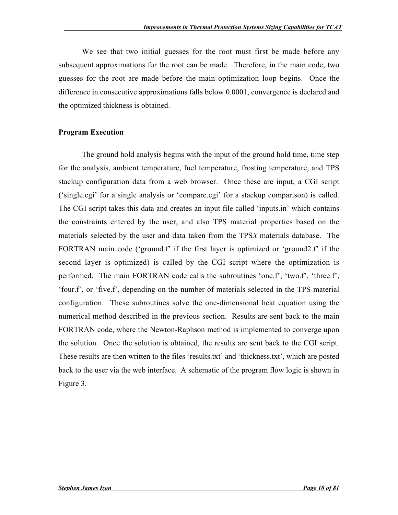We see that two initial guesses for the root must first be made before any subsequent approximations for the root can be made. Therefore, in the main code, two guesses for the root are made before the main optimization loop begins. Once the difference in consecutive approximations falls below 0.0001, convergence is declared and the optimized thickness is obtained.

## Program Execution

The ground hold analysis begins with the input of the ground hold time, time step for the analysis, ambient temperature, fuel temperature, frosting temperature, and TPS stackup configuration data from a web browser. Once these are input, a CGI script ('single.cgi' for a single analysis or 'compare.cgi' for a stackup comparison) is called. The CGI script takes this data and creates an input file called 'inputs.in' which contains the constraints entered by the user, and also TPS material properties based on the materials selected by the user and data taken from the TPSX materials database. The FORTRAN main code ('ground.f' if the first layer is optimized or 'ground2.f' if the second layer is optimized) is called by the CGI script where the optimization is performed. The main FORTRAN code calls the subroutines 'one.f', 'two.f', 'three.f', 'four.f', or 'five.f', depending on the number of materials selected in the TPS material configuration. These subroutines solve the one-dimensional heat equation using the numerical method described in the previous section. Results are sent back to the main FORTRAN code, where the Newton-Raphson method is implemented to converge upon the solution. Once the solution is obtained, the results are sent back to the CGI script. These results are then written to the files 'results.txt' and 'thickness.txt', which are posted back to the user via the web interface. A schematic of the program flow logic is shown in Figure 3.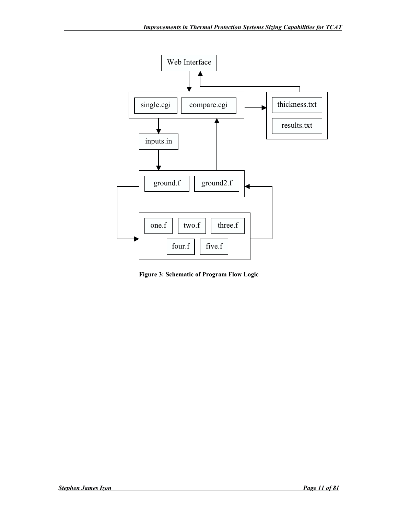

Figure 3: Schematic of Program Flow Logic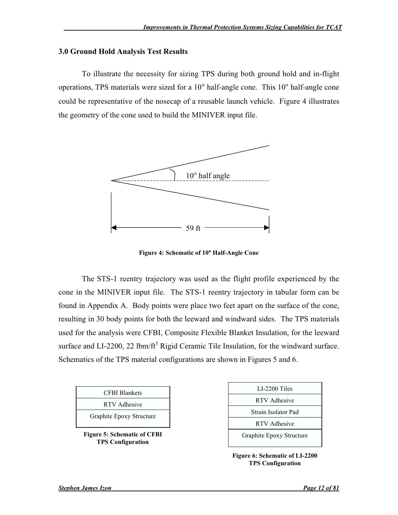## 3.0 Ground Hold Analysis Test Results

To illustrate the necessity for sizing TPS during both ground hold and in-flight operations, TPS materials were sized for a 10° half-angle cone. This 10° half-angle cone could be representative of the nosecap of a reusable launch vehicle. Figure 4 illustrates the geometry of the cone used to build the MINIVER input file.



Figure 4: Schematic of 10° Half-Angle Cone

The STS-1 reentry trajectory was used as the flight profile experienced by the cone in the MINIVER input file. The STS-1 reentry trajectory in tabular form can be found in Appendix A. Body points were place two feet apart on the surface of the cone, resulting in 30 body points for both the leeward and windward sides. The TPS materials used for the analysis were CFBI, Composite Flexible Blanket Insulation, for the leeward surface and LI-2200, 22  $1bm/ft^3$  Rigid Ceramic Tile Insulation, for the windward surface. Schematics of the TPS material configurations are shown in Figures 5 and 6.

| <b>CFBI Blankets</b>                                           |  |  |
|----------------------------------------------------------------|--|--|
| RTV Adhesive                                                   |  |  |
| Graphite Epoxy Structure                                       |  |  |
| <b>Figure 5: Schematic of CFBI</b><br><b>TPS Configuration</b> |  |  |

| LI-2200 Tiles            |
|--------------------------|
| <b>RTV</b> Adhesive      |
| Strain Isolator Pad      |
| RTV Adhesive             |
| Graphite Epoxy Structure |

Figure 6: Schematic of LI-2200 TPS Configuration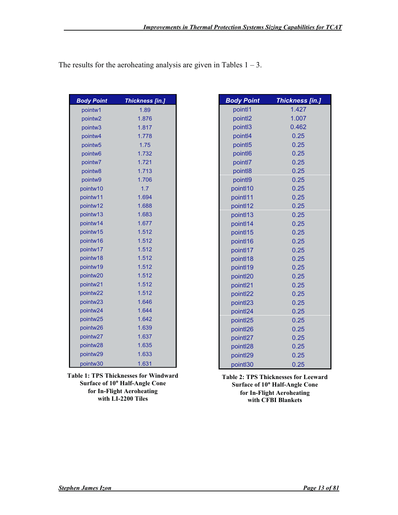| <b>Body Point</b>   | <b>Thickness [in.]</b> |  |
|---------------------|------------------------|--|
| pointw1             | 1.89                   |  |
| pointw2             | 1.876                  |  |
| pointw <sub>3</sub> | 1.817                  |  |
| pointw4             | 1.778                  |  |
| pointw <sub>5</sub> | 1.75                   |  |
| pointw6             | 1.732                  |  |
| pointw7             | 1.721                  |  |
| pointw8             | 1.713                  |  |
| pointw9             | 1.706                  |  |
| pointw10            | 1.7                    |  |
| pointw11            | 1.694                  |  |
| pointw12            | 1.688                  |  |
| pointw13            | 1.683                  |  |
| pointw14            | 1.677                  |  |
| pointw15            | 1.512                  |  |
| pointw16            | 1.512                  |  |
| pointw17            | 1.512                  |  |
| pointw18            | 1.512                  |  |
| pointw19            | 1.512                  |  |
| pointw20            | 1.512                  |  |
| pointw21            | 1.512                  |  |
| pointw22            | 1.512                  |  |
| pointw23            | 1.646                  |  |
| pointw24            | 1.644                  |  |
| pointw25            | 1.642                  |  |
| pointw26            | 1.639                  |  |
| pointw27            | 1.637                  |  |
| pointw28            | 1.635                  |  |
| pointw29            | 1.633                  |  |
| pointw30            | 1.631                  |  |

The results for the aeroheating analysis are given in Tables  $1 - 3$ .

| <b>Body Point</b>    | <b>Thickness [in.]</b> |  |  |
|----------------------|------------------------|--|--|
| pointl1              | 1.427                  |  |  |
| pointl2              | 1.007                  |  |  |
| pointl3              | 0.462                  |  |  |
| pointl4              | 0.25                   |  |  |
| point <sub>15</sub>  | 0.25                   |  |  |
| pointl <sub>6</sub>  | 0.25                   |  |  |
| pointl7              | 0.25                   |  |  |
| pointl8              | 0.25                   |  |  |
| point <sub>19</sub>  | 0.25                   |  |  |
| pointl10             | 0.25                   |  |  |
| pointl11             | 0.25                   |  |  |
| point <sub>12</sub>  | 0.25                   |  |  |
| pointl13             | 0.25                   |  |  |
| pointl14             | 0.25                   |  |  |
| point <sub>15</sub>  | 0.25                   |  |  |
| pointl16             | 0.25                   |  |  |
| point <sub>17</sub>  | 0.25                   |  |  |
| point <sub>18</sub>  | 0.25                   |  |  |
| pointl19             | 0.25                   |  |  |
| point <sub>120</sub> | 0.25                   |  |  |
| pointl21             | 0.25                   |  |  |
| pointl22             | 0.25                   |  |  |
| point <sub>123</sub> | 0.25                   |  |  |
| pointl24             | 0.25                   |  |  |
| pointl25             | 0.25                   |  |  |
| pointl26             | 0.25                   |  |  |
| pointl27             | 0.25                   |  |  |
| point <sub>128</sub> | 0.25                   |  |  |
| point <sub>129</sub> | 0.25                   |  |  |
| pointl30             | 0.25                   |  |  |

Table 1: TPS Thicknesses for Windward Surface of 10° Half-Angle Cone for In-Flight Aeroheating with LI-2200 Tiles

Table 2: TPS Thicknesses for Leeward Surface of 10° Half-Angle Cone for In-Flight Aeroheating with CFBI Blankets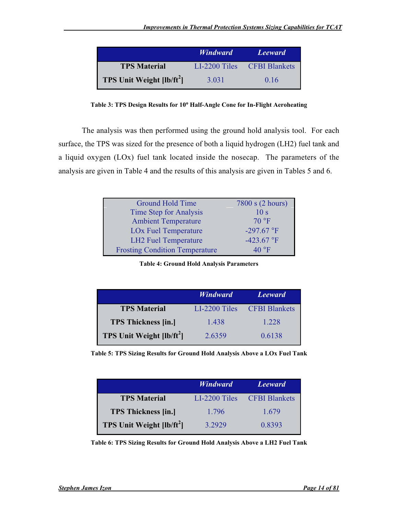|                                               | <b>Windward</b> | <i>Leeward</i>       |
|-----------------------------------------------|-----------------|----------------------|
| <b>TPS Material</b>                           | $LI-2200$ Tiles | <b>CFBI Blankets</b> |
| <b>TPS Unit Weight <math>[lb/ft^2]</math></b> | 3.031           | 0.16                 |

Table 3: TPS Design Results for 10° Half-Angle Cone for In-Flight Aeroheating

The analysis was then performed using the ground hold analysis tool. For each surface, the TPS was sized for the presence of both a liquid hydrogen (LH2) fuel tank and a liquid oxygen (LOx) fuel tank located inside the nosecap. The parameters of the analysis are given in Table 4 and the results of this analysis are given in Tables 5 and 6.

| Ground Hold Time                      | 7800 s (2 hours) |
|---------------------------------------|------------------|
| Time Step for Analysis                | 10 <sub>s</sub>  |
| <b>Ambient Temperature</b>            | $70^{\circ}$ F   |
| <b>LOx Fuel Temperature</b>           | $-297.67$ °F     |
| <b>LH2</b> Fuel Temperature           | $-423.67$ °F     |
| <b>Frosting Condition Temperature</b> | $40^{\circ}$ F   |

Table 4: Ground Hold Analysis Parameters

|                                            | <b>Windward</b> | <b>Leeward</b>       |
|--------------------------------------------|-----------------|----------------------|
| <b>TPS Material</b>                        | LI-2200 Tiles   | <b>CFBI Blankets</b> |
| <b>TPS Thickness [in.]</b>                 | 1.438           | 1.228                |
| <b>TPS Unit Weight [lb/ft<sup>2</sup>]</b> | 2.6359          | 0.6138               |

Table 5: TPS Sizing Results for Ground Hold Analysis Above a LOx Fuel Tank

|                                            | <b>Windward</b> | <i>Leeward</i>       |
|--------------------------------------------|-----------------|----------------------|
| <b>TPS Material</b>                        | LI-2200 Tiles   | <b>CFBI Blankets</b> |
| <b>TPS Thickness [in.]</b>                 | 1.796           | 1.679                |
| <b>TPS Unit Weight [lb/ft<sup>2</sup>]</b> | 3.2929          | 0.8393               |

Table 6: TPS Sizing Results for Ground Hold Analysis Above a LH2 Fuel Tank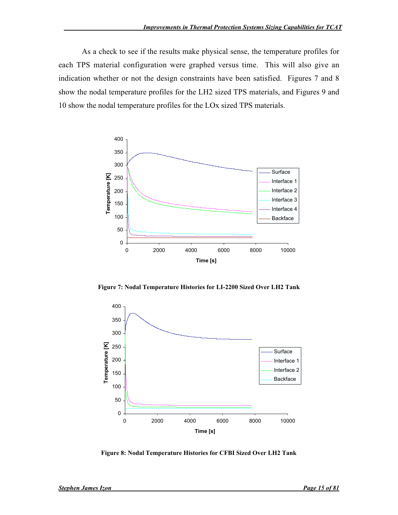As a check to see if the results make physical sense, the temperature profiles for each TPS material configuration were graphed versus time. This will also give an indication whether or not the design constraints have been satisfied. Figures 7 and 8 show the nodal temperature profiles for the LH2 sized TPS materials, and Figures 9 and 10 show the nodal temperature profiles for the LOx sized TPS materials.



Figure 7: Nodal Temperature Histories for LI-2200 Sized Over LH2 Tank



Figure 8: Nodal Temperature Histories for CFBI Sized Over LH2 Tank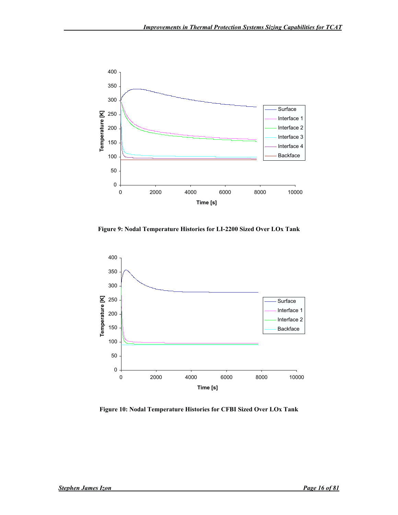

Figure 9: Nodal Temperature Histories for LI-2200 Sized Over LOx Tank



Figure 10: Nodal Temperature Histories for CFBI Sized Over LOx Tank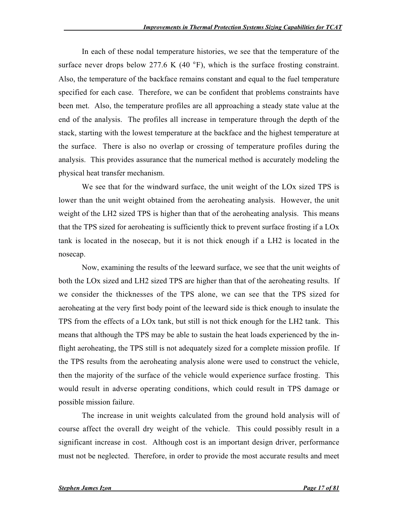In each of these nodal temperature histories, we see that the temperature of the surface never drops below 277.6 K  $(40 \degree F)$ , which is the surface frosting constraint. Also, the temperature of the backface remains constant and equal to the fuel temperature specified for each case. Therefore, we can be confident that problems constraints have been met. Also, the temperature profiles are all approaching a steady state value at the end of the analysis. The profiles all increase in temperature through the depth of the stack, starting with the lowest temperature at the backface and the highest temperature at the surface. There is also no overlap or crossing of temperature profiles during the analysis. This provides assurance that the numerical method is accurately modeling the physical heat transfer mechanism.

We see that for the windward surface, the unit weight of the LOx sized TPS is lower than the unit weight obtained from the aeroheating analysis. However, the unit weight of the LH2 sized TPS is higher than that of the aeroheating analysis. This means that the TPS sized for aeroheating is sufficiently thick to prevent surface frosting if a LOx tank is located in the nosecap, but it is not thick enough if a LH2 is located in the nosecap.

Now, examining the results of the leeward surface, we see that the unit weights of both the LOx sized and LH2 sized TPS are higher than that of the aeroheating results. If we consider the thicknesses of the TPS alone, we can see that the TPS sized for aeroheating at the very first body point of the leeward side is thick enough to insulate the TPS from the effects of a LOx tank, but still is not thick enough for the LH2 tank. This means that although the TPS may be able to sustain the heat loads experienced by the inflight aeroheating, the TPS still is not adequately sized for a complete mission profile. If the TPS results from the aeroheating analysis alone were used to construct the vehicle, then the majority of the surface of the vehicle would experience surface frosting. This would result in adverse operating conditions, which could result in TPS damage or possible mission failure.

The increase in unit weights calculated from the ground hold analysis will of course affect the overall dry weight of the vehicle. This could possibly result in a significant increase in cost. Although cost is an important design driver, performance must not be neglected. Therefore, in order to provide the most accurate results and meet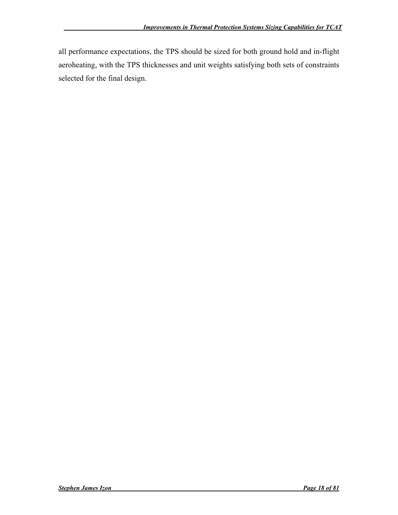all performance expectations, the TPS should be sized for both ground hold and in-flight aeroheating, with the TPS thicknesses and unit weights satisfying both sets of constraints selected for the final design.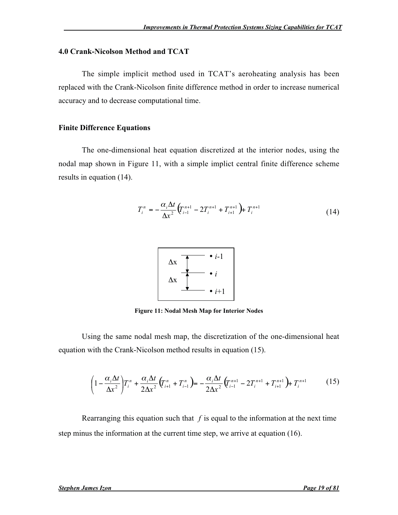#### 4.0 Crank-Nicolson Method and TCAT

The simple implicit method used in TCAT's aeroheating analysis has been replaced with the Crank-Nicolson finite difference method in order to increase numerical accuracy and to decrease computational time.

#### Finite Difference Equations

The one-dimensional heat equation discretized at the interior nodes, using the nodal map shown in Figure 11, with a simple implict central finite difference scheme results in equation (14).

$$
T_i^n = -\frac{\alpha_i \Delta t}{\Delta x^2} \left( T_{i-1}^{n+1} - 2T_i^{n+1} + T_{i+1}^{n+1} \right) + T_i^{n+1}
$$
 (14)



Figure 11: Nodal Mesh Map for Interior Nodes

Using the same nodal mesh map, the discretization of the one-dimensional heat equation with the Crank-Nicolson method results in equation (15).

$$
\left(1 - \frac{\alpha_i \Delta t}{\Delta x^2}\right) T_i^n + \frac{\alpha_i \Delta t}{2\Delta x^2} \left(T_{i+1}^n + T_{i-1}^n\right) = -\frac{\alpha_i \Delta t}{2\Delta x^2} \left(T_{i-1}^{n+1} - 2T_i^{n+1} + T_{i+1}^{n+1}\right) + T_i^{n+1}
$$
(15)

Rearranging this equation such that  $f$  is equal to the information at the next time step minus the information at the current time step, we arrive at equation (16).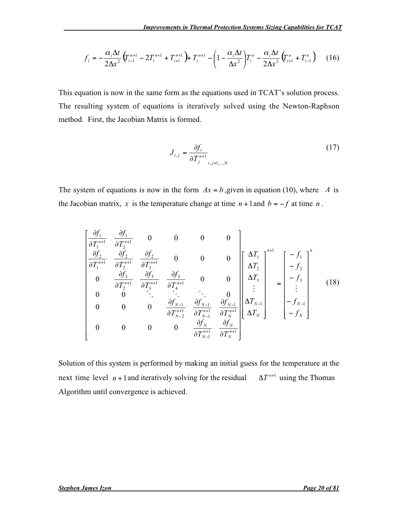$$
f_i = -\frac{\alpha_i \Delta t}{2\Delta x^2} \left( T_{i-1}^{n+1} - 2T_i^{n+1} + T_{i+1}^{n+1} \right) + T_i^{n+1} - \left( 1 - \frac{\alpha_i \Delta t}{\Delta x^2} \right) T_i^n - \frac{\alpha_i \Delta t}{2\Delta x^2} \left( T_{i+1}^n + T_{i-1}^n \right) \tag{16}
$$

This equation is now in the same form as the equations used in TCAT's solution process. The resulting system of equations is iteratively solved using the Newton-Raphson method. First, the Jacobian Matrix is formed.

$$
J_{i,j} = \frac{\partial f_i}{\partial T_j^{n+1}} \tag{17}
$$

The system of equations is now in the form  $Ax = b$ , given in equation (10), where A is the Jacobian matrix, x is the temperature change at time  $n + 1$  and  $b = -f$  at time n.

$$
\begin{bmatrix}\n\frac{\partial f_1}{\partial T_1^{n+1}} & \frac{\partial f_1}{\partial T_2^{n+1}} & 0 & 0 & 0 & 0 \\
\frac{\partial f_2}{\partial T_1^{n+1}} & \frac{\partial f_2}{\partial T_2^{n+1}} & \frac{\partial f_2}{\partial T_3^{n+1}} & 0 & 0 & 0 \\
0 & \frac{\partial f_3}{\partial T_2^{n+1}} & \frac{\partial f_3}{\partial T_3^{n+1}} & \frac{\partial f_3}{\partial T_4^{n+1}} & 0 & 0 \\
0 & 0 & \ddots & \ddots & \ddots & 0 \\
0 & 0 & 0 & \frac{\partial f_{N-1}}{\partial T_{N-2}^{n+1}} & \frac{\partial f_{N-1}}{\partial T_{N-1}^{n+1}} & \frac{\partial f_{N-1}}{\partial T_{N}^{n+1}}\n\end{bmatrix}\n\begin{bmatrix}\n\Delta T_1 \\
\Delta T_2 \\
\Delta T_3 \\
\vdots \\
\Delta T_{N-1} \\
\Delta T_{N-1}\n\end{bmatrix} = \begin{bmatrix}\n-f_1 \\
-f_2 \\
-f_3 \\
\vdots \\
-f_{N-1} \\
-f_{N-1} \\
-f_N\n\end{bmatrix}
$$
\n(18)

Solution of this system is performed by making an initial guess for the temperature at the next time level  $n + 1$  and iteratively solving for the residual  $\Delta T^{n+1}$  using the Thomas Algorithm until convergence is achieved.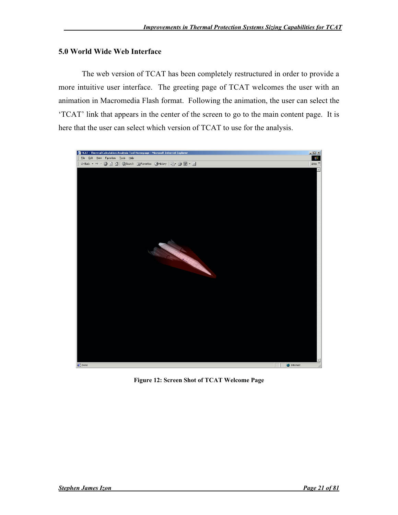# 5.0 World Wide Web Interface

The web version of TCAT has been completely restructured in order to provide a more intuitive user interface. The greeting page of TCAT welcomes the user with an animation in Macromedia Flash format. Following the animation, the user can select the 'TCAT' link that appears in the center of the screen to go to the main content page. It is here that the user can select which version of TCAT to use for the analysis.



Figure 12: Screen Shot of TCAT Welcome Page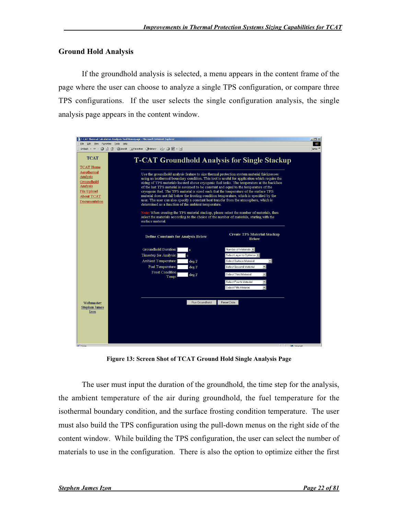## Ground Hold Analysis

If the groundhold analysis is selected, a menu appears in the content frame of the page where the user can choose to analyze a single TPS configuration, or compare three TPS configurations. If the user selects the single configuration analysis, the single analysis page appears in the content window.

| File Edit View Favorites Tools Help                                                                                        | +Back → → ◎ ⑦ △ ◎Search @Favorites ③History   A → △ 爾 → 目                                                                                                                                                                                                                                                                                                                                                                                                                                                                                                                                                                                                                                                                                                                                                                                                                                                                                      |                                                     | 40<br>Links <sup>&gt;&gt;</sup> |  |  |  |
|----------------------------------------------------------------------------------------------------------------------------|------------------------------------------------------------------------------------------------------------------------------------------------------------------------------------------------------------------------------------------------------------------------------------------------------------------------------------------------------------------------------------------------------------------------------------------------------------------------------------------------------------------------------------------------------------------------------------------------------------------------------------------------------------------------------------------------------------------------------------------------------------------------------------------------------------------------------------------------------------------------------------------------------------------------------------------------|-----------------------------------------------------|---------------------------------|--|--|--|
| <b>TCAT</b>                                                                                                                | <b>T-CAT Groundhold Analysis for Single Stackup</b>                                                                                                                                                                                                                                                                                                                                                                                                                                                                                                                                                                                                                                                                                                                                                                                                                                                                                            |                                                     |                                 |  |  |  |
| <b>TCAT Home</b><br>Aerothermal<br>Analysis<br>Groundhold<br>Analysis<br>File Upload<br><b>About TCAT</b><br>Documentation | Use the groundhold analysis feature to size thermal protection system material thicknesses<br>using an isothermal boundary condition. This tool is useful for application which require the<br>sizing of TPS materials located above cryogenic fuel tanks. The temperature at the backface<br>of the last TPS material is assumed to be constant and equal to the temperature of the<br>cryogenic fuel. The TPS material is sized such that the temperature of the surface TPS<br>material does not fall below the frosting condition temperature, which is specified by the<br>user. The user can also specify a constant heat transfer from the atmosphere, which is<br>determined as a function of the ambient temperature.<br>Note: When creating the TPS material stackup, please select the number of materials, then<br>select the materials according to the choice of the number of materials, starting with the<br>surface material. |                                                     |                                 |  |  |  |
|                                                                                                                            | <b>Define Constants for Analysis Below</b>                                                                                                                                                                                                                                                                                                                                                                                                                                                                                                                                                                                                                                                                                                                                                                                                                                                                                                     | <b>Create TPS Material Stackup</b><br><b>Below</b>  |                                 |  |  |  |
|                                                                                                                            | Groundhold Duration:<br>l s                                                                                                                                                                                                                                                                                                                                                                                                                                                                                                                                                                                                                                                                                                                                                                                                                                                                                                                    | Number of Materials                                 |                                 |  |  |  |
|                                                                                                                            | Timestep for Analysis:<br>$\mathbf{s}$                                                                                                                                                                                                                                                                                                                                                                                                                                                                                                                                                                                                                                                                                                                                                                                                                                                                                                         | Select Layer to Optimize                            |                                 |  |  |  |
|                                                                                                                            | Ambient Temperature:<br>deg F                                                                                                                                                                                                                                                                                                                                                                                                                                                                                                                                                                                                                                                                                                                                                                                                                                                                                                                  | $\overline{\phantom{a}}$<br>Select Surface Material |                                 |  |  |  |
|                                                                                                                            | Fuel Temperature:<br>deg F                                                                                                                                                                                                                                                                                                                                                                                                                                                                                                                                                                                                                                                                                                                                                                                                                                                                                                                     | Select Second Material<br>≖                         |                                 |  |  |  |
|                                                                                                                            | Frost Condition<br>deg F<br>Temp:                                                                                                                                                                                                                                                                                                                                                                                                                                                                                                                                                                                                                                                                                                                                                                                                                                                                                                              | Select Third Material<br>▾                          |                                 |  |  |  |
|                                                                                                                            |                                                                                                                                                                                                                                                                                                                                                                                                                                                                                                                                                                                                                                                                                                                                                                                                                                                                                                                                                | ▼<br>Select Fourth Material                         |                                 |  |  |  |
|                                                                                                                            |                                                                                                                                                                                                                                                                                                                                                                                                                                                                                                                                                                                                                                                                                                                                                                                                                                                                                                                                                | ▾<br>Select Fifth Material                          |                                 |  |  |  |
|                                                                                                                            |                                                                                                                                                                                                                                                                                                                                                                                                                                                                                                                                                                                                                                                                                                                                                                                                                                                                                                                                                |                                                     |                                 |  |  |  |
| Webmaster:                                                                                                                 | Run Groundhold                                                                                                                                                                                                                                                                                                                                                                                                                                                                                                                                                                                                                                                                                                                                                                                                                                                                                                                                 | Reset Data                                          |                                 |  |  |  |
| <b>Stephen James</b>                                                                                                       |                                                                                                                                                                                                                                                                                                                                                                                                                                                                                                                                                                                                                                                                                                                                                                                                                                                                                                                                                |                                                     |                                 |  |  |  |
| Izon                                                                                                                       |                                                                                                                                                                                                                                                                                                                                                                                                                                                                                                                                                                                                                                                                                                                                                                                                                                                                                                                                                |                                                     |                                 |  |  |  |
|                                                                                                                            |                                                                                                                                                                                                                                                                                                                                                                                                                                                                                                                                                                                                                                                                                                                                                                                                                                                                                                                                                |                                                     |                                 |  |  |  |
|                                                                                                                            |                                                                                                                                                                                                                                                                                                                                                                                                                                                                                                                                                                                                                                                                                                                                                                                                                                                                                                                                                |                                                     |                                 |  |  |  |
|                                                                                                                            |                                                                                                                                                                                                                                                                                                                                                                                                                                                                                                                                                                                                                                                                                                                                                                                                                                                                                                                                                |                                                     |                                 |  |  |  |
|                                                                                                                            |                                                                                                                                                                                                                                                                                                                                                                                                                                                                                                                                                                                                                                                                                                                                                                                                                                                                                                                                                |                                                     |                                 |  |  |  |

Figure 13: Screen Shot of TCAT Ground Hold Single Analysis Page

The user must input the duration of the groundhold, the time step for the analysis, the ambient temperature of the air during groundhold, the fuel temperature for the isothermal boundary condition, and the surface frosting condition temperature. The user must also build the TPS configuration using the pull-down menus on the right side of the content window. While building the TPS configuration, the user can select the number of materials to use in the configuration. There is also the option to optimize either the first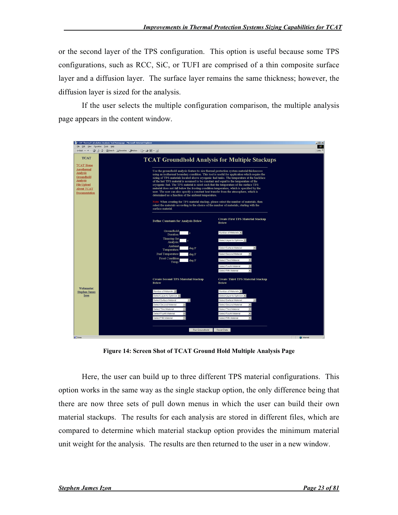or the second layer of the TPS configuration. This option is useful because some TPS configurations, such as RCC, SiC, or TUFI are comprised of a thin composite surface layer and a diffusion layer. The surface layer remains the same thickness; however, the diffusion layer is sized for the analysis.

If the user selects the multiple configuration comparison, the multiple analysis page appears in the content window.



Figure 14: Screen Shot of TCAT Ground Hold Multiple Analysis Page

Here, the user can build up to three different TPS material configurations. This option works in the same way as the single stackup option, the only difference being that there are now three sets of pull down menus in which the user can build their own material stackups. The results for each analysis are stored in different files, which are compared to determine which material stackup option provides the minimum material unit weight for the analysis. The results are then returned to the user in a new window.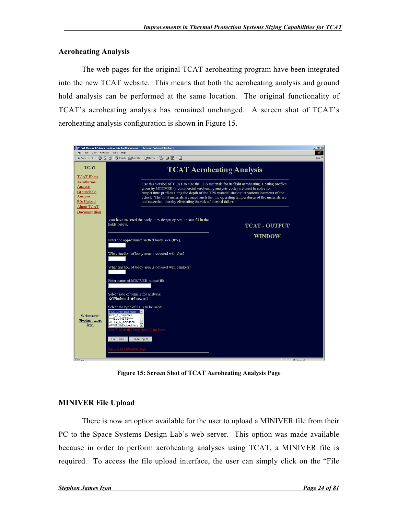#### Aeroheating Analysis

The web pages for the original TCAT aeroheating program have been integrated into the new TCAT website. This means that both the aeroheating analysis and ground hold analysis can be performed at the same location. The original functionality of TCAT's aeroheating analysis has remained unchanged. A screen shot of TCAT's aeroheating analysis configuration is shown in Figure 15.



Figure 15: Screen Shot of TCAT Aeroheating Analysis Page

## MINIVER File Upload

There is now an option available for the user to upload a MINIVER file from their PC to the Space Systems Design Lab's web server. This option was made available because in order to perform aeroheating analyses using TCAT, a MINIVER file is required. To access the file upload interface, the user can simply click on the "File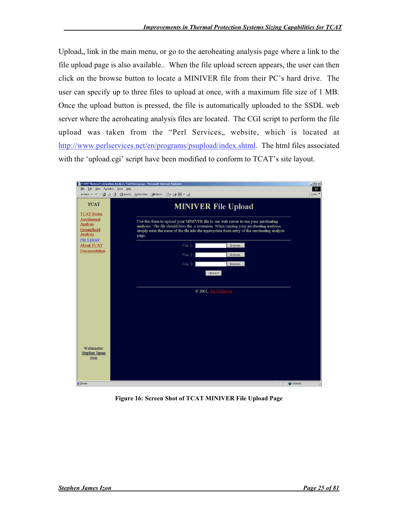Upload, link in the main menu, or go to the aeroheating analysis page where a link to the file upload page is also available.. When the file upload screen appears, the user can then click on the browse button to locate a MINIVER file from their PC's hard drive. The user can specify up to three files to upload at once, with a maximum file size of 1 MB. Once the upload button is pressed, the file is automatically uploaded to the SSDL web server where the aeroheating analysis files are located. The CGI script to perform the file upload was taken from the "Perl Services, website, which is located at http://www.perlservices.net/en/programs/psupload/index.shtml. The html files associated with the 'upload.cgi' script have been modified to conform to TCAT's site layout.

| $-12X$<br>T-CAT Thermal Calculation Analysis Tool Homepage - Microsoft Internet Explorer |                                                                                                                                                                                                                                                                                                                |                                   |  |  |  |  |  |  |
|------------------------------------------------------------------------------------------|----------------------------------------------------------------------------------------------------------------------------------------------------------------------------------------------------------------------------------------------------------------------------------------------------------------|-----------------------------------|--|--|--|--|--|--|
| File Edit View Favorites Tools Help                                                      | ←Back ▼ → ▼ ③ ② ③ △   ◎Search ④Favorites ④History   吗▼ ④ 國 ▼ 国                                                                                                                                                                                                                                                 | <b>SEC</b><br>Links <sup>33</sup> |  |  |  |  |  |  |
| <b>TCAT</b><br><b>TCAT Home</b><br>Aerothermal<br>Analysis<br>Groundhold                 | <b>MINIVER File Upload</b><br>Use this form to upload your MINIVER file to our web server to run your aeroheating<br>analyses. The file should have the .s extension. When running your aeroheating analyses,<br>simply enter the name of the file into the appropriate form entry of the aeroheating analysis |                                   |  |  |  |  |  |  |
| Analysis<br><b>File Upload</b><br><b>About TCAT</b><br>Documentation                     | page.<br>File $1:$<br>Browse<br>File $2:$<br>Browse                                                                                                                                                                                                                                                            |                                   |  |  |  |  |  |  |
|                                                                                          | File $3:$<br>Browse<br>Upload!                                                                                                                                                                                                                                                                                 |                                   |  |  |  |  |  |  |
|                                                                                          | © 2001, Jim Melanson                                                                                                                                                                                                                                                                                           |                                   |  |  |  |  |  |  |
| Webmaster:<br><b>Stephen James</b><br>Izon                                               |                                                                                                                                                                                                                                                                                                                |                                   |  |  |  |  |  |  |
| Done                                                                                     |                                                                                                                                                                                                                                                                                                                | <b>O</b> Internet                 |  |  |  |  |  |  |

Figure 16: Screen Shot of TCAT MINIVER File Upload Page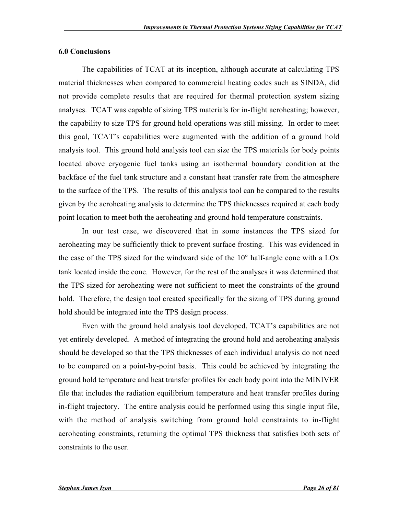#### 6.0 Conclusions

The capabilities of TCAT at its inception, although accurate at calculating TPS material thicknesses when compared to commercial heating codes such as SINDA, did not provide complete results that are required for thermal protection system sizing analyses. TCAT was capable of sizing TPS materials for in-flight aeroheating; however, the capability to size TPS for ground hold operations was still missing. In order to meet this goal, TCAT's capabilities were augmented with the addition of a ground hold analysis tool. This ground hold analysis tool can size the TPS materials for body points located above cryogenic fuel tanks using an isothermal boundary condition at the backface of the fuel tank structure and a constant heat transfer rate from the atmosphere to the surface of the TPS. The results of this analysis tool can be compared to the results given by the aeroheating analysis to determine the TPS thicknesses required at each body point location to meet both the aeroheating and ground hold temperature constraints.

In our test case, we discovered that in some instances the TPS sized for aeroheating may be sufficiently thick to prevent surface frosting. This was evidenced in the case of the TPS sized for the windward side of the 10° half-angle cone with a LOx tank located inside the cone. However, for the rest of the analyses it was determined that the TPS sized for aeroheating were not sufficient to meet the constraints of the ground hold. Therefore, the design tool created specifically for the sizing of TPS during ground hold should be integrated into the TPS design process.

Even with the ground hold analysis tool developed, TCAT's capabilities are not yet entirely developed. A method of integrating the ground hold and aeroheating analysis should be developed so that the TPS thicknesses of each individual analysis do not need to be compared on a point-by-point basis. This could be achieved by integrating the ground hold temperature and heat transfer profiles for each body point into the MINIVER file that includes the radiation equilibrium temperature and heat transfer profiles during in-flight trajectory. The entire analysis could be performed using this single input file, with the method of analysis switching from ground hold constraints to in-flight aeroheating constraints, returning the optimal TPS thickness that satisfies both sets of constraints to the user.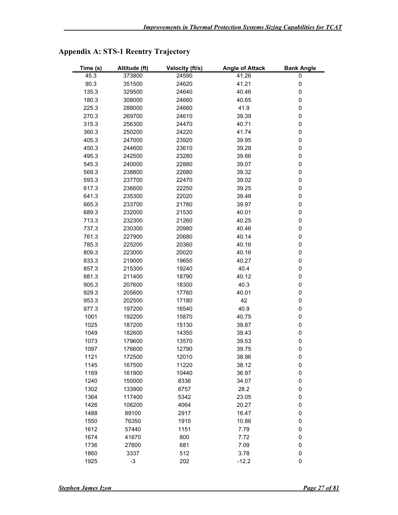| Time (s) | Altitude (ft) | Velocity (ft/s) | <b>Angle of Attack</b> | <b>Bank Angle</b> |
|----------|---------------|-----------------|------------------------|-------------------|
| 45.3     | 373800        | 24590           | 41.26                  | 0                 |
| 90.3     | 351500        | 24620           | 41.21                  | 0                 |
| 135.3    | 329500        | 24640           | 40.46                  | 0                 |
| 180.3    | 308000        | 24660           | 40.65                  | 0                 |
| 225.3    | 288000        | 24660           | 41.9                   | 0                 |
| 270.3    | 269700        | 24610           | 39.39                  | 0                 |
| 315.3    | 256300        | 24470           | 40.71                  | 0                 |
| 360.3    | 250200        | 24220           | 41.74                  | 0                 |
| 405.3    | 247000        | 23920           | 39.95                  | 0                 |
| 450.3    | 244600        | 23610           | 39.28                  | 0                 |
| 495.3    | 242500        | 23280           | 39.66                  | 0                 |
| 545.3    | 240000        | 22880           | 39.07                  | 0                 |
| 569.3    | 238800        | 22680           | 39.32                  | 0                 |
| 593.3    | 237700        | 22470           | 39.02                  | 0                 |
| 617.3    | 236600        | 22250           | 39.25                  | 0                 |
| 641.3    | 235300        | 22020           | 39.48                  | 0                 |
| 665.3    | 233700        | 21780           | 39.97                  | 0                 |
| 689.3    | 232000        | 21530           | 40.01                  | 0                 |
| 713.3    | 232300        | 21260           | 40.25                  | 0                 |
| 737.3    | 230300        | 20980           | 40.46                  | 0                 |
| 761.3    | 227900        | 20680           | 40.14                  | 0                 |
| 785.3    | 225200        | 20360           | 40.16                  | 0                 |
| 809.3    | 223000        | 20020           | 40.16                  | 0                 |
| 833.3    | 219000        | 19650           | 40.27                  | 0                 |
| 857.3    | 215300        | 19240           | 40.4                   | 0                 |
| 881.3    | 211400        | 18790           | 40.12                  | 0                 |
| 905.3    | 207600        | 18300           | 40.3                   | 0                 |
| 929.3    | 205600        | 17760           | 40.01                  | 0                 |
| 953.3    | 202500        | 17180           | 42                     | 0                 |
| 977.3    | 197200        | 16540           | 40.9                   | 0                 |
| 1001     | 192200        | 15870           | 40.75                  | 0                 |
| 1025     | 187200        | 15130           | 39.87                  | 0                 |
| 1049     | 182600        |                 | 39.43                  | 0                 |
| 1073     | 179600        | 14350           | 39.53                  | 0                 |
| 1097     | 176600        | 13570<br>12790  | 39.75                  | 0                 |
| 1121     | 172500        | 12010           | 38.96                  | 0                 |
| 1145     | 167500        | 11220           | 38.12                  | 0                 |
| 1169     | 161900        | 10440           | 36.97                  | 0                 |
|          |               |                 |                        |                   |
| 1240     | 150000        | 8336            | 34.07                  | 0                 |
| 1302     | 133900        | 6757            | 28.2                   | 0                 |
| 1364     | 117400        | 5342            | 23.05                  | 0                 |
| 1426     | 106200        | 4064            | 20.27                  | 0                 |
| 1488     | 89100         | 2917            | 16.47                  | 0                 |
| 1550     | 76350         | 1915            | 10.86                  | 0                 |
| 1612     | 57440         | 1151            | 7.79                   | 0                 |
| 1674     | 41670         | 800             | 7.72                   | 0                 |
| 1736     | 27600         | 681             | 7.09                   | 0                 |
| 1860     | 3337          | 512             | 3.78                   | 0                 |
| 1925     | $-3$          | 202             | $-12.2$                | 0                 |

# Appendix A: STS-1 Reentry Trajectory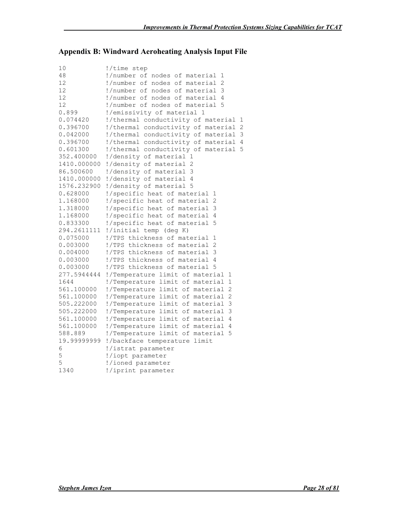# Appendix B: Windward Aeroheating Analysis Input File

| 10                    | !/time step                                                             |
|-----------------------|-------------------------------------------------------------------------|
| 48                    | !/number of nodes of material<br>1                                      |
| 12                    | !/number of nodes of material<br>2                                      |
| 12                    | !/number of nodes of material<br>3                                      |
| 12                    | !/number of nodes of material<br>4                                      |
| 12                    | !/number of nodes of material 5                                         |
| 0.899                 | !/emissivity of material 1                                              |
| 0.074420              | !/thermal conductivity of material<br>$\mathbf{1}$                      |
| 0.396700              | !/thermal conductivity of material 2                                    |
| 0.042000              | 3<br>!/thermal conductivity of material                                 |
| 0.396700              | !/thermal conductivity of material<br>4                                 |
| 0.601300              | 5<br>!/thermal conductivity of material                                 |
| 352.400000            | !/density of material 1                                                 |
| 1410.000000           | !/density of material 2                                                 |
| 86.500600             | !/density of material 3                                                 |
| 1410.000000           | !/density of material 4                                                 |
| 1576.232900           | !/density of material 5                                                 |
| 0.628000              | !/specific heat of material<br>1                                        |
| 1.168000              | $\overline{c}$<br>!/specific heat of material                           |
| 1.318000              | !/specific heat of material 3                                           |
| 1.168000              | !/specific heat of material 4                                           |
| 0.833300              | 5<br>!/specific heat of material                                        |
|                       | 294.2611111 !/initial temp (deg K)                                      |
| 0.075000              | !/TPS thickness of material<br>1                                        |
| 0.003000              | !/TPS thickness of material 2                                           |
| 0.004000              | !/TPS thickness of material<br>3                                        |
| 0.003000              | !/TPS thickness of material<br>4                                        |
| 0.003000              | !/TPS thickness of material<br>5                                        |
| 277.5944444           | !/Temperature limit of material<br>1                                    |
| 1644                  | !/Temperature limit of material<br>$\mathbf 1$                          |
| 561.100000            | $\mathbf{2}$<br>!/Temperature limit of material                         |
| 561.100000            | $\mathbf{2}$<br>!/Temperature limit of material                         |
| 505.222000            | !/Temperature limit of material<br>3                                    |
| 505.222000            | !/Temperature limit of material<br>3                                    |
| 561.100000            | !/Temperature limit of material<br>4                                    |
|                       | 4                                                                       |
| 561.100000<br>588.889 | !/Temperature limit of material<br>!/Temperature limit of material<br>5 |
|                       |                                                                         |
| 19.99999999           | !/backface temperature limit                                            |
| 6                     | !/istrat parameter                                                      |
| 5                     | !/iopt parameter                                                        |
| 5                     | !/ioned parameter                                                       |
| 1340                  | !/iprint parameter                                                      |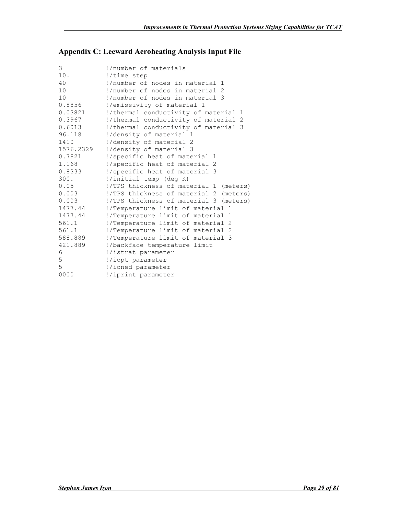# Appendix C: Leeward Aeroheating Analysis Input File

| 3         | !/number of materials                  |
|-----------|----------------------------------------|
| 10.       | !/time step                            |
| 40        | !/number of nodes in material 1        |
| 10        | !/number of nodes in material 2        |
| 10        | !/number of nodes in material 3        |
| 0.8856    | !/emissivity of material 1             |
| 0.03821   | !/thermal conductivity of material 1   |
| 0.3967    | !/thermal conductivity of material 2   |
| 0.6013    | !/thermal conductivity of material 3   |
| 96.118    | !/density of material 1                |
| 1410      | !/density of material 2                |
| 1576.2329 | !/density of material 3                |
| 0.7821    | !/specific heat of material 1          |
| 1.168     | !/specific heat of material 2          |
| 0.8333    | !/specific heat of material 3          |
| 300.      | !/initial temp (deg K)                 |
| 0.05      | !/TPS thickness of material 1 (meters) |
| 0.003     | !/TPS thickness of material 2 (meters) |
| 0.003     | !/TPS thickness of material 3 (meters) |
| 1477.44   | !/Temperature limit of material 1      |
| 1477.44   | !/Temperature limit of material 1      |
| 561.1     | !/Temperature limit of material 2      |
| 561.1     | !/Temperature limit of material 2      |
| 588.889   | !/Temperature limit of material 3      |
| 421.889   | !/backface temperature limit           |
| 6         | !/istrat parameter                     |
| 5         | !/iopt parameter                       |
| 5         | !/ioned parameter                      |
| 0000      | !/iprint parameter                     |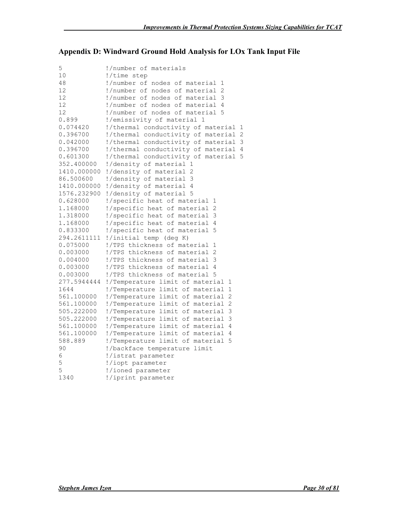# Appendix D: Windward Ground Hold Analysis for LOx Tank Input File

| 5           | !/number of materials                             |
|-------------|---------------------------------------------------|
| 10          | !/time step                                       |
| 48          | !/number of nodes of material<br>1                |
| 12          | !/number of nodes of material<br>2                |
| 12          | !/number of nodes of material<br>3                |
| 12          | !/number of nodes of material<br>4                |
| 12          | !/number of nodes of material 5                   |
| 0.899       | !/emissivity of material 1                        |
| 0.074420    | !/thermal conductivity of material 1              |
| 0.396700    | !/thermal conductivity of material 2              |
| 0.042000    | !/thermal conductivity of material<br>3           |
| 0.396700    | !/thermal conductivity of material 4              |
| 0.601300    | !/thermal conductivity of material<br>5           |
| 352.400000  | !/density of material 1                           |
| 1410.000000 | !/density of material 2                           |
| 86.500600   | !/density of material<br>3                        |
|             | 1410.000000 !/density of material 4               |
| 1576.232900 | !/density of material 5                           |
| 0.628000    | !/specific heat of material 1                     |
| 1.168000    | !/specific heat of material<br>$\mathbf{2}$       |
| 1.318000    | !/specific heat of material 3                     |
| 1.168000    | !/specific heat of material 4                     |
|             | 5                                                 |
|             |                                                   |
| 0.075000    | !/TPS thickness of material 1                     |
| 0.003000    | !/TPS thickness of material 2                     |
| 0.004000    | !/TPS thickness of material 3                     |
| 0.003000    | !/TPS thickness of material 4                     |
| 0.003000    | !/TPS thickness of material 5                     |
| 277.5944444 | !/Temperature limit of material<br>1              |
| 1644        | $\mathbf{1}$<br>!/Temperature limit of material   |
| 561.100000  | !/Temperature limit of material<br>$\overline{2}$ |
| 561.100000  | $\overline{c}$<br>!/Temperature limit of material |
| 505.222000  | !/Temperature limit of material<br>3              |
| 505.222000  | 3<br>!/Temperature limit of material              |
| 561.100000  | !/Temperature limit of material<br>4              |
| 561.100000  | !/Temperature limit of material<br>4              |
| 588.889     | !/Temperature limit of material<br>5              |
| 90          | !/backface temperature limit                      |
| 6           | !/istrat parameter                                |
| 5           | !/iopt parameter                                  |
| 5           | !/ioned parameter                                 |
| 1340        | !/iprint parameter                                |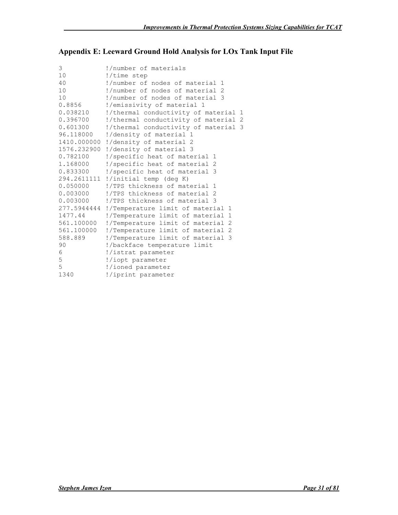# Appendix E: Leeward Ground Hold Analysis for LOx Tank Input File

| 3              | !/number of materials                  |
|----------------|----------------------------------------|
| 10             | !/time step                            |
| 40             | !/number of nodes of material 1        |
| 10             | !/number of nodes of material 2        |
| 1 <sub>0</sub> | !/number of nodes of material 3        |
| 0.8856         | !/emissivity of material 1             |
| 0.038210       | !/thermal conductivity of material 1   |
| 0.396700       | !/thermal conductivity of material 2   |
| 0.601300       | !/thermal conductivity of material 3   |
| 96.118000      | !/density of material 1                |
|                | 1410.000000 !/density of material 2    |
|                | 1576.232900 !/density of material 3    |
| 0.782100       | !/specific heat of material 1          |
| 1.168000       | !/specific heat of material 2          |
| 0.833300       | !/specific heat of material 3          |
|                | 294.2611111 !/initial temp (deg K)     |
| 0.050000       | !/TPS thickness of material 1          |
| 0.003000       | !/TPS thickness of material 2          |
|                | 0.003000 !/TPS thickness of material 3 |
| 277.5944444    | !/Temperature limit of material 1      |
| 1477.44        | !/Temperature limit of material 1      |
| 561,100000     | !/Temperature limit of material 2      |
| 561.100000     | !/Temperature limit of material 2      |
| 588.889        | !/Temperature limit of material 3      |
| 90             | !/backface temperature limit           |
| 6              | !/istrat parameter                     |
| 5              | !/iopt parameter                       |
| 5              | !/ioned parameter                      |
| 1340           | !/iprint parameter                     |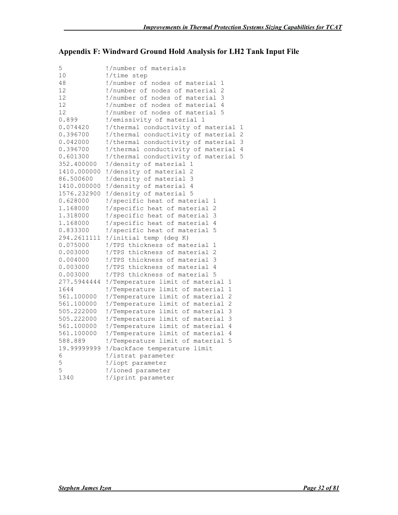# Appendix F: Windward Ground Hold Analysis for LH2 Tank Input File

| 5           | !/number of materials                             |
|-------------|---------------------------------------------------|
| 10          | !/time step                                       |
| 48          | !/number of nodes of material<br>1                |
| 12          | !/number of nodes of material<br>2                |
| 12          | !/number of nodes of material<br>3                |
| 12          | !/number of nodes of material<br>4                |
| 12          | !/number of nodes of material 5                   |
| 0.899       | !/emissivity of material 1                        |
| 0.074420    | !/thermal conductivity of material 1              |
| 0.396700    | !/thermal conductivity of material 2              |
| 0.042000    | !/thermal conductivity of material<br>3           |
| 0.396700    | !/thermal conductivity of material 4              |
| 0.601300    | !/thermal conductivity of material<br>5           |
| 352.400000  | !/density of material 1                           |
| 1410.000000 | !/density of material 2                           |
| 86.500600   | !/density of material<br>3                        |
|             | 1410.000000 !/density of material<br>4            |
| 1576.232900 | !/density of material 5                           |
| 0.628000    | !/specific heat of material 1                     |
| 1.168000    | !/specific heat of material 2                     |
| 1.318000    | !/specific heat of material 3                     |
| 1.168000    | !/specific heat of material 4                     |
| 0.833300    | !/specific heat of material<br>5                  |
|             | 294.2611111 !/initial temp (deg K)                |
| 0.075000    | !/TPS thickness of material 1                     |
| 0.003000    | !/TPS thickness of material 2                     |
| 0.004000    | !/TPS thickness of material 3                     |
| 0.003000    | !/TPS thickness of material 4                     |
| 0.003000    | !/TPS thickness of material 5                     |
| 277.5944444 | !/Temperature limit of material<br>1              |
| 1644        | !/Temperature limit of material<br>$\mathbf 1$    |
| 561.100000  | !/Temperature limit of material<br>2              |
| 561.100000  | $\overline{c}$<br>!/Temperature limit of material |
| 505.222000  | !/Temperature limit of material<br>3              |
| 505.222000  | 3<br>!/Temperature limit of material              |
| 561.100000  | !/Temperature limit of material<br>4              |
| 561.100000  | !/Temperature limit of material<br>4              |
| 588.889     | !/Temperature limit of material<br>5              |
| 19.99999999 | !/backface temperature limit                      |
| 6           | !/istrat parameter                                |
| 5           | !/iopt parameter                                  |
| 5           | !/ioned parameter                                 |
| 1340        | !/iprint parameter                                |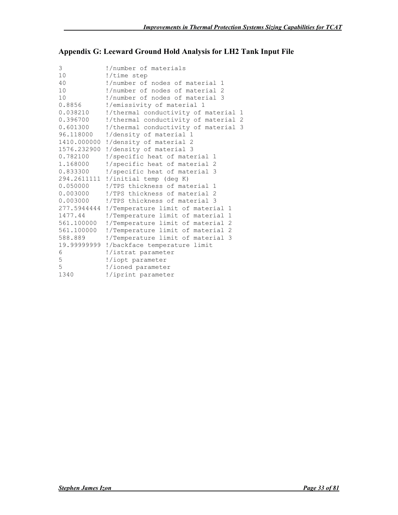# Appendix G: Leeward Ground Hold Analysis for LH2 Tank Input File

| 3           | !/number of materials                           |
|-------------|-------------------------------------------------|
| 10          | !/time step                                     |
| 40          | !/number of nodes of material 1                 |
| 10          | !/number of nodes of material 2                 |
| 10          | !/number of nodes of material 3                 |
| 0.8856      | !/emissivity of material 1                      |
| 0.038210    | !/thermal conductivity of material 1            |
| 0.396700    | !/thermal conductivity of material 2            |
| 0.601300    | !/thermal conductivity of material 3            |
| 96.118000   | !/density of material 1                         |
|             | 1410.000000 !/density of material 2             |
| 1576.232900 | !/density of material 3                         |
| 0.782100    | !/specific heat of material 1                   |
| 1.168000    | !/specific heat of material 2                   |
| 0.833300    | !/specific heat of material 3                   |
|             | 294.2611111 !/initial temp (deg K)              |
| 0.050000    | !/TPS thickness of material 1                   |
| 0.003000    | !/TPS thickness of material 2                   |
| 0.003000    | !/TPS thickness of material 3                   |
| 277.5944444 | !/Temperature limit of material 1               |
| 1477.44     | !/Temperature limit of material<br>$\mathbf{1}$ |
| 561.100000  | !/Temperature limit of material 2               |
| 561,100000  | !/Temperature limit of material 2               |
| 588.889     | !/Temperature limit of material 3               |
| 19.99999999 | !/backface temperature limit                    |
| 6           | !/istrat parameter                              |
| 5           | !/iopt parameter                                |
| 5           | !/ioned parameter                               |
| 1340        | !/iprint parameter                              |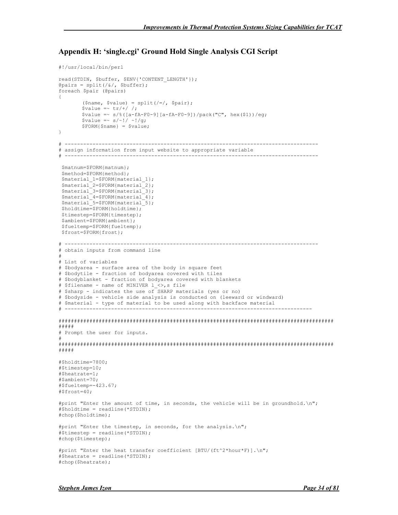#### Appendix H: 'single.cgi' Ground Hold Single Analysis CGI Script

```
#!/usr/local/bin/perl
read(STDIN, $buffer, $ENV{'CONTENT_LENGTH'});
@pairs = split// % /, $buffer);foreach $pair (@pairs)
{
        ($name, $value) = split (/=/, $pair);
       $value = ~ tr/+/ / ;$value = ~ s/$([a-fA-F0-9][a-fA-F0-9])/pack("C", hex($1))/eq;$value = ~ s/~ ! / ~ ~ : / q; $FORM{$name} = $value;
}
# ----------------------------------------------------------------------------------
# assign information from input website to appropriate variable
# ----------------------------------------------------------------------------------
 $matnum=$FORM{matnum};
 $method=$FORM{method};
 $material_1=$FORM{material_1};
 $material_2=$FORM{material_2};
$material 3=$FORM{material 3};
 $material_4=$FORM{material_4};
  $material_5=$FORM{material_5};
 $holdtime=$FORM{holdtime};
 $timestep=$FORM{timestep};
 $ambient=$FORM{ambient};
  $fueltemp=$FORM{fueltemp};
 $frost=$FORM{frost};
# ----------------------------------------------------------------------------------
# obtain inputs from command line
#
# List of variables
# $bodyarea - surface area of the body in square feet
# $bodytile - fraction of bodyarea covered with tiles
# $bodyblanket - fraction of bodyarea covered with blankets
# $filename - name of MINIVER l_<>,s file
# $sharp - indicates the use of SHARP materials (yes or no)
# $bodyside - vehicle side analysis is conducted on (leeward or windward)
# $material - type of material to be used along with backface material
# --------------------------------------------------------------------------------
#########################################################################################
#####
# Prompt the user for inputs.
#
#########################################################################################
#####
#$holdtime=7800;
#$timestep=10;
#$heatrate=1;
#$ambient=70;
#$fueltemp=-423.67;
#$frost=40;
#print "Enter the amount of time, in seconds, the vehicle will be in groundhold.\n";
# \text{sholdtime} = \text{readline}(*STDIN);
#chop($holdtime);
#print "Enter the timestep, in seconds, for the analysis.\n";
#$timestep = readline(*STDIN);
#chop($timestep);
#print "Enter the heat transfer coefficient [BTU/(ft^2*hour*F)].\n";
#$heatrate = readline(*STDIN);
#chop($heatrate);
```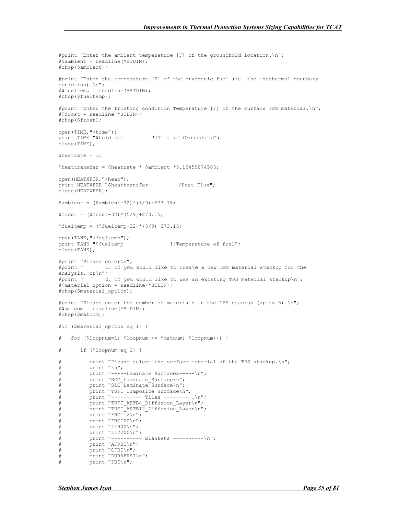#print "Enter the ambient temperature [F] of the groundhold location. $\ln$ "; #\$ambient = readline(\*STDIN); #chop(\$ambient); #print "Enter the temperature [F] of the cryogenic fuel (ie. the isothermal boundary conidtion).\n"; #\$fueltemp = readline(\*STDIN); #chop(\$fueltemp); #print "Enter the frosting condition Temperature [F] of the surface TPS material.\n"; #\$frost = readline(\*STDIN); #chop(\$frost); open(TIME,">time"); print TIME "\$holdtime !/Time of Groundhold"; close(TIME);  $Sheatrate = 1$ :  $Sheattransfer = Sheatrate * Sambient *3.15459074506:$ open(HEATXFER,">heat"); print HEATXFER "\$heattransfer !/Heat Flux"; close(HEATXFER);  $$ambient = (§ambient-32) * (5/9) +273.15;$  $$frost = ($frost-32)*(5/9)+273.15;$  $$fueltemp = ($fueltemp-32) * (5/9) + 273.15;$ open(TANK,">fueltemp");<br>print TANK "\$fueltemp !/Temperature of fuel"; close(TANK); #print "Please enter\n"; #print " 1. if you would like to create a new TPS material stackup for the analysis, or\n"; #print " 2. if you would like to use an existing TPS material stackup\n"; #\$material\_option = readline(\*STDIN); #chop(\$material\_option); #print "Please enter the number of materials in the TPS stackup (up to 5). $\ln$ "; #\$matnum = readline(\*STDIN); #chop(\$matnum); #if (\$material\_option eq 1) { # for (\$loopnum=1; \$loopnum <= \$matnum; \$loopnum++) { # if (\$loopnum eq 1) { # print "Please select the surface material of the TPS stackup.\n"; print  $"\n\n\cdot$ ; print "-----Laminate Surfaces-----\n";  $\frac{1}{p}$  print "RCC Laminate Surface\n";  $\text{print}$  "SiC\_Laminate\_Surface\n"; print "TUFI Composite Surface\n"; print "---------- Tiles ---------.\n"; print "TUFI AETB8 Diffusion Layer\n"; print "TUFI<sup>-</sup>AETB12<sup>Diffusion Layer\n";</sup>  $\text{print}$  "FRCI12\n"; print "FRCI20\n";  $print$  "LI900\n"; print "LI2200\n"; print "---------- Blankets ----------\n"; print "AFRSI\n"; # print "CFBI\n"; # print "DURAFRSI\n";  $print$  "PBI\n";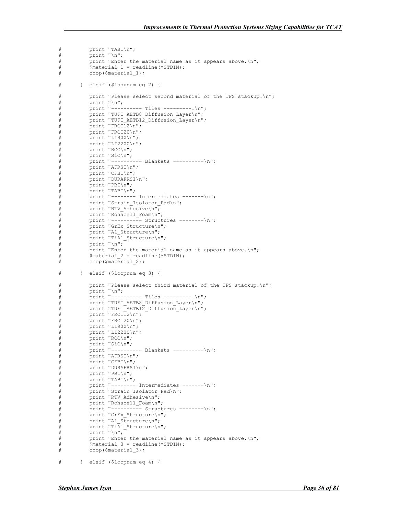```
# print "TABI\n";<br># print "\n";
          print "\n\n":
# print "Enter the material name as it appears above.\n";
# $material_1 = readline(*STDIN);
# chop($material_1);
# } elsif ($loopnum eq 2) {
# print "Please select second material of the TPS stackup.\n";
          \sum_{\text{print}} "\n";
         print "---------- Tiles ---------.\n";
         print "TUFI_AETB8_Diffusion_Layer\n";
         print "TUFI_AETB12_Diffusion_Layer\n";
         \text{print} "FRCI12\n";
         print "FRCI20\n";
         print "LI900\n";
          \text{print} "LI2200\n";
         print "RCC\n";
         print "SiC\n";
         print "---------- Blankets ----------\n";
         .<br>print "AFRSI\n";
         print "CFBI\n";
         print "DURAFRSI\n";
          print "PBI\n";
         print "TABI\n";
         print "-------- Intermediates -------\n\cdot n";
         print "Strain Isolator Pad\n";
         print "RTV Adhesive\n";
         print "Rohacell Foam\n";
         print "---------- Structures --------\n";
          print "GrEx Structure\n";
         \overline{\text{print}} "Al Structure\n";
         \text{print } \text{"Ti\overline{A}l} \text{ Structure}\n\backslash n";print "\n\cdot"\;
          print "Enter the material name as it appears above. \n";
          $material 2 = readline(*STDIN);chop($material_2);
# } elsif ($loopnum eq 3) {
          print "Please select third material of the TPS stackup. \n\cdot";
          \text{print} "\n";
         print "---------- Tiles ---------.\n";
         print "TUFI AETB8 Diffusion Layer\n";
          print "TUFI<sup>-AETB12</sup> Diffusion Layer\n";
         print "FRCI12\n";
         print "FRCI20\n";
         print "LI900\n";
         print "LI2200\n";
         print "RCC\n";
         print "SiC\n";
         print "---------- Blankets ----------\n";
         print "AFRSI\n";
         print "CFBI\n";
         print "DURAFRSI\n";
         print "PBI\n";
         print "TABI\n";
         \sum_{n=1}^{\infty} print "-------- Intermediates -------\n";
          print "Strain Isolator Pad\n";
         print "RTV_Adhesive\n";
         print "Rohacell Foam\n";
         print "----------- Structures --------\n";
         print "GrEx Structure\n";
         print "Al Structure\n";
         print "TiAl Structure\n";
          print "\n\n\cdot;
          print "Enter the material name as it appears above.\n";
          $material 3 = readline(*STDIN);
         chop(\n$material 3);# } elsif ($loopnum eq 4) {
```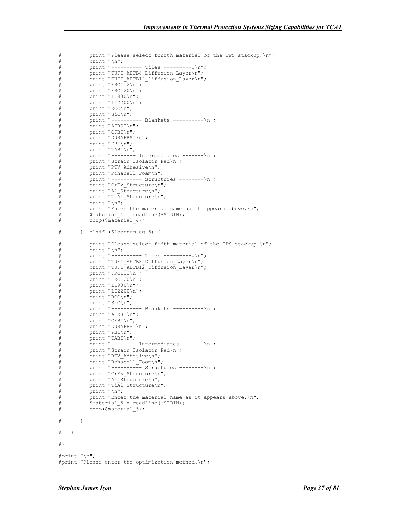```
# print "Please select fourth material of the TPS stackup.\n";
# print "\n";
# print "---------- Tiles ---------.\n";
# print "TUFI AETB8 Diffusion Layer\n";
         print "TUFI<sup>-</sup>AETB12 Diffusion Layer\n";
         \frac{1}{\text{print}} "FRCI12\n";
         print "FRCI20\n";
         print "LI900\n";
         print "LI2200\n";
         print "RCC\n";
         print "SiC\n";
         print "---------- Blankets ----------\n";
         print "AFRSI\n";
         print "CFBI\n";
         print "DURAFRSI\n";
         \text{print "PBI}\n\mid \text{''};
         \frac{1}{p} print "TABI\n";
         .<br>print "-------- Intermediates -------\n";
         print "Strain Isolator Pad\n";
         print "RTV Adhesive\n";
         print "Rohacell Foam\n";
         # print "---------- Structures --------\n";
          print "GrEx Structure\n";
         print "Al Structure\n";
         print "TiAl_Structure\n";
         print "\langle n" \rangleprint "Enter the material name as it appears above.\n \cdot \n \cdot";
         $material 4 = readline(*STDIN);chop($material 4);
# } elsif ($loopnum eq 5) {
# print "Please select fifth material of the TPS stackup.\n";
         # print "\n";
         print "---------- Tiles ---------.\n";
         print "TUFI_AETB8_Diffusion_Layer\n";
         print "TUFI_AETB12_Diffusion_Layer\n";
         = print "FRCI12\n";
         \text{print} "FRCI20\n";
         print "LI900\n";
         print "LI2200\n";
         print "RCC\n";
         print "SiC\n";
         print "---------- Blankets ----------\n";
         print "AFRSI\n";
         print "CFBI\n";
         print "DURAFRSI\n";
         \sum_{\text{print}} "PBI\n";
         print "TABI\n";
         print "-------- Intermediates -------\n";
         print "Strain Isolator Pad\n";
         print "RTV Adhesive\n";
         print "Rohacell_Foam\n";
         print "---------- Structures --------\n";
         print "GrEx Structure\n";
         print "Al Structure\n";
         print "Ti\bar{A}l Structure\n";
# print "\n";
# print "Enter the material name as it appears above.\n";
         $material 5 = readline(*STDIN);# chop($material_5);
# }
# \qquad \}#}
#print "\n";
#print "Please enter the optimization method.\n";
```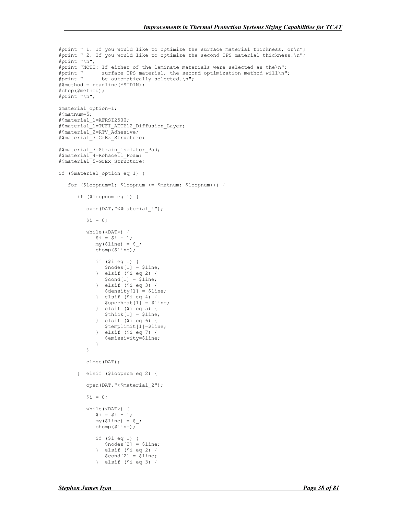```
#print " 1. If you would like to optimize the surface material thickness, or\n";
#print " 2. If you would like to optimize the second TPS material thickness.\n";
#print "\ln";
#print "NOTE: If either of the laminate materials were selected as the\n";<br>#print " surface TPS material, the second optimization method will\n"
#print " surface TPS material, the second optimization method will\n";<br>#print " be automatically selected.\n";
               be automatically selected.\n \n \begin{bmatrix}\n n' \\
 n''\n \end{bmatrix}#$method = readline(*STDIN);
#chop($method);
#print "\n\cdot";
$material_option=1;
\frac{1}{4}$matnum=5;
#$material_1=AFRSI2500;
#$material_1=TUFI_AETB12_Diffusion_Layer;
#$material_2=RTV_Adhesive;
#$material_3=GrEx_Structure;
#$material_3=Strain_Isolator_Pad;
#$material_4=Rohacell_Foam;
#$material_5=GrEx_Structure;
if ($material_option eq 1) {
    for ($loopnum=1; $loopnum <= $matnum; $loopnum++) {
       if ($loopnum eq 1) {
          open(DAT, "<$material 1");
          $i = 0; while(<DAT>) {
             $i = $i + 1;my($line) = $ ;
              chomp($line);
              if ($i eq 1) {
                  $nodes[1] = $line;
               } elsif ($i eq 2) {
                  $cond[1] = $line;
               } elsif ($i eq 3) {
                  $density[1] = $line;
               } elsif ($i eq 4) {
                 $speedheat[1] = $line; } elsif ($i eq 5) {
                 $thick[1] = $line; } elsif ($i eq 6) {
                  $templimit[1]=$line;
               } elsif ($i eq 7) {
                  $emissivity=$line;
 }
 }
           close(DAT);
        } elsif ($loopnum eq 2) {
           open(DAT,"<$material_2");
          $i = 0; while(<DAT>) {
             $i = $i + 1;my($line) = $ ;
              chomp($line);
              if ($i eq 1) {
                  $nodes[2] = $line;
               \epsilonlsif ($i eq 2) {
                 \text{Scond}[2] = \text{sline}; } elsif ($i eq 3) {
```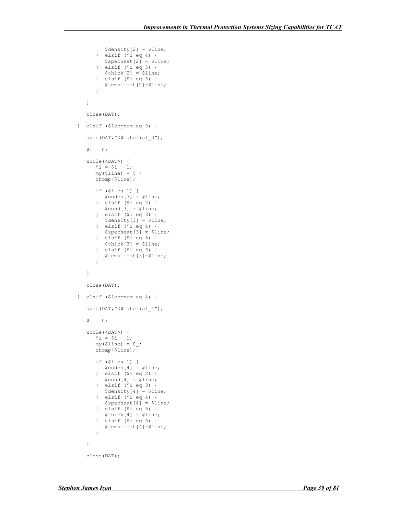```
 $density[2] = $line;
            } elsif ($i eq 4) {
               $specheat[2] = $line;
            } elsif ($i eq 5) {
              $thick[2] = $line; } elsif ($i eq 6) {
               $templimit[2]=$line;
 }
         }
         close(DAT);
      } elsif ($loopnum eq 3) {
        open(DAT, "<$material 3");
        $i = 0; while(<DAT>) {
           $i = $i + 1;my($line) = $ ;
            chomp($line);
            if ($i eq 1) {
               $nodes[3] = $line;
            } elsif ($i eq 2) {
              \text{Send}[3] = \text{Since}; } elsif ($i eq 3) {
               $density[3] = $line;
            } elsif ($i eq 4) {
              $speedheat[3] = $line; } elsif ($i eq 5) {
              $thick[3] = $line; } elsif ($i eq 6) {
           $templimit[3]=$line;
 }
 }
         close(DAT);
      } elsif ($loopnum eq 4) {
        open(DAT, "<$material 4");
        $i = 0; while(<DAT>) {
           $i = $i + 1;my(8line) = S_j chomp($line);
            if ($i eq 1) {
               $nodes[4] = $line;
            } elsif ($i eq 2) {
              $cond[4] = $line; } elsif ($i eq 3) {
              $density[4] = $line; } elsif ($i eq 4) {
              $speedheat[4] = $line; } elsif ($i eq 5) {
               $thick[4] = $line;
            } elsif ($i eq 6) {
            $templimit[4]=$line;
 }
         }
         close(DAT);
```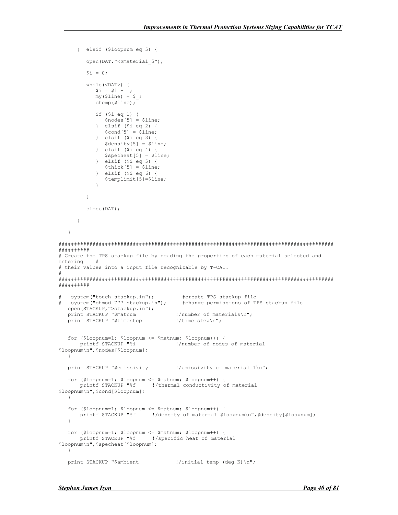```
 } elsif ($loopnum eq 5) {
        open(DAT, "<$material 5");
        $i = 0; while(<DAT>) {
           $i = $i + 1;my($line) = $;
            chomp($line);
            if ($i eq 1) {
              $nodes[5] = $line; } elsif ($i eq 2) {
              $cond[5] = $line; } elsif ($i eq 3) {
               $density[5] = $line;
            } elsif ($i eq 4) {
              $speedheat[5] = $line; } elsif ($i eq 5) {
              $thick[5] = $line; } elsif ($i eq 6) {
           $templimit[5]=$line;
 }
         }
         close(DAT);
      }
    }
#########################################################################################
##########
# Create the TPS stackup file by reading the properties of each material selected and
entering #
# their values into a input file recognizable by T-CAT.
#
#########################################################################################
##########
# system("touch stackup.in"); #create TPS stackup file
# system("chmod 777 stackup.in"); #change permissions of TPS stackup file
  open(STACKUP, ">stackup.in");<br>print STACKUP "$matnum
                                   !/number of materials\n";
  print STACKUP "$timestep !/time step\n";
    for ($loopnum=1; $loopnum <= $matnum; $loopnum++) {
                              !/number of nodes of material
$loopnum\n",$nodes[$loopnum];
   }
   print STACKUP "$emissivity !/emissivity of material 1\n";
    for ($loopnum=1; $loopnum <= $matnum; $loopnum++) {
      printf STACKUP "%f !/thermal conductivity of material
$loopnum\n",$cond[$loopnum];
   }
   for ($loopnum=1; $loopnum <= $matnum; $loopnum++) {
       printf STACKUP "%f !/density of material $loopnum\n",$density[$loopnum];
 }
    for ($loopnum=1; $loopnum <= $matnum; $loopnum++) {
      printf STACKUP "%f !/specific heat of material
$loopnum\n",$specheat[$loopnum];
   }
  print STACKUP "$ambient !/initial temp (deg K) \n";
```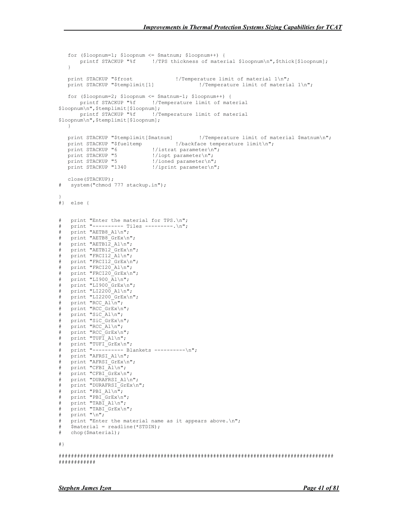```
 for ($loopnum=1; $loopnum <= $matnum; $loopnum++) {
       printf STACKUP "%f !/TPS thickness of material $loopnum\n", $thick[$loopnum];
 }
   print STACKUP "$frost [1] \blacksquare |/Temperature limit of material 1\n";<br>print STACKUP "$templimit[1] \blacksquare |/Temperature limit of material
                                                  !/Temperature limit of material 1\n";
    for ($loopnum=2; $loopnum <= $matnum-1; $loopnum++) {
        printf STACKUP "%f !/Temperature limit of material
$loopnum\n",$templimit[$loopnum];
        printf STACKUP "%f !/Temperature limit of material
$loopnum\n",$templimit[$loopnum];
    }
print STACKUP "$templimit[$matnum] 1/Temperature limit of material $matnum\n";
print STACKUP "$fueltemp | /backface temperature limit\n";
print STACKUP "6 \qquad !/istrat parameter\n";
  print STACKUP "$fueltemp |/backface temp<br>print STACKUP "6 |/istrat parameter\n";<br>print STACKUP "5 |/iopt parameter\n";
print STACKUP "5 \frac{1}{i} : \frac{1}{i} | \frac{1}{i} parameter \n";
print STACKUP "1340 !/iprint parameter\n";
close(STACKUP);<br># system("chmod
  system("chmod 777 stackup.in");
}
#} else {
# print "Enter the material for TPS.\n";
# print "---------- Tiles ---------.\n";
   \frac{1}{p} print "AETB8 Al\n";
# print "AETB8_GrEx\n";
# print "AETB12 Al\n";
   \text{print} "AETB12 GrEx\n";
   print "FRCI12 Al\n";
   print "FRCI12_GrEx\n";
   print "FRCI20_Al\n";
   print "FRCI20 GrEx\n";
   print "LI900 \overline{A}l\n";
   print "LI900<sup>-</sup>GrEx\n";
   print "LI2200 Al\n";
   print "LI2200GrEx\n";
   print "RCC_Al\bar{\setminus}n";
   print "RCC_GrEx\n";
   print "\text{SiC}_\text{Al}\n";
  print "SiC_GrEx\n";
# print "RCC_Al\n";
# print "RCC_GrEx\n";
   print "TUFI Al\n";
   print "TUFI<sup>CrEx\n";</sup>
   print "---------- Blankets ----------\n";
   \sum_{\text{print}} "AFRSI Al\n";
   print "AFRSI<sup>GrEx\n";</sup>
   print "CFBI \overline{A}l\n";
   \overline{\text{print}} "CFBI_GrEx\n";
   print "DURAFRSI Al\n";
# print "DURAFRSI_GrEx\n";
\# print "PBI Al\n";
# print "PBI_GrEx\n";
   print "TABI Al\n";
# print "TABI_GrEx\n";
   print " \n\rangle n";
   print "Enter the material name as it appears above. \ln";
   $material = readline(*STDIN);# chop($material);
#}
#########################################################################################
############
```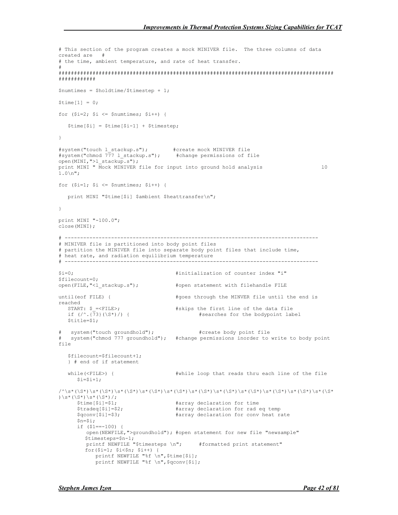```
# This section of the program creates a mock MINIVER file. The three columns of data
created are #
# the time, ambient temperature, and rate of heat transfer.
#
#########################################################################################
############
$numtimes = $holdtime/$timestep + 1;
$time[1] = 0;for (si=2; s i \leq s numtimes; s_{i++}) {
   $time[$i] = $time[$i-1] + $timesep;}
#system("touch l_stackup.s"); #create mock MINIVER file
#system("chmod \overline{77} l stackup.s"); #change permissions of file
open(MINI, ">1 stackup.s");
print MINI " Mock MINIVER file for input into ground hold analysis and the more contained by the more contained to the MINIVER file for input into ground hold analysis and the MINIVER file for input into ground hold analys
1.0\n";
for (\frac{1}{2} - 1; \frac{1}{2} < \frac{1}{2}) (minumes; \frac{1}{2} + \frac{1}{2}) {
    print MINI "$time[$i] $ambient $heattransfer\n";
}
print MINI "-100.0";
close(MINI);
# ----------------------------------------------------------------------------------
# MINIVER file is partitioned into body point files
# partition the MINIVER file into separate body point files that include time,
# heat rate, and radiation equilibrium temperature
# ----------------------------------------------------------------------------------
$i=0; #initialization of counter index "i"
$filecount=0;<br>open(FILE,"<l stackup.s");
                                           #open statement with filehandle FILE
until(eof FILE) { \qquad #goes through the MINVER file until the end is
reached
   START: $_{-}<FILE>;<br>if (/^.{73}(\S*)/) { #skips the first line of the data file<br>#searches for the bodypoint lab
                                                   #searches for the bodypoint label
    $title=$1;
   # system("touch groundhold"); #create body point file
   system("chmod 777 groundhold"); #change permissions inorder to write to body point
file
    $filecount=$filecount+1;
    } # end of if statement
   while(<FILE>) { #while loop that reads thru each line of the fileSi=Si+1:
\frac{1}{3} \frac{1}{3} \frac{1}{3} \frac{1}{3} \frac{1}{3} \frac{1}{3} \frac{1}{3} \frac{1}{3} \frac{1}{3} \frac{1}{3} \frac{1}{3} \frac{1}{3} \frac{1}{3} \frac{1}{3} \frac{1}{3} \frac{1}{3} \frac{1}{3} \frac{1}{3} \frac{1}{3} \frac{1}{3} \frac{1}{3} \frac{1}{3} )\s*(\S*)\s*(\S*)/;<br>$time[$i]=$1;
                                           #array declaration for time
        $tradeq[$i]=$2; #array declaration for rad eq temp
        $qconv[$i]=$3; #array declaration for conv heat rate
       $n= $i; if ($1==-100) {
           open(NEWFILE,">groundhold"); #open statement for new file "newsample"
           $timesteps=$n-1;
          printf NEWFILE "$timesteps \n"; #formatted print statement"
          for($i=1; $i<n; $i+1) {
               printf NEWFILE "%f \n",$time[$i];
              printf NEWFILE "%f \n", $qconv[$i];
```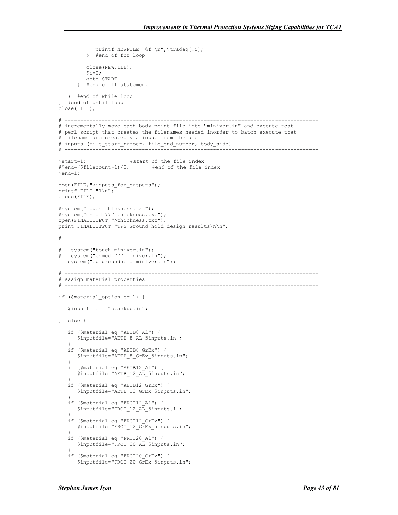```
printf NEWFILE "%f \n", $tradeq[$i];
          } #end of for loop
          close(NEWFILE);
         \sin 5i = 0;
          goto START
       } #end of if statement
    } #end of while loop
} #end of until loop
close(FILE);
# ----------------------------------------------------------------------------------
# incrementally move each body point file into "miniver.in" and execute tcat
# perl script that creates the filenames needed inorder to batch execute tcat
# filename are created via input from the user
# inputs (file_start_number, file_end_number, body_side)
                                                           -----------------------------
$start=1; #start of the file index
#$end=($filecount-1)/2; #end of the file index
$end=1;
open(FILE,">inputs_for_outputs");
printf FILE "1\n";
close(FILE);
#system("touch thickness.txt");
#system("chmod 777 thickness.txt");
open(FINALOUTPUT,">thickness.txt");
print FINALOUTPUT "TPS Ground hold design results\n\n";
# ----------------------------------------------------------------------------------
   system("touch miniver.in");
  system("chmod 777 miniver.in");
    system("cp groundhold miniver.in");
# ----------------------------------------------------------------------------------
# assign material properties
                              # ----------------------------------------------------------------------------------
if ($material_option eq 1) {
    $inputfile = "stackup.in";
} else {
    if ($material eq "AETB8_Al") {
      $inputfile="AETB 8 AL 5inputs.in";
 }
    if ($material eq "AETB8_GrEx") {
       $inputfile="AETB_8_GrEx_5inputs.in";
 }
    if ($material eq "AETB12_Al") {
      $inputfile="AETB_12_AL_5inputs.in";
 }
    if ($material eq "AETB12_GrEx") {
      $inputfile="AETB_12_GrEX_5inputs.in";
 }
    if ($material eq "FRCI12_Al") {
      $inputfile="FRCI_12_AL_5inputs.i";
 }
    if ($material eq "FRCI12_GrEx") {
      $inputfile="FRCI_12_GrEx_5inputs.in";
 }
    if ($material eq "FRCI20_Al") {
      $inputfile="FRCI_20_AL_5inputs.in";
 }
    if ($material eq "FRCI20_GrEx") {
      $inputfile="FRCI_20_GrEx_5inputs.in";
```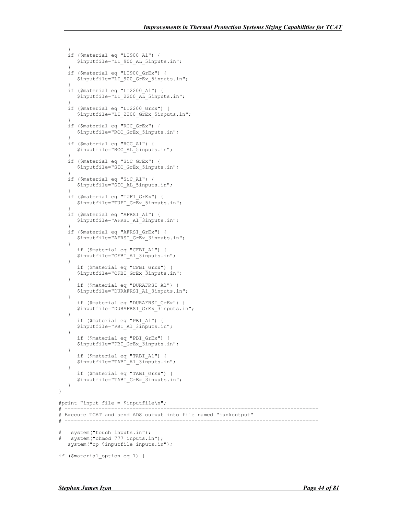```
 }
 if ($material eq "LI900_Al") {
 $inputfile="LI_900_AL_5inputs.in";
 }
    if ($material eq "LI900_GrEx") {
       $inputfile="LI_900_GrEx_5inputs.in";
 }
    if ($material eq "LI2200_Al") {
     $inputfile="LI_2200_AL_5inputs.in";
 }
    if ($material eq "LI2200_GrEx") {
     $inputfile="LI_2200_GrEx_5inputs.in";
 }
    if ($material eq "RCC_GrEx") {
       $inputfile="RCC_GrEx_5inputs.in";
 }
    if ($material eq "RCC_Al") {
      $inputfile="RCC_AL_5inputs.in";
 }
    if ($material eq "SiC_GrEx") {
     $inputfile="SIC GrEx 5inputs.in";
 }
 if ($material eq "SiC_Al") {
 $inputfile="SIC_AL_5inputs.in";
 }
   if ($material eq "TUFI_GrEx") {
     $inputfile="TUFI GrEx 5inputs.in";
 }
    if ($material eq "AFRSI_Al") {
      $inputfile="AFRSI_Al_3inputs.in";
 }
    if ($material eq "AFRSI_GrEx") {
      $inputfile="AFRSI_GrEx_3inputs.in";
 }
      if ($material eq "CFBI_Al") {
      $inputfile="CFBI_Al_3inputs.in";
    }
       if ($material eq "CFBI_GrEx") {
      $inputfile="CFBI_GrEx_3inputs.in";
 }
       if ($material eq "DURAFRSI_Al") {
     $inputfile="DURAFRSI_Al_3inputs.in";
 }
      if ($material eq "DURAFRSI_GrEx") {
      $inputfile="DURAFRSI_GrEx_3inputs.in";
    }
      if ($material eq "PBI_Al") {
      $inputfile="PBI_Al_3inputs.in";
    }
       if ($material eq "PBI_GrEx") {
      $inputfile="PBI_GrEx_3inputs.in";
    }
      if ($material eq "TABI_Al") {
      $inputfile="TABI_Al_3inputs.in";
    }
      if ($material eq "TABI_GrEx") {
      $inputfile="TABI_GrEx_3inputs.in";
   }
}
#print "input file = $inputfile\n";
# ----------------------------------------------------------------------------------
# Execute TCAT and send ADS output into file named "junkoutput"
# ----------------------------------------------------------------------------------
# system("touch inputs.in");
# system("chmod 777 inputs.in");
   system("cp $inputfile inputs.in");
if ($material_option eq 1) {
```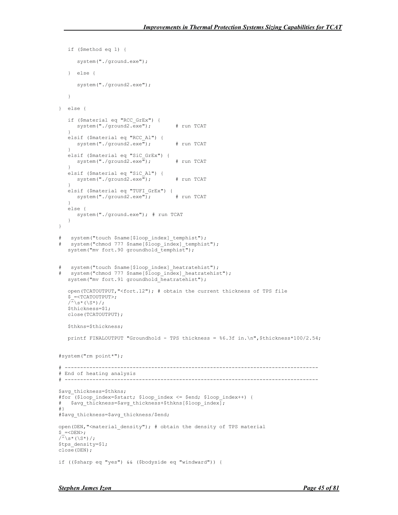```
 if ($method eq 1) {
       system("./ground.exe");
    } else {
       system("./ground2.exe");
    }
} else {
    if ($material eq "RCC_GrEx") {
      system("./ground2.exe"); # run TCAT
 }
    elsif ($material eq "RCC_Al") {
     system("./ground2.exe"); # run TCAT
 }
    elsif ($material eq "SiC_GrEx") {
     system("./ground2.exe^{\overline{n}}); # run TCAT
 }
    elsif ($material eq "SiC_Al") {
     system("./ground2.exe"); # run TCAT
    }
    elsif ($material eq "TUFI_GrEx") {
     system("./ground2.exe"); # run TCAT
    }
   else {
      system("./ground.exe"); # run TCAT
    }
}
# system("touch $name[$loop_index]_temphist");
  system("chmod 777 $name[$loop_index] temphist");
   system("mv fort.90 groundhold temphist");
  system("touch $name[$loop_index]_heatratehist");
  system("chmod 777 $name[$loop_index]_heatratehist");
    system("mv fort.91 groundhold_heatratehist");
   open(TCATOUTPUT,"<fort.12"); # obtain the current thickness of TPS file
    $_=<TCATOUTPUT>;
   /^{\wedge}\s*(\S*)/;
    $thickness=$1;
   close(TCATOUTPUT);
    $thkns=$thickness;
   printf FINALOUTPUT "Groundhold - TPS thickness = %6.3f in.\n",$thickness*100/2.54;
#system("rm point*");
# ----------------------------------------------------------------------------------
# End of heating analysis
# ----------------------------------------------------------------------------------
$avg_thickness=$thkns;
#for ($loop_index=$start; $loop_index <= $end; $loop_index++) {
# $avg_thickness=$avg_thickness+$thkns[$loop_index];
#}
#$avg_thickness=$avg_thickness/$end;
open(DEN, "<material density"); # obtain the density of TPS material
$ = <DEN>;
\sqrt{\hat{K}}\setminus s^*(\S^*) /;
$tps_density=$1;
close(DEN);
if (($sharp eq "yes") && ($bodyside eq "windward")) {
```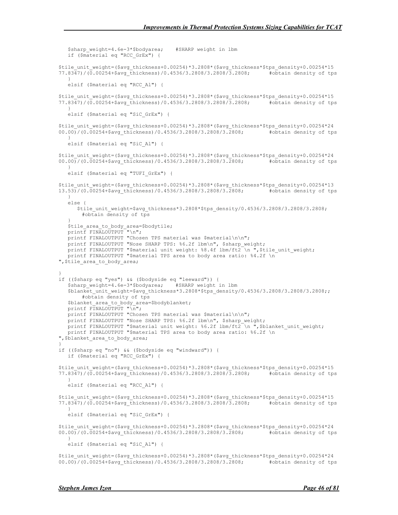```
 $sharp_weight=4.6e-3*$bodyarea; #SHARP weight in lbm
    if ($material eq "RCC_GrEx") {
$tile_unit_weight=($avg_thickness+0.00254)*3.2808*($avg_thickness*$tps_density+0.00254*15
77.83\overline{4}7) /(\overline{0}.00254+$avg thickness)/0.4536/3.2808/3.2808/3.2808; #obtain density of tps
 }
    elsif ($material eq "RCC_Al") {
$tile_unit_weight=($avg_thickness+0.00254)*3.2808*($avg_thickness*$tps_density+0.00254*15
77.8347)/(0.00254+$avg_thickness)/0.4536/3.2808/3.2808/3.2808; #obtain density of tps
 }
    elsif ($material eq "SiC_GrEx") {
$tile_unit_weight=($avg_thickness+0.00254)*3.2808*($avg_thickness*$tps_density+0.00254*24<br>00.00)/(0.00254+$avg_thickness)/0.4536/3.2808/3.2808/3.2808; #obtain_density_of_tps
00.00)/(0.00254+$avg_thickness)/0.4536/3.2808/3.2808/3.2808;
 }
    elsif ($material eq "SiC_Al") {
$title_unit_weight=($avg_thickness+0.00254)*3.2808*($avg_thickness*$tps_density+0.00254*24<br>00.00)/(0.00254*$avg thickness)/(0.4536/3.2808/3.2808/3.2808; #obtain density of tps00.00)/(0.00254+$avg_thickness)/0.4536/3.2808/3.2808/3.2808;
   }
    elsif ($material eq "TUFI_GrEx") {
$tile_unit_weight=($avg_thickness+0.00254)*3.2808*($avg_thickness*$tps_density+0.00254*13
13.53)/(0.00254+$avg_thickness)/0.4536/3.2808/3.2808/3.2808; #obtain density of tps
 }
    else {
       $tile_unit_weight=$avg_thickness*3.2808*$tps_density/0.4536/3.2808/3.2808/3.2808;
         #obtain density of tps
 }
   $tile area to_body_area=$bodytile;
   \overline{p} \overline{p} \overline{p} \overline{p} \overline{p} \overline{p} \overline{p} \overline{p} \overline{p} \overline{p} \overline{p} \overline{p} \overline{p} \overline{p} \overline{p} \overline{p} \overline{p} \overline{p} \overline{p} \overline{p} \overline{p} \overline{p} \overline{p} \overline{p} \overline{printf FINALOUTPUT "Chosen TPS material was $material\n\n";
   printf FINALOUTPUT "Nose SHARP TPS: %6.2f lbm\n", $sharp weight;
   printf FINALOUTPUT "$material unit weight: %8.4f lbm/ft2 \n ",$tile_unit_weight;
   printf FINALOUTPUT "$material TPS area to body area ratio: %4.2f \n
",$tile_area_to_body_area;
}
if (($sharp eq "yes") && ($bodyside eq "leeward")) {
    $sharp_weight=4.6e-3*$bodyarea; #SHARP weight in lbm
    $blanket_unit_weight=$avg_thickness*3.2808*$tps_density/0.4536/3.2808/3.2808/3.2808;;
        #obtain density of tps
   $blanket area to body area=$bodyblanket;
   printf FINALOUTPUT "\n";
   .<br>printf FINALOUTPUT "Chosen TPS material was $material\n\n";
    printf FINALOUTPUT "Nose SHARP TPS: %6.2f lbm\n", $sharp_weight;
   printf FINALOUTPUT "$material unit weight: %6.2f lbm/ft2 \n ",$blanket_unit_weight;
    printf FINALOUTPUT "$material TPS area to body area ratio: %6.2f \n
", $blanket area to body area;
}
if (($sharp eq "no") && ($bodyside eq "windward")) {
    if ($material eq "RCC_GrEx") {
$tile_unit_weight=($avg_thickness+0.00254)*3.2808*($avg_thickness*$tps_density+0.00254*15
77.83\overline{4}7)/(\overline{0.00254}+\overline{5}avg\overline{t}hickness)/0.4536/3.2808/3.2808/3.2808; #obtain density of tps
 }
    elsif ($material eq "RCC_Al") {
$tile_unit_weight=($avg_thickness+0.00254)*3.2808*($avg_thickness*$tps_density+0.00254*15
77.8347)/(0.00254+$avg_thickness)/0.4536/3.2808/3.2808/3.2808; #obtain density of tps
 }
    elsif ($material eq "SiC_GrEx") {
$title_unit_weight=($avg_thickness+0.00254)*3.2808*($avg_thickness*$tps_density+0.00254*24<br>00.00)/(0.00254*$avg-thickness)/0.4536/3.2808/3.2808/3.2808; #obtain density of tps00.00)/(0.00254+$avg_thickness)/0.4536/3.2808/3.2808/3.2808;
 }
    elsif ($material eq "SiC_Al") {
$tile_unit_weight=($avg_thickness+0.00254)*3.2808*($avg_thickness*$tps_density+0.00254*24
00.00)/(0.00254+$avg_thickness)/0.4536/3.2808/3.2808/3.2808; #obtain density of tps
```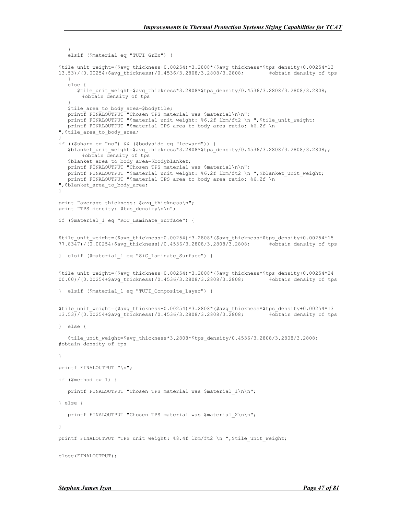```
 }
    elsif ($material eq "TUFI_GrEx") {
$tile_unit_weight=($avg_thickness+0.00254)*3.2808*($avg_thickness*$tps_density+0.00254*13
13.53)/(0.00254+$avg_thickness)/0.4536/3.2808/3.2808/3.2808; #obtain density of tps
 }
    else {
      $tile_unit_weight=$avg_thickness*3.2808*$tps_density/0.4536/3.2808/3.2808/3.2808;
       #obtain density of tps
 }
$tile area to body area=$bodytile;
 printf FINALOUTPUT "Chosen TPS material was $material\n\n";
   printf FINALOUTPUT "$material unit weight: %6.2f lbm/ft2 \n ", $tile unit weight;
  printf FINALOUTPUT "$material TPS area to body area ratio: %6.2f \n
",$tile_area_to_body_area;
}
if (($sharp eq "no") && ($bodyside eq "leeward")) {
   $blanket unit weight=$avg_thickness*3.2808*$tps_density/0.4536/3.2808/3.2808/3.2808;;
       #obtain density of tps
   $blanket area to body area=$bodyblanket;
  printf FINALOUTPUT "Chosen TPS material was $material\n\n";
  printf FINALOUTPUT "$material unit weight: %6.2f lbm/ft2 \n ",$blanket unit weight;
    printf FINALOUTPUT "$material TPS area to body area ratio: %6.2f \n
",$blanket_area_to_body_area;
}
print "average thickness: $avg thickness\n";
print "TPS density: $tps_density\n\n";
if ($material_1 eq "RCC_Laminate_Surface") {
$tile_unit_weight=($avg_thickness+0.00254)*3.2808*($avg_thickness*$tps_density+0.00254*15
77.83\overline{4}7)/(\overline{0.00254}+$avg_thickness)/0.4536/3.2808/3.2808/3.2808; #obtain density of tps
} elsif ($material_1 eq "SiC_Laminate_Surface") {
$tile_unit_weight=($avg_thickness+0.00254)*3.2808*($avg_thickness*$tps_density+0.00254*24
00.00/(0.00254+$avg_thickness)/0.4536/3.2808/3.2808/3.2808; #obtain density of tps
} elsif ($material_1 eq "TUFI_Composite_Layer") {
$tile_unit_weight=($avg_thickness+0.00254)*3.2808*($avg_thickness*$tps_density+0.00254*13
13.53)/(0.00254+$avg_thickness)/0.4536/3.2808/3.2808/3.2808; #obtain density of tps
} else {
    $tile_unit_weight=$avg_thickness*3.2808*$tps_density/0.4536/3.2808/3.2808/3.2808;
#obtain density of tps
}
printf FINALOUTPUT "\n";
if ($method eq 1) {
   printf FINALOUTPUT "Chosen TPS material was $material 1\n\n\ln\n";
} else {
   printf FINALOUTPUT "Chosen TPS material was $material 2\n\n";
}
printf FINALOUTPUT "TPS unit weight: %8.4f lbm/ft2 \n ", $tile unit weight;
close(FINALOUTPUT);
```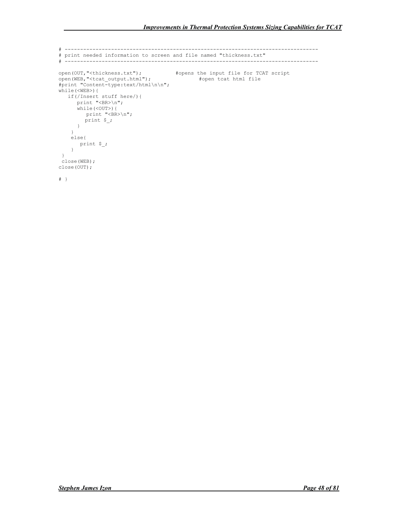```
# ----------------------------------------------------------------------------------
# print needed information to screen and file named "thickness.txt"
# ----------------------------------------------------------------------------------
open(OUT,"<thickness.txt"); #opens the input file for TCAT script
open(WEB,"<tcat_output.html"); #open tcat html file
#print "Content-type:text/html\n\n";
while(<WEB>){
 if(/Insert stuff here/){
 print "<BR>\n";
      while(<OUT>){
       print "<BR>\n";
        print $_;
     }
    }
    else{
     print $_;
    }
  }
 close(WEB);
close(OUT);
```

```
\# }
```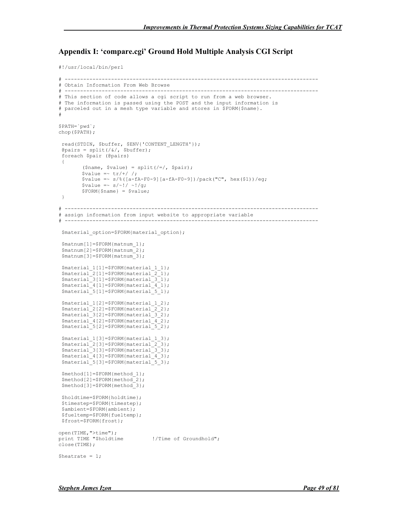#### Appendix I: 'compare.cgi' Ground Hold Multiple Analysis CGI Script

```
#!/usr/local/bin/perl
```

```
# ----------------------------------------------------------------------------------
# Obtain Information From Web Browse
        # ----------------------------------------------------------------------------------
# This section of code allows a cgi script to run from a web browser.
# The information is passed using the POST and the input information is
# parceled out in a mesh type variable and stores in $FORM{$name}.
#
$PATH=`pwd`;
chop($PATH);
  read(STDIN, $buffer, $ENV{'CONTENT_LENGTH'});
 @pairs = split//% /, $buffer);
  foreach $pair (@pairs)
  {
        ($name, $value) = split('=/, $pair);$value = ~ tr/+/ / ;$value = ~ s / ([a-fA-F0-9][a-fA-F0-9])/pack("C", hex($1))/eq;
        $value = ~ s/~ ! / ~ ~ '!/g; $FORM{$name} = $value;
  }
# ----------------------------------------------------------------------------------
# assign information from input website to appropriate variable
# ----------------------------------------------------------------------------------
  $material_option=$FORM{material_option};
  $matnum[1]=$FORM{matnum_1};
  $matnum[2]=$FORM{matnum_2};
 $math[3]=$FORM{math[maximum]};$material 1[1]=$FORM{material 1 1};
 $material_2[1]=$FORM {material_2_1}; $material_3[1]=$FORM{material_3_1};
 $material_4[1]=$FORM {material_4_1};
 $material_5[1]=$FORM{material_5_1};
  $material_1[2]=$FORM{material_1_2};
$material 2[2]=$FORM{material 2 2};
$material 3[2]=$FORM{material 3 2};
 $material<sup>-4</sup>[2]=$FORM {material}<sup>-4</sup>2};
 $material<sup>5</sup>[2]=$FORM { material}<sup>5</sup><sup>2</sup>};
 $material 1[3]=$FORM{material 1_3};
  $material_2[3]=$FORM{material_2_3};
$material 3[3]=$FORM{material 3 3};
$material 4[3]=$FORM{material 4 3};
  $material_5[3]=$FORM{material_5_3};
  $method[1]=$FORM{method_1};
 $method[2]=$FORM{method<sup>-2</sup>}; $method[3]=$FORM{method_3};
  $holdtime=$FORM{holdtime};
  $timestep=$FORM{timestep};
  $ambient=$FORM{ambient};
  $fueltemp=$FORM{fueltemp};
 $frost=$FORM{frost};
open(TIME,">time");
print TIME "$holdtime !/Time of Groundhold";
close(TIME);
$heatrate = 1;
```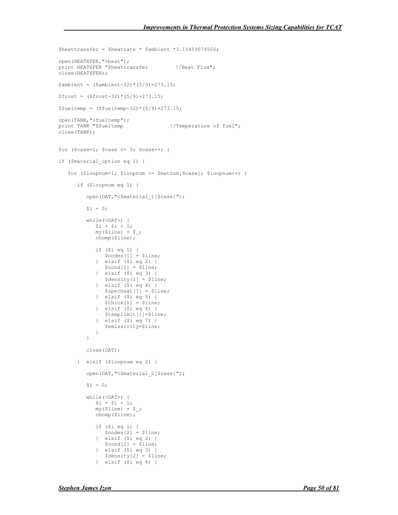```
$heattransfer = $heatrate * $ambient *3.15459074506;
open(HEATXFER,">heat");
print HEATXFER "$heattransfer !/Heat Flux";
close(HEATXFER);
$ambient = ($ambient-32) * (5/9) +273.15;$frost = ($frost-32)*$(5/9)+273.15;$fueltemp = ($fueltemp-32) * (5/9) + 273.15;open(TANK,">fueltemp");<br>print TANK "$fueltemp
                           !/Temperature of fuel";
close(TANK);
for ($case=1; $case \leq 3; $case++) {
if ($material_option eq 1) {
    for ($loopnum=1; $loopnum <= $matnum[$case]; $loopnum++) {
       if ($loopnum eq 1) {
          open(DAT,"<$material_1[$case]");
         $i = 0; while(<DAT>) {
           $i = $i + 1;my($line) = $;
             chomp($line);
             if ($i eq 1) {
                $nodes[1] = $line;
             } elsif ($i eq 2) {
                $cond[1] = $line;
             } elsif ($i eq 3) {
                $density[1] = $line;
 } elsif ($i eq 4) {
$specheat[1] = $line;
             } elsif ($i eq 5) {
              $thick[1] = $line; } elsif ($i eq 6) {
                $templimit[1]=$line;
             } elsif ($i eq 7) {
                $emissivity=$line;
 }
 }
          close(DAT);
       } elsif ($loopnum eq 2) {
         open(DAT, "<$material 2[$case]");
         $i = 0; while(<DAT>) {
            $i = $i + 1;my($line) = $\cdot;
             chomp($line);
             if ($i eq 1) {
                $nodes[2] = $line;
             } elsif ($i eq 2) {
              $cond[2] = $line; } elsif ($i eq 3) {
               $density[2] = $line; } elsif ($i eq 4) {
```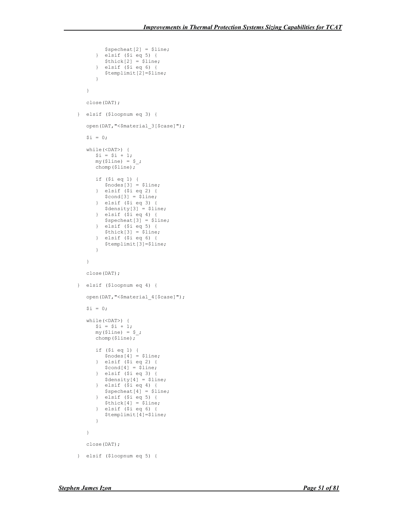```
 $specheat[2] = $line;
            } elsif ($i eq 5) {
              $thick[2] = $line;
            } elsif ($i eq 6) {
              $templimit[2]=$line;
 }
         }
         close(DAT);
      } elsif ($loopnum eq 3) {
         open(DAT,"<$material_3[$case]");
        $i = 0; while(<DAT>) {
          $i = $i + 1;my($line) = $ ;
           chomp($line);
 if ($i eq 1) {
 $nodes[3] = $line;
            } elsif ($i eq 2) {
             $cond[3] = $line; } elsif ($i eq 3) {
             $density[3] = $line; } elsif ($i eq 4) {
              $specheat[3] = $line;
            } elsif ($i eq 5) {
             $thick[3] = $line; } elsif ($i eq 6) {
              $templimit[3]=$line;
 }
         }
         close(DAT);
      } elsif ($loopnum eq 4) {
        open(DAT, "<$material 4[$case]");
        $i = 0; while(<DAT>) {
          $i = $i + 1;my(8line) = S_j chomp($line);
           if ($i eq 1) {
             $nodes[4] = $line; } elsif ($i eq 2) {
$cond[4] = $line; } elsif ($i eq 3) {
             $density[4] = $line; } elsif ($i eq 4) {
             $speedheat[4] = $line; } elsif ($i eq 5) {
              $thick[4] = $line;
            } elsif ($i eq 6) {
            $templimit[4]=$line;
 }
         }
         close(DAT);
      } elsif ($loopnum eq 5) {
```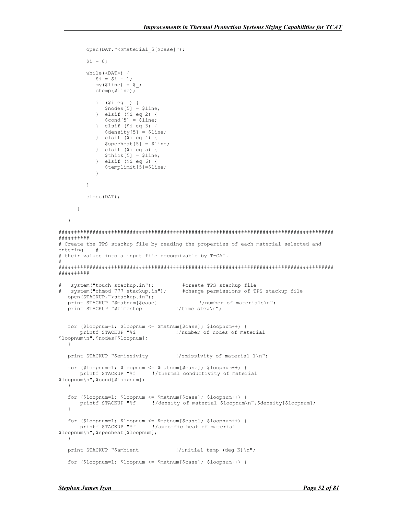```
 open(DAT,"<$material_5[$case]");
         $i = 0; while(<DAT>) {
            $i = $i + 1;my($line) = $;
             chomp($line);
             if ($i eq 1) {
              $nodes[5] = $line; } elsif ($i eq 2) {
               $cond[5] = $line; } elsif ($i eq 3) {
                $density[5] = $line;
             } elsif ($i eq 4) {
                $specheat[5] = $line;
             } elsif ($i eq 5) {
                $thick[5] = $line;
              } elsif ($i eq 6) {
                $templimit[5]=$line;
 }
          }
         close(DAT);
      }
    }
#########################################################################################
##########
# Create the TPS stackup file by reading the properties of each material selected and
entering #
# their values into a input file recognizable by T-CAT.
#
#########################################################################################
##########
# system("touch stackup.in"); #create TPS stackup file
# system("chmod 777 stackup.in"); #change permissions of TPS stackup file
   open(STACKUP,">stackup.in");
  print STACKUP "$matnum[$case] \qquad !/number of materials\n";<br>print STACKUP "$timestep \qquad !/time step\n";
  print STACKUP "$timestep
    for ($loopnum=1; $loopnum <= $matnum[$case]; $loopnum++) {
                                     !/number of nodes of material
$loopnum\n",$nodes[$loopnum];
   }
   print STACKUP "$emissivity !/emissivity of material 1\n";
    for ($loopnum=1; $loopnum <= $matnum[$case]; $loopnum++) {
       printf STACKUP "%f !/thermal conductivity of material
$loopnum\n",$cond[$loopnum];
   }
    for ($loopnum=1; $loopnum <= $matnum[$case]; $loopnum++) {
      printf STACKUP "%f !/density of material $loopnum\n", $density[$loopnum];
 }
    for ($loopnum=1; $loopnum <= $matnum[$case]; $loopnum++) {
      printf STACKUP "%f !/specific heat of material
$loopnum\n",$specheat[$loopnum];
   }
  print STACKUP "$ambient !/initial temp (deg K) \n";
    for ($loopnum=1; $loopnum <= $matnum[$case]; $loopnum++) {
```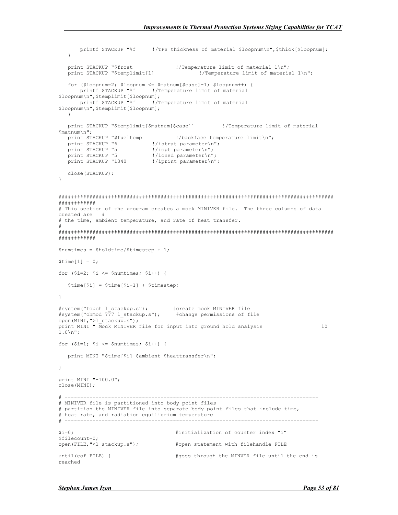```
printf STACKUP "%f !/TPS thickness of material $loopnum\n",$thick[$loopnum];
    }
   print STACKUP "$frost [1] \blacksquare |/Temperature limit of material 1\n";<br>print STACKUP "$templimit[1] \blacksquare |/Temperature limit of material
                                                   !/Temperature limit of material 1\n";
    for ($loopnum=2; $loopnum <= $matnum[$case]-1; $loopnum++) {
        printf STACKUP "%f !/Temperature limit of material
$loopnum\n",$templimit[$loopnum];
        printf STACKUP "%f !/Temperature limit of material
$loopnum\n",$templimit[$loopnum];
 }
    print STACKUP "$templimit[$matnum[$case]] !/Temperature limit of material
$matnum\n";<br>print STACKUP "$fueltemp
   print STACKUP "$fueltemp !/backface temperature limit\n";<br>print STACKUP "6 !/istrat parameter\n";
   print STACKUP "6 \frac{1}{i} : \frac{1}{i} : \frac{1}{i} : \frac{1}{i} : \frac{1}{i} : \frac{1}{i} : \frac{1}{i} : \frac{1}{i} : \frac{1}{i} : \frac{1}{i} : \frac{1}{i} : \frac{1}{i} : \frac{1}{i} : \frac{1}{i} : \frac{1}{i} : \frac{1}{i} : \frac{1}{i} : print STACKUP "5 \qquad !/iopt parameter\n";<br>print STACKUP "5 \qquad !/ioned parameter\n";
print STACKUP "5 \frac{1}{i} : /ioned parameter\n";
print STACKUP "1340 !/iprint parameter\n";
    close(STACKUP);
}
#########################################################################################
############
# This section of the program creates a mock MINIVER file. The three columns of data
created are #
# the time, ambient temperature, and rate of heat transfer.
#
#########################################################################################
############
$numtimes = $holdtime/$timestep + 1;
$time[1] = 0;for (Si=2; Si \leq Snumtimes; Si++) {
   $time[$i] = $time[$i-1] + $timesep;}
#system("touch l_stackup.s"); #create mock MINIVER file
#system("chmod 7\overline{7} l stackup.s");
open(MINI,">l_stackup.s");
print MINI " Mock MINIVER file for input into ground hold analysis low and low
1.0\n";
for (\frac{1}{2} - 1; \frac{1}{2} < \frac{1}{2} \frac{1}{2}) {
   print MINI "$time[$i] $ambient $heattransfer\n";
}
print MINI "-100.0";
close(MINI);
# ----------------------------------------------------------------------------------
# MINIVER file is partitioned into body point files
# partition the MINIVER file into separate body point files that include time,
# heat rate, and radiation equilibrium temperature
# ----------------------------------------------------------------------------------
$i=0; #initialization of counter index "i"
$filecount=0;
open(FILE,"<1 stackup.s"); #open statement with filehandle FILE
until(eof FILE) { #goes through the MINVER file until the end is
reached
```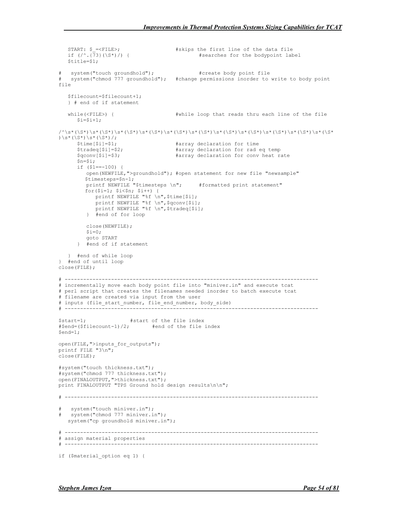```
START: $_{-}<FILE>; $\ast$ +skips the first line of the data file if (/^.{73}(\S*)/) { # searches for the bodypoint lable
                                              #searches for the bodypoint label
    $title=$1;
  # system("touch groundhold"); #create body point file
   system("chmod 777 groundhold"); #change permissions inorder to write to body point
file
    $filecount=$filecount+1;
    } # end of if statement
   while(<FILE>) { # #while loop that reads thru each line of the file
     Si=Si+1:
/^\s*(\S*)\s*(\S*)\s*(\S*)\s*(\S*)\s*(\S*)\s*(\S*)\s*(\S*)\s*(\S*)\s*(\S*)\s*(\S*)\s*(\S*
)\s*(\S*)\s*(\S*)/;
      $time[$i]=$1;<br>$tradeq[$i]=$2; #array declaration for rad
      $tradeq[$i]=$2; <br>$dramag declaration for rad eq temp<br>$dramag declaration for conv heat rad eq temps
                                      #array declaration for conv heat rate
       $n=$i; 
      if (S1 == -100) {
          open(NEWFILE,">groundhold"); #open statement for new file "newsample"
         $timesteps=$n-1;
         printf NEWFILE "$timesteps \n"; #formatted print statement"
         for($i=1; $i<$n; $i++) {
           printf NEWFILE "%f \n", $time[$i];
            printf NEWFILE "%f \n", $qconv[$i];
            printf NEWFILE "%f \n", $tradeq[$i];
          } #end of for loop
          close(NEWFILE);
         $i=0; goto START
       } #end of if statement
    } #end of while loop
} #end of until loop
close(FILE);
# ----------------------------------------------------------------------------------
# incrementally move each body point file into "miniver.in" and execute tcat
# perl script that creates the filenames needed inorder to batch execute tcat
# filename are created via input from the user
# inputs (file start number, file end number, body side)
# ----------------------------------------------------------------------------------
$start=1; #start of the file index
#$end=($filecount-1)/2; #end of the file index
$end=1;
open(FILE, ">inputs for outputs");
printf FILE "3\n";
close(FILE);
#system("touch thickness.txt");
#system("chmod 777 thickness.txt");
open(FINALOUTPUT,">thickness.txt");
print FINALOUTPUT "TPS Ground hold design results\n\n";
# ----------------------------------------------------------------------------------
# system("touch miniver.in");
# system("chmod 777 miniver.in");
    system("cp groundhold miniver.in");
# ----------------------------------------------------------------------------------
# assign material properties
# ----------------------------------------------------------------------------------
if ($material_option eq 1) {
```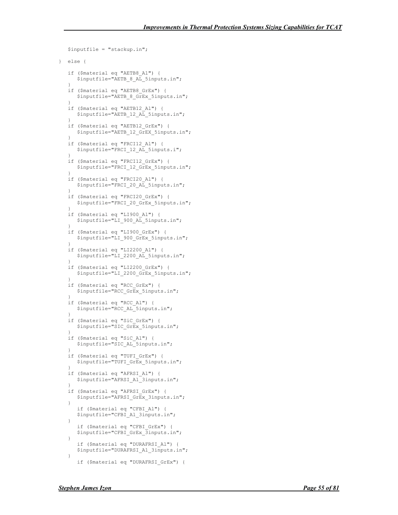```
 $inputfile = "stackup.in";
} else {
    if ($material eq "AETB8_Al") {
      $inputfile="AETB 8 AL 5inputs.in";
 }
    if ($material eq "AETB8_GrEx") {
     $inputfile="AETB_8_GrEx_5inputs.in";
 }
 if ($material eq "AETB12_Al") {
$inputfile="AETB 12 AL 5inputs.in";
 }
   if ($material eq "AETB12_GrEx") {
       $inputfile="AETB_12_GrEX_5inputs.in";
 }
    if ($material eq "FRCI12_Al") {
     $inputfile="FRCI_12_AL_5inputs.i";
 }
    if ($material eq "FRCI12_GrEx") {
     $inputfile="FRCI_12_GrEx_5inputs.in";
 }
 if ($material eq "FRCI20_Al") {
$inputfile="FRCI 20 AL 5inputs.in";
 }
    if ($material eq "FRCI20_GrEx") {
     $inputfile="FRCI_20_GrEx_5inputs.in";
 }
    if ($material eq "LI900_Al") {
      $inputfile="LI_900_AL_5inputs.in";
 }
   if ($material eq "LI900_GrEx") {
     $inputfile="LI_900_GrEx_5inputs.in";
 }
    if ($material eq "LI2200_Al") {
       $inputfile="LI_2200_AL_5inputs.in";
 }
 if ($material eq "LI2200_GrEx") {
 $inputfile="LI_2200_GrEx_5inputs.in";
 }
    if ($material eq "RCC_GrEx") {
       $inputfile="RCC_GrEx_5inputs.in";
 }
 if ($material eq "RCC_Al") {
 $inputfile="RCC_AL_5inputs.in";
 }
    if ($material eq "SiC_GrEx") {
     $inputfile="SIC GrEx 5inputs.in";
 }
    if ($material eq "SiC_Al") {
      $inputfile="SIC_AL_5inputs.in";
 }
    if ($material eq "TUFI_GrEx") {
      $inputfile="TUFI_GrEx_5inputs.in";
 }
    if ($material eq "AFRSI_Al") {
       $inputfile="AFRSI_Al_3inputs.in";
 }
    if ($material eq "AFRSI_GrEx") {
      $inputfile="AFRSI_GrEx_3inputs.in";
 }
      if ($material eq "CFBI_Al") {
      $inputfile="CFBI_Al_3inputs.in";
 }
      if ($material eq "CFBI_GrEx") {
      $inputfile="CFBI_GrEx_3inputs.in";
    }
      if ($material eq "DURAFRSI_Al") {
     $inputfile="DURAFRSI_Al_3inputs.in";
    }
       if ($material eq "DURAFRSI_GrEx") {
```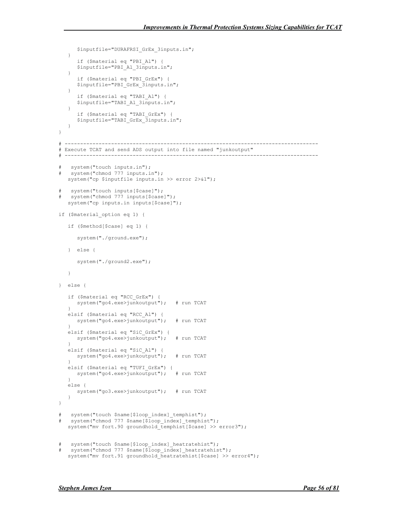```
 $inputfile="DURAFRSI_GrEx_3inputs.in";
   }
      if ($material eq "PBI_Al") {
      $inputfile="PBI_Al_3inputs.in";
    }
       if ($material eq "PBI_GrEx") {
      $inputfile="PBI_GrEx_3inputs.in";
    }
       if ($material eq "TABI_Al") {
     $inputfile="TABI_Al_3inputs.in";
    }
      if ($material eq "TABI_GrEx") {
     $inputfile="TABI GrEx 3inputs.in";
   }
}
# ----------------------------------------------------------------------------------
# Execute TCAT and send ADS output into file named "junkoutput"
# ----------------------------------------------------------------------------------
  system("touch inputs.in");
  system("chmod 777 inputs.in");
   system("cp $inputfile inputs.in >> error 2>&1");
  system("touch inputs[$case]");
  system("chmod 777 inputs[$case]");
  system("cp inputs.in inputs[$case]");
if ($material_option eq 1) {
   if ($method[$case] eq 1) {
      system("./ground.exe");
    } else {
      system("./ground2.exe");
    }
} else {
   if ($material eq "RCC_GrEx") {
      system("go4.exe>junkoutput"); # run TCAT
 }
   elsif ($material eq "RCC_Al") {
      system("go4.exe>junkoutput"); # run TCAT 
 }
   elsif ($material eq "SiC_GrEx") {
      system("go4.exe>junkoutput"); # run TCAT
 }
   elsif ($material eq "SiC_Al") {
      system("go4.exe>junkoutput"); # run TCAT
 }
   elsif ($material eq "TUFI_GrEx") {
     system("go4.exe>junkoutput"); # run TCAT
 }
   else {
     system("go3.exe>junkoutput"); # run TCAT
    }
}
  system("touch $name[$loop_index]_temphist");
  system("chmod 777 $name[$loop_index] temphist");
  system("mv fort.90 groundhold temphist[$case] >> error3");
  system("touch $name[$loop_index]_heatratehist");
   system("chmod 777 $name[$loop_index]_heatratehist");
   system("mv fort.91 groundhold heatratehist[$case] >> error4");
```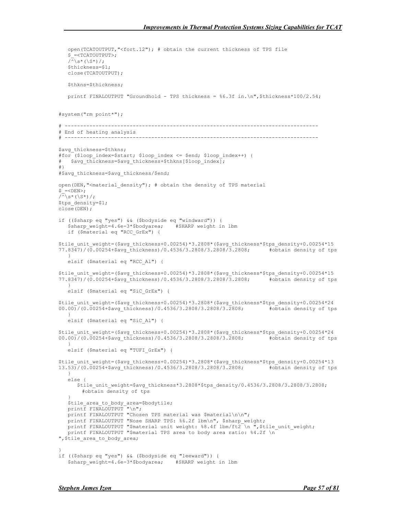```
 open(TCATOUTPUT,"<fort.12"); # obtain the current thickness of TPS file
    $_=<TCATOUTPUT>;
   \sqrt{\hat{K}}\s*(\S*)/;
    $thickness=$1;
    close(TCATOUTPUT);
    $thkns=$thickness;
  printf FINALOUTPUT "Groundhold - TPS thickness = %6.3f in.\n",$thickness*100/2.54;
#system("rm point*");
# ----------------------------------------------------------------------------------
# End of heating analysis
# ----------------------------------------------------------------------------------
$avg_thickness=$thkns;
#for ($loop index=$start; $loop index <= $end; $loop index++) {
   $avg_thickness=$avg_thickness+$thkns[$loop_index];
#}
#$avg_thickness=$avg_thickness/$end;
open(DEN, "<material density"); # obtain the density of TPS material
$ = <DEN>;
\sqrt{\hat{}}\s*(\S*)/;
$tps_density=$1;
close(DEN);
if (($sharp eq "yes") && ($bodyside eq "windward")) {
   $sharp weight=4.6e-3*$bodyarea; #SHARP weight in lbm
    if ($material eq "RCC_GrEx") {
$tile_unit_weight=($avg_thickness+0.00254)*3.2808*($avg_thickness*$tps_density+0.00254*15
77.8347)/(\overline{0.00254}+$avg thickness)/0.4536/3.2808/3.2808/3.2808; #obtain density of tps
 }
   elsif ($material eq "RCC_Al") {
$tile_unit_weight=($avg_thickness+0.00254)*3.2808*($avg_thickness*$tps_density+0.00254*15
77.8347)/(0.00254+$avg_thickness)/0.4536/3.2808/3.2808/3.2808; #obtain density of tps
 }
   elsif ($material eq "SiC_GrEx") {
$tile_unit_weight=($avg_thickness+0.00254)*3.2808*($avg_thickness*$tps_density+0.00254*24
00.00)/(0.00254+$avg_thickness)/0.4536/3.2808/3.2808/3.2808; #obtain density of tps
 }
    elsif ($material eq "SiC_Al") {
$tile_unit_weight=($avg_thickness+0.00254)*3.2808*($avg_thickness*$tps_density+0.00254*24
00.00/(0.00254+$avg thickness)/0.4536/3.2808/3.2808/3.2808; #obtain density of tps
 }
    elsif ($material eq "TUFI_GrEx") {
$tile_unit_weight=($avg_thickness+0.00254)*3.2808*($avg_thickness*$tps_density+0.00254*13<br>13.53)/(0.00254+$avg_thickness)/0.4536/3.2808/3.2808/3.2808; #obtain_density_of_tps
13.53/(0.00254+)$avg thickness)/0.4536/3.2808/3.2808/3.2808;
 }
    else {
      $tile_unit_weight=$avg_thickness*3.2808*$tps_density/0.4536/3.2808/3.2808/3.2808;
       #obtain density of tps
 }
   $tile area to body area=$bodytile;
printf FINALOUTPUT "\n";
 printf FINALOUTPUT "Chosen TPS material was $material\n\n";
  printf FINALOUTPUT "Nose SHARP TPS: %6.2f lbm\n", $sharp weight;
  printf FINALOUTPUT "$material unit weight: %8.4f lbm/ft2 \n ", $tile_unit_weight;
  printf FINALOUTPUT "$material TPS area to body area ratio: %4.2f \n
",$tile_area_to_body_area;
}
if (($sharp eq "yes") && ($bodyside eq "leeward")) {
    $sharp_weight=4.6e-3*$bodyarea; #SHARP weight in lbm
```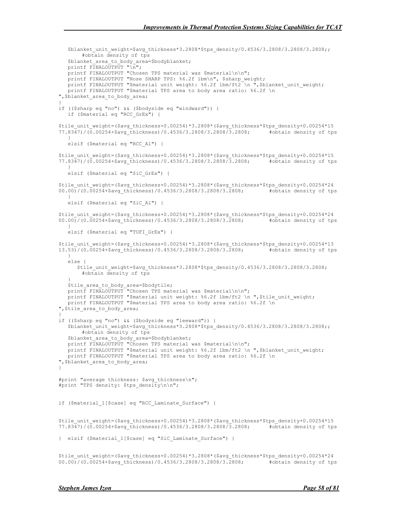```
$blanket unit weight=$avg_thickness*3.2808*$tps_density/0.4536/3.2808/3.2808/3.2808;;
       #obtain density of tps
   $blanket area to body area=$bodyblanket;
  printf FINALOUTPUT "\overline{n}";
  printf FINALOUTPUT "Chosen TPS material was $material\n\n";
  printf FINALOUTPUT "Nose SHARP TPS: %6.2f lbm\n", $sharp weight;
  printf FINALOUTPUT "$material unit weight: %6.2f lbm/ft2 \n ",$blanket unit weight;
   printf FINALOUTPUT "$material TPS area to body area ratio: %6.2f \n
", $blanket area to body area;
}
if (($sharp eq "no") && ($bodyside eq "windward")) {
    if ($material eq "RCC_GrEx") {
$tile_unit_weight=($avg_thickness+0.00254)*3.2808*($avg_thickness*$tps_density+0.00254*15<br>77.8347)/(0.00254+$avg_thickness)/0.4536/3.2808/3.2808/3.2808; #obtain density of tps
77.83\overline{4}7)/(\overline{0}.00254+$avg\overline{t}hickness)/0.4536/3.2808/3.2808/3.2808;
 }
    elsif ($material eq "RCC_Al") {
$tile_unit_weight=($avg_thickness+0.00254)*3.2808*($avg_thickness*$tps_density+0.00254*15
77.8347)/(0.00254+$avg_thickness)/0.4536/3.2808/3.2808/3.2808; #obtain density of tps
 }
    elsif ($material eq "SiC_GrEx") {
$tile_unit_weight=($avg_thickness+0.00254)*3.2808*($avg_thickness*$tps_density+0.00254*24
00.00)/(0.00254+$avg_thickness)/0.4536/3.2808/3.2808/3.2808; #obtain density of tps
 }
   elsif ($material eq "SiC_Al") {
$tile_unit_weight=($avg_thickness+0.00254)*3.2808*($avg_thickness*$tps_density+0.00254*24
00.00/(0.00254+$avg_thickness)/0.4536/3.2808/3.2808/3.2808; #obtain density of tps
 }
    elsif ($material eq "TUFI_GrEx") {
$tile_unit_weight=($avg_thickness+0.00254)*3.2808*($avg_thickness*$tps_density+0.00254*13
13.53)/(0.00254+$avg_thickness)/0.4536/3.2808/3.2808/3.2808; #obtain density of tps
 }
    else {
       $tile_unit_weight=$avg_thickness*3.2808*$tps_density/0.4536/3.2808/3.2808/3.2808;
       #obtain density of tps
 }
  $tile area to body area=$bodytile;
  printf FINALOUTPUT "Chosen TPS material was $material\n\n";
   printf FINALOUTPUT "$material unit weight: %6.2f lbm/ft2 \n ",$tile_unit_weight;
   printf FINALOUTPUT "$material TPS area to body area ratio: %6.2f \n
",$tile_area_to_body_area;
}
if (($sharp eq "no") && ($bodyside eq "leeward")) {
   $blanket unit weight=$avg_thickness*3.2808*$tps_density/0.4536/3.2808/3.2808/3.2808;;
        #obtain density of tps
   $blanket area to body area=$bodyblanket;
  printf FINALOUTPUT "Chosen TPS material was $material\n\n";
    printf FINALOUTPUT "$material unit weight: %6.2f lbm/ft2 \n ",$blanket_unit_weight;
   printf FINALOUTPUT "$material TPS area to body area ratio: %6.2f \n
",$blanket_area_to_body_area;
}
#print "average thickness: $avg_thickness\n";
#print "TPS density: $tps_density\n\n";
if ($material_1[$case] eq "RCC_Laminate_Surface") {
$tile_unit_weight=($avg_thickness+0.00254)*3.2808*($avg_thickness*$tps_density+0.00254*15
77.8347)/(0.00254+$avg_thickness)/0.4536/3.2808/3.2808/3.2808; #obtain density of tps
} elsif ($material_1[$case] eq "SiC_Laminate_Surface") {
$tile_unit_weight=($avg_thickness+0.00254)*3.2808*($avg_thickness*$tps_density+0.00254*24
00.00)/(0.00254+$avg_thickness)/0.4536/3.2808/3.2808/3.2808; #obtain density of tps
```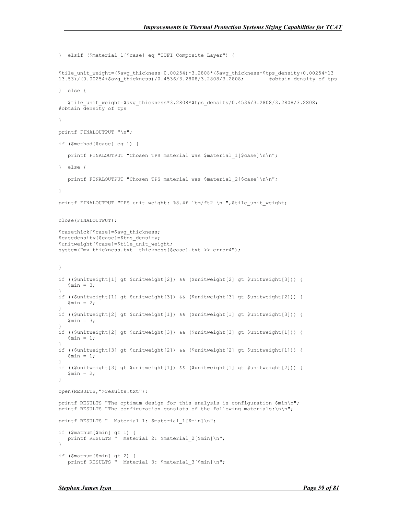```
} elsif ($material_1[$case] eq "TUFI_Composite_Layer") {
$tile_unit_weight=($avg_thickness+0.00254)*3.2808*($avg_thickness*$tps_density+0.00254*13<br>13.53)/(0.00254+$avg_thickness)/0.4536/3.2808/3.2808/3.2808; #obtain_density_of_tps
13.53) / (0.00254 + $avg thickness) / 0.4536 / 3.2808 / 3.2808 / 3.2808;} else {
    $tile_unit_weight=$avg_thickness*3.2808*$tps_density/0.4536/3.2808/3.2808/3.2808;
#obtain density of tps
}
printf FINALOUTPUT "\n";
if ($method[$case] eq 1) {
   printf FINALOUTPUT "Chosen TPS material was $material 1[$case]\n\times";
} else {
    printf FINALOUTPUT "Chosen TPS material was $material_2[$case]\n\n";
}
printf FINALOUTPUT "TPS unit weight: %8.4f lbm/ft2 \n ", $tile unit weight;
close(FINALOUTPUT);
$casethick[$case]=$avg_thickness;
$casedensity[$case]=$tps_density;
$unitweight[$case]=$tile_unit_weight;
system("mv thickness.txt thickness[$case].txt >> error4");
}
if (($unitweight[1] gt $unitweight[2]) && ($unitweight[2] gt $unitweight[3])) {
   $min = 3;}
if (($unitweight[1] gt $unitweight[3]) && ($unitweight[3] gt $unitweight[2])) {
   Smin = 2;
}
if (($unitweight[2] gt $unitweight[1]) && ($unitweight[1] gt $unitweight[3])) {
   $min = 3;}
if (($unitweight[2] gt $unitweight[3]) && ($unitweight[3] gt $unitweight[1])) {
   Smin = 1:
}
if (($unitweight[3] gt $unitweight[2]) && ($unitweight[2] gt $unitweight[1])) {
   $min = 1;}
if (($unitweight[3] gt $unitweight[1]) && ($unitweight[1] gt $unitweight[2])) {
   Smin = 2:
}
open(RESULTS,">results.txt");
printf RESULTS "The optimum design for this analysis is configuration $min\n";
printf RESULTS "The configuration consists of the following materials:\n\ln \frac{n}{r};
printf RESULTS " Material 1: $material 1[$min]\n";
if ($matnum[$min] gt 1) {
   printf RESULTS " Material 2: $material 2[$min]\n";
}
if ($matnum[$min] gt 2) {
   printf RESULTS " Material 3: $material 3[$min]\n";
```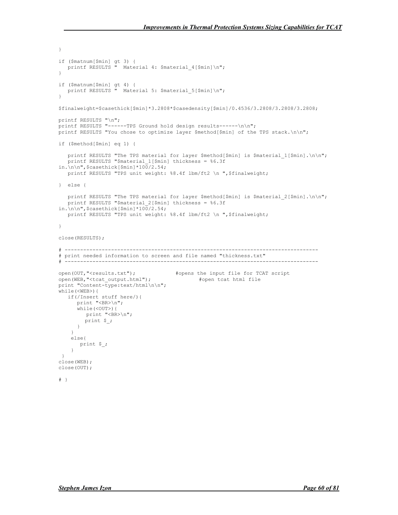```
}
if ($matnum[$min] gt 3) {
  printf RESULTS " Material 4: $material 4[$min]\n";
}
if ($matnum[$min] gt 4) {
  printf RESULTS " Material 5: $material 5[$min]\n";
}
$finalweight=$casethick[$min]*3.2808*$casedensity[$min]/0.4536/3.2808/3.2808/3.2808;
printf RESULTS "\n";
printf RESULTS "------TPS Ground hold design results------\n\n";
printf RESULTS "You chose to optimize layer $method[$min] of the TPS stack.\n\n";
if ($method[$min] eq 1) {
   printf RESULTS "The TPS material for layer $method[$min] is $material 1[$min].\n\n";
   printf RESULTS "$material_1[$min] thickness = %6.3f
in.\n\n", $casethick[$min]*100/2.54;
    printf RESULTS "TPS unit weight: %8.4f lbm/ft2 \n ",$finalweight;
} else {
    printf RESULTS "The TPS material for layer $method[$min] is $material_2[$min].\n\n";
   printf RESULTS "$material_2[$min] thickness = %6.3f
in.\n\n", $casethick[$min]*100/2.54;
  printf RESULTS "TPS unit weight: %8.4f lbm/ft2 \n ", $finalweight;
}
close(RESULTS);
# ----------------------------------------------------------------------------------
# print needed information to screen and file named "thickness.txt"
# ----------------------------------------------------------------------------------
open(OUT, "<results.txt"); #opens the input file for TCAT script
open(WEB,"<tcat_output.html"); #open tcat html file
print "Content-type:text/html\n\n";
while(<WEB>){
    if(/Insert stuff here/){
     print "<BR>\n";
       while(<OUT>){
         print "<BR>\n";
         print $_;
       }
\qquad \qquad \} else{
      print $ ;
     }
  }
close(WEB);
close(OUT);
# }
```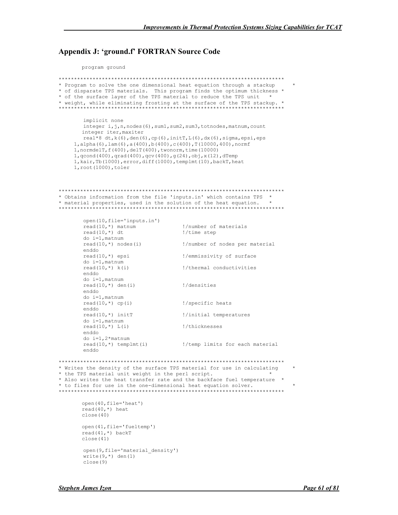#### Appendix J: 'ground.f' FORTRAN Source Code

#### program ground

```
*************************************************************************
* Program to solve the one dimensional heat equation through a stackup *
* of disparate TPS materials. This program finds the optimum thickness *
* of the surface layer of the TPS material to reduce the TPS unit *
* weight, while eliminating frosting at the surface of the TPS stackup. *
                                      *************************************************************************
         implicit none
        integer i,j,n,nodes(6),sum1,sum2,sum3,totnodes,matnum,count
        integer iter,maxiter
         real*8 dt,k(6),den(6),cp(6),initT,L(6),dx(6),sigma,epsi,eps
      1,alpha(6),lam(6),a(400),b(400),c(400),T(10000,400),normf
      1,normdelT,f(400),delT(400),twonorm,time(10000)
      1,qcond(400),qrad(400),qcv(400),g(24),obj,x(12),dTemp
      1,kair,Tb(1000),error,diff(1000),templmt(10),backT,heat
      1,root(1000),toler
*************************************************************************
* Obtains information from the file 'inputs.in' which contains TPS *
* material properties, used in the solution of the heat equation. *
      *************************************************************************
        open(10,file='inputs.in')<br>read(10,*) matnum
                                          !/number of materials
        read(10,\star) dt \cdot ://time step
        do i=1,matnum<br>read(10,*) nodes(i)
                                         !/number of nodes per material
        enddo<br>read(10,*) epsi
                                         !/emmissivity of surface
        do i=1, matnum<br>read(10, *) k(i)
                                         !/thermal conductivities
         enddo
         do i=1,matnum
         read(10,*) den(i) !/densities
         enddo
         do i=1,matnum
        read(10,*) cp(i) \qquad !/specific heats
        enddo<br>read(10,*) initT
                                         !/initial temperatures
         do i=1,matnum
        read(10,*) L(i) |/thicknesses
         enddo
        do i=1,2*matnum<br>read(10,*) templmt(i)
                                         !/temp limits for each material
         enddo
*************************************************************************
* Writes the density of the surface TPS material for use in calculating *
* the TPS material unit weight in the perl script. *
* Also writes the heat transfer rate and the backface fuel temperature *
* to files for use in the one-dimensional heat equation solver. *
    *************************************************************************
       open(40,file='heat')
       read(40,\star) heat
       close(40)
       open(41,file='fueltemp')
       read(41, *) backT
       close(41)
         open(9,file='material_density')
        write(9, *) den(1)
         close(9)
```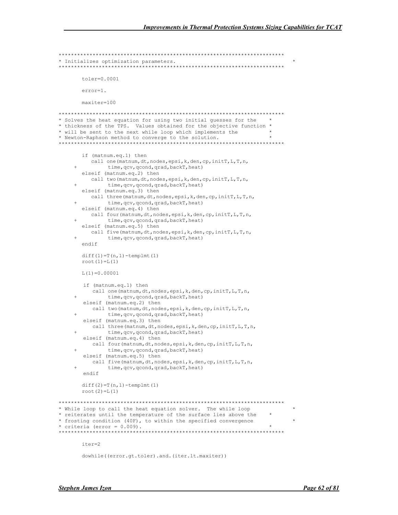```
*************************************************************************
* Initializes optimization parameters. *
                             *************************************************************************
       toler=0.0001
       error=1.
       maxiter=100
*************************************************************************
* Solves the heat equation for using two initial guesses for the *
* thickness of the TPS. Values obtained for the objective function *
* will be sent to the next while loop which implements the *
* Newton-Raphson method to converge to the solution. *
*************************************************************************
       if (matnum.eq.1) then
           call one(matnum,dt,nodes,epsi,k,den,cp,initT,L,T,n,
                time, qcv, qcond, qrad, backT, heat)
       elseif (matnum.eq.2) then
           call two(matnum,dt,nodes,epsi,k,den,cp,initT,L,T,n,
                time, qcv, qcond, qrad, backT, heat)
       elseif (matnum.eq.3) then
           call three(matnum,dt,nodes,epsi,k,den,cp,initT,L,T,n,
                time, qcv, qcond, qrad, backT, heat)
       elseif (matnum.eq.4) then
          call four(matnum,dt,nodes,epsi,k,den,cp,initT,L,T,n,
                time, qcv, qcond, qrad, backT, heat)
       elseif (matnum.eq.5) then
           call five(matnum,dt,nodes,epsi,k,den,cp,initT,L,T,n,
                time, qcv, qcond, qrad, backT, heat)
       endif
       diff(1) = T(n, 1)-templmt(1)root(1) = L(1)L(1)=0.00001 if (matnum.eq.1) then
            call one(matnum,dt,nodes,epsi,k,den,cp,initT,L,T,n,
                time, qcv, qcond, qrad, backT, heat)
         elseif (matnum.eq.2) then
            call two(matnum,dt,nodes,epsi,k,den,cp,initT,L,T,n,
                time, qcv, qcond, qrad, backT, heat)
         elseif (matnum.eq.3) then
            call three(matnum,dt,nodes,epsi,k,den,cp,initT,L,T,n,
                time, qcv, qcond, qrad, backT, heat)
         elseif (matnum.eq.4) then
            call four(matnum,dt,nodes,epsi,k,den,cp,initT,L,T,n,
                time, qcv, qcond, qrad, backT, heat)
         elseif (matnum.eq.5) then
     call five(matnum,dt,nodes,epsi,k,den,cp,initT,L, T, n,<br>+ time, qcv, qcond, qrad, backT, heat)time, qcv, qcond, qrad, backT, heat)
         endif
       diff(2) = T(n, 1)-templmt(1)root(2)=L(1)*************************************************************************
* While loop to call the heat equation solver. The while loop *
* reiterates until the temperature of the surface lies above the *
* frosting condition (40F), to within the specified convergence *
* criteria (error = 0.009).
*************************************************************************
       iter=2
       dowhile((error.gt.toler).and.(iter.lt.maxiter))
```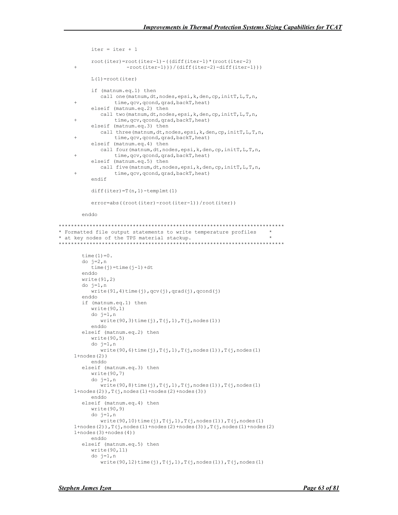```
 iter = iter + 1
           root(iter)=root(iter-1)-((diff(iter-1)*(root(iter-2)
                      -root(iter-1)))/(diff(iter-2)-diff(iter-1)))
           L(1)=root(iter)
           if (matnum.eq.1) then
              call one(matnum,dt,nodes,epsi,k,den,cp,initT,L,T,n,
      + time,qcv,qcond,qrad,backT,heat)
           elseif (matnum.eq.2) then
              call two(matnum,dt,nodes,epsi,k,den,cp,initT,L,T,n,
                  time, qcv, qcond, qrad, backT, heat)
           elseif (matnum.eq.3) then
             call three(matnum,dt,nodes,epsi,k,den,cp,initT,L,T,n,
      + time,qcv,qcond,qrad,backT,heat)
           elseif (matnum.eq.4) then
              call four(matnum,dt,nodes,epsi,k,den,cp,initT,L,T,n,
      + time,qcv,qcond,qrad,backT,heat)
           elseif (matnum.eq.5) then
              call five(matnum,dt,nodes,epsi,k,den,cp,initT,L,T,n,
                  time, qcv, qcond, qrad, backT, heat)
           endif
          diff(iter)=T(n,1)-templmt(1)
           error=abs((root(iter)-root(iter-1))/root(iter))
       enddo
*************************************************************************
* Formatted file output statements to write temperature profiles *
* at key nodes of the TPS material stackup. *
                  *************************************************************************
       time(1)=0.
       do j=2,n
           time(j)=time(j-1)+dt
       enddo
       write(91,2)
       do j=1,n
          write(91,4)time(j),qcv(j),qrad(j),qcond(j)enddo
       if (matnum.eq.1) then
           write(90,1)
           do j=1,n
             write(90,3)time(j),T(j,1),T(j,nodes(1)) enddo
       elseif (matnum.eq.2) then
           write(90,5)
           do j=1,n
             write(90, 6) time(j), T(j,1), T(j, nodes(1)), T(j, nodes(1)) 1+nodes(2))
           enddo
       elseif (matnum.eq.3) then
           write(90,7)
           do j=1,n
             write(90,8)time(j),T(j,1),T(j,nodes(1)),T(j,nodes(1)
      1+nodes(2)),T(j,nodes(1)+nodes(2)+nodes(3))
           enddo
       elseif (matnum.eq.4) then
           write(90,9)
           do j=1,n
             write(90,10)time(j),T(j,1),T(j,nodes(1)),T(j,nodes(1)) 1+nodes(2)),T(j,nodes(1)+nodes(2)+nodes(3)),T(j,nodes(1)+nodes(2)
      1+nodes(3)+nodes(4))
           enddo
       elseif (matnum.eq.5) then
           write(90,11)
          do i=1,nwrite(90,12)time(j),T(j,1),T(j,nodes(1)),T(j,nodes(1)
```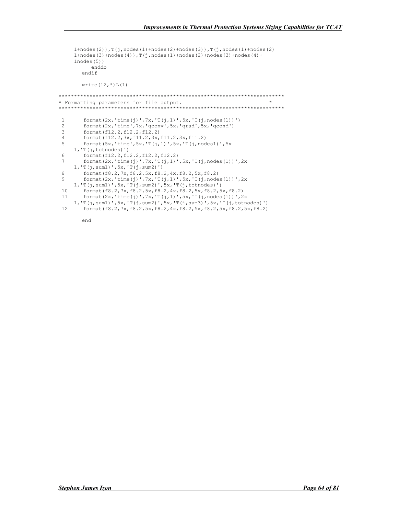```
 1+nodes(2)),T(j,nodes(1)+nodes(2)+nodes(3)),T(j,nodes(1)+nodes(2)
     1+nodes(3)+nodes(4)),T(j,nodes(1)+nodes(2)+nodes(3)+nodes(4)+
      1nodes(5))
           enddo
       endif
       write(12, *)\mathbb{L}(1)*************************************************************************
* Formatting parameters for file output. *
*************************************************************************
1 format(2x,'time(j)',7x,'T(j,1)',5x,'T(j,nodes(1))')
2 format(2x,'time',7x,'qconv',5x,'qrad',5x,'qcond')<br>3 format(f12.2,f12.2,f12.2)
         3 format(f12.2,f12.2,f12.2)
 4 format(f12.2,3x,f11.2,3x,f11.2,3x,f11.2)
 5 format(5x,'time',5x,'T(j,1)',5x,'T(j,nodes1)',5x
     1,'T(j,totnodes)')
6 format(f12.2,f12.2,f12.2,f12.2)<br>7 format(2x,'time(j)',7x,'T(j,1)'
         7 format(2x,'time(j)',7x,'T(j,1)',5x,'T(j,nodes(1))',2x
     1,'T(j,sum1)',5x,'T(j,sum2)')
 8 format(f8.2,7x,f8.2,5x,f8.2,4x,f8.2,5x,f8.2)
 9 format(2x,'time(j)',7x,'T(j,1)',5x,'T(j,nodes(1))',2x
 1,'T(j,sum1)',5x,'T(j,sum2)',5x,'T(j,totnodes)')
 10 format(f8.2,7x,f8.2,5x,f8.2,4x,f8.2,5x,f8.2,5x,f8.2)
 11 format(2x,'time(j)',7x,'T(j,1)',5x,'T(j,nodes(1))',2x
 1,'T(j,sum1)',5x,'T(j,sum2)',5x,'T(j,sum3)',5x,'T(j,totnodes)')
 12 format(f8.2,7x,f8.2,5x,f8.2,4x,f8.2,5x,f8.2,5x,f8.2,5x,f8.2)
```

```
end
```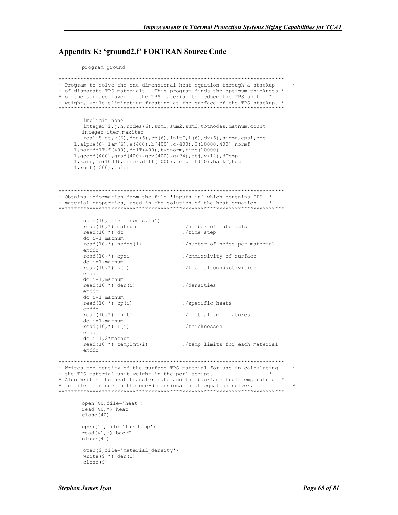## Appendix K: 'ground2.f' FORTRAN Source Code

program ground

```
*************************************************************************
* Program to solve the one dimensional heat equation through a stackup *
* of disparate TPS materials. This program finds the optimum thickness *
* of the surface layer of the TPS material to reduce the TPS unit *
* weight, while eliminating frosting at the surface of the TPS stackup. *
                                      *************************************************************************
         implicit none
        integer i,j,n,nodes(6),sum1,sum2,sum3,totnodes,matnum,count
        integer iter,maxiter
         real*8 dt,k(6),den(6),cp(6),initT,L(6),dx(6),sigma,epsi,eps
      1,alpha(6),lam(6),a(400),b(400),c(400),T(10000,400),normf
      1,normdelT,f(400),delT(400),twonorm,time(10000)
      1,qcond(400),qrad(400),qcv(400),g(24),obj,x(12),dTemp
      1,kair,Tb(1000),error,diff(1000),templmt(10),backT,heat
      1,root(1000),toler
*************************************************************************
* Obtains information from the file 'inputs.in' which contains TPS *
* material properties, used in the solution of the heat equation. *
      *************************************************************************
        open(10,file='inputs.in')<br>read(10,*) matnum
                                          !/number of materials
        read(10,\star) dt \cdot ://time step
        do i=1,matnum<br>read(10,*) nodes(i)
                                         !/number of nodes per material
        enddo<br>read(10,*) epsi
                                         !/emmissivity of surface
        do i=1, matnum<br>read(10, *) k(i)
                                         !/thermal conductivities
         enddo
         do i=1,matnum
         read(10,*) den(i) !/densities
         enddo
         do i=1,matnum
        read(10,*) cp(i) \qquad !/specific heats
        enddo<br>read(10,*) initT
                                         !/initial temperatures
         do i=1,matnum
        read(10,*) L(i) |/thicknesses
         enddo
        do i=1,2*matnum<br>read(10,*) templmt(i)
                                         !/temp limits for each material
         enddo
*************************************************************************
* Writes the density of the surface TPS material for use in calculating *
* the TPS material unit weight in the perl script. *
* Also writes the heat transfer rate and the backface fuel temperature *
* to files for use in the one-dimensional heat equation solver. *
    *************************************************************************
       open(40,file='heat')
       read(40,\star) heat
       close(40)
       open(41,file='fueltemp')
       read(41, *) backT
       close(41)
         open(9,file='material_density')
        write(9, *) den(2)
         close(9)
```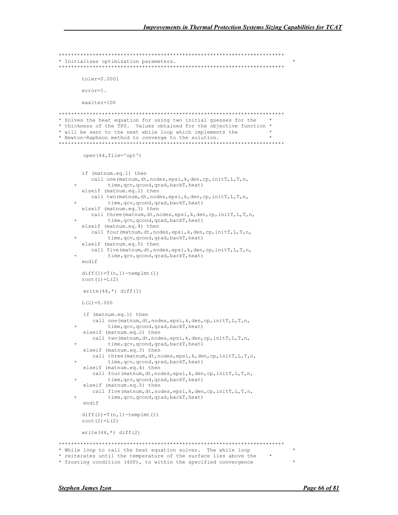```
* Initializes optimization parameters.
                         toler=0.0001error=1.
      maxifer=100* Solves the heat equation for using two initial quesses for the
                                                             \star* thickness of the TPS. Values obtained for the objective function *
* will be sent to the next while loop which implements the
                                                              \rightarrow* Newton-Raphson method to converge to the solution.
open (44, file='opt')
      if (matnum.eq.1) then
         call one (matnum, dt, nodes, epsi, k, den, cp, initT, L, T, n,
              time, qcv, qcond, qrad, backT, heat)
      elseif (matnum.eq.2) then
         call two (matnum, dt, nodes, epsi, k, den, cp, initT, L, T, n,
              time, qcv, qcond, qrad, backT, heat)
      elseif (matnum.eq.3) then
         call three (matnum, dt, nodes, epsi, k, den, cp, initT, L, T, n,
             time, qcv, qcond, qrad, backT, heat)
      elseif (matnum.eq.4) then
        call four (matnum, dt, nodes, epsi, k, den, cp, initT, L, T, n,
              time, qcv, qcond, qrad, backT, heat)
      elseif (matnum.eq.5) then
         call five (matnum, dt, nodes, epsi, k, den, cp, initT, L, T, n,
              time, qcv, qcond, qrad, backT, heat)
      endif
      diff(1) = T(n, 1) - temp1mt(1)root(1)=L(2)write (44,*) diff (1)T_1(2) = 0.006if (matnum.eq.1) then
         call one (matnum, dt, nodes, epsi, k, den, cp, initT, L, T, n,
              time, qcv, qcond, qrad, backT, heat)
       elseif (matnum.eq.2) then
         call two (matnum, dt, nodes, epsi, k, den, cp, initT, L, T, n,
              time, qcv, qcond, qrad, backT, heat)
       elseif (matnum.eq.3) then
         call three (matnum, dt, nodes, epsi, k, den, cp, initT, L, T, n,
              time, qcv, qcond, qrad, backT, heat)
       elseif (matnum.eq.4) then
         call four (matnum, dt, nodes, epsi, k, den, cp, initT, L, T, n,
              time, qcv, qcond, qrad, backT, heat)
       elseif (matnum.eq.5) then
         call five (matnum, dt, nodes, epsi, k, den, cp, initT, L, T, n,
              time, qcv, qcond, qrad, backT, heat)
    ^{+}endif
      diff(2) = T(n, 1) - temp1mt(1)root(2)=L(2)write (44,*) diff (2)* While loop to call the heat equation solver. The while loop
* reiterates until the temperature of the surface lies above the
* frosting condition (40F), to within the specified convergence
```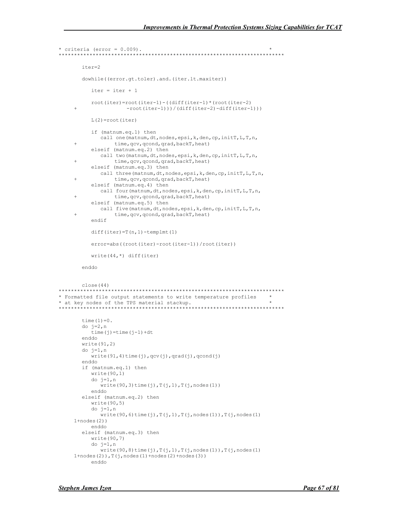```
* criteria (error = 0.009).
                           *************************************************************************
       iter=2
       dowhile((error.gt.toler).and.(iter.lt.maxiter))
          iter = iter + 1root(iter)=root(iter-1)-((diff(iter-1)*(root(iter-2)) + -root(iter-1)))/(diff(iter-2)-diff(iter-1)))
          L(2)=root(iter)
           if (matnum.eq.1) then
              call one(matnum,dt,nodes,epsi,k,den,cp,initT,L,T,n,
                   time, qcv, qcond, qrad, backT, heat)
           elseif (matnum.eq.2) then
               call two(matnum,dt,nodes,epsi,k,den,cp,initT,L,T,n,
                   time, qcv, qcond, qrad, backT, heat)
           elseif (matnum.eq.3) then
              call three(matnum,dt,nodes,epsi,k,den,cp,initT,L,T,n,
      + time,qcv,qcond,qrad,backT,heat)
           elseif (matnum.eq.4) then
              call four(matnum,dt,nodes,epsi,k,den,cp,initT,L,T,n,
                  time, qcv, qcond, qrad, backT, heat)
           elseif (matnum.eq.5) then
               call five(matnum,dt,nodes,epsi,k,den,cp,initT,L,T,n,
                   time, qcv, qcond, qrad, backT, heat)
           endif
          diff(iter)=T(n,1)-temp1mt(1) error=abs((root(iter)-root(iter-1))/root(iter))
          write(44,*) diff(iter)
        enddo
       close(44)
*************************************************************************
* Formatted file output statements to write temperature profiles *
* at key nodes of the TPS material stackup. *
        *************************************************************************
       time(1)=0.
       do j=2,n
          time(j)=time(j-1)+dt
       enddo
       write(91,2)
       do j=1,n
           write(91,4)time(j),qcv(j),qrad(j),qcond(j)
       enddo
       if (matnum.eq.1) then
           write(90,1)
           do j=1,n
             write(90,3)time(j),T(j,1),T(j,nodes(1))
            enddo
       elseif (matnum.eq.2) then
           write(90,5)
           do j=1,n
              write(90, 6) time(j), T(j,1), T(j, nodes(1)), T(j, nodes(1))1+nodes(2))
           enddo
       elseif (matnum.eq.3) then
           write(90,7)
           do j=1,n
              write(90,8)time(j),T(j,1),T(j,nodes(1)),T(j,nodes(1)
      1+nodes(2)),T(j,nodes(1)+nodes(2)+nodes(3))
           enddo
```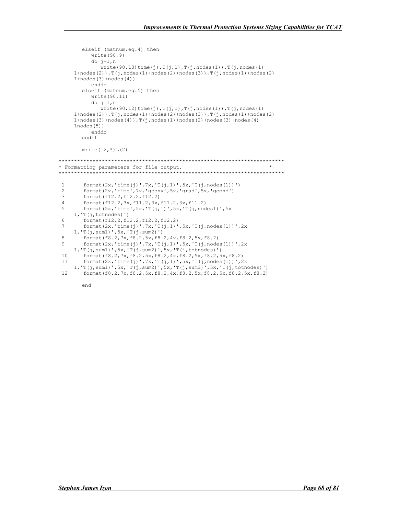```
elseif (matnum.eq.4) then
            write(90,9)
            do j=1,n
              write(90,10)time(j),T(j,1),T(j,nodes(1)),T(j,nodes(1)) 1+nodes(2)),T(j,nodes(1)+nodes(2)+nodes(3)),T(j,nodes(1)+nodes(2)
      1+nodes(3)+nodes(4))
           enddo
       elseif (matnum.eq.5) then
            write(90,11)
            do j=1,n
             write(90, 12) time(j), T(j,1), T(j, nodes(1)), T(j, nodes(1)) 1+nodes(2)),T(j,nodes(1)+nodes(2)+nodes(3)),T(j,nodes(1)+nodes(2)
     1+nodes(3)+nodes(4)),T(j,nodes(1)+nodes(2)+nodes(3)+nodes(4)+
      1nodes(5))
           enddo
       endif
       write(12, *) L(2)*************************************************************************
* Formatting parameters for file output. *
*************************************************************************
1 format(2x,'time(j)',7x,'T(j,1)',5x,'T(j,nodes(1))')
2 format(2x, 'time', 7x, 'qconv', 5x, 'qrad', 5x, 'qcond')<br>3 format(f12.2. f12.2. f12.2)
 3 format(f12.2,f12.2,f12.2)<br>4 format(f12.2,3x,f11.2,3x,
        format(f12.2,3x,f11.2,3x,f11.2,3x,f11.2)
 5 format(5x,'time',5x,'T(j,1)',5x,'T(j,nodes1)',5x
      1,'T(j,totnodes)')
 6 format(f12.2,f12.2,f12.2,f12.2)
 7 format(2x,'time(j)',7x,'T(j,1)',5x,'T(j,nodes(1))',2x
      1,'T(j,sum1)',5x,'T(j,sum2)')
 8 format(f8.2,7x,f8.2,5x,f8.2,4x,f8.2,5x,f8.2)
 9 format(2x,'time(j)',7x,'T(j,1)',5x,'T(j,nodes(1))',2x
      1,'T(j,sum1)',5x,'T(j,sum2)',5x,'T(j,totnodes)')
 10 format(f8.2,7x,f8.2,5x,f8.2,4x,f8.2,5x,f8.2,5x,f8.2)
 11 format(2x,'time(j)',7x,'T(j,1)',5x,'T(j,nodes(1))',2x
1, 'T(j,sum1)',5x, 'T(j,sum2)',5x, 'T(j,sum3)',5x, 'T(j,totnodes)')<br>format(f8.2.7x,f8.2.5x,f8.2.4x,f8.2.5x,f8.2.5x,f8.2.5x,f8.2)
         12 format(f8.2,7x,f8.2,5x,f8.2,4x,f8.2,5x,f8.2,5x,f8.2,5x,f8.2)
```
end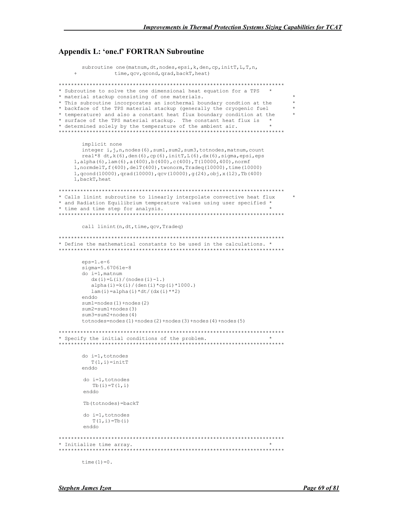#### Appendix L: 'one.f' FORTRAN Subroutine

```
subroutine one(matnum,dt,nodes,epsi,k,den,cp,initT,L,T,n,
                 time, qcv, qcond, qrad, backT, heat)
*************************************************************************
* Subroutine to solve the one dimensional heat equation for a TPS *
* material stackup consisting of one materials. *
* This subroutine incorporates an isothermal boundary condtion at the *
* backface of the TPS material stackup (generally the cryogenic fuel *
* temperature) and also a constant heat flux boundary condition at the *
* surface of the TPS material stackup. The constant heat flux is *
* determined solely by the temperature of the ambient air.
*************************************************************************
       implicit none
       integer i,j,n,nodes(6),sum1,sum2,sum3,totnodes,matnum,count
       real*8 dt, k(6), den(6), cp(6), initT, L(6), dx(6), sigma, epsi, eps
      1,alpha(6),lam(6),a(400),b(400),c(400),T(10000,400),normf
      1,normdelT,f(400),delT(400),twonorm,Tradeq(10000),time(10000)
      1,qcond(10000),qrad(10000),qcv(10000),g(24),obj,x(12),Tb(400)
     1,backT,heat
*************************************************************************
* Calls linint subroutine to linearly interpolate convective heat flux *
* and Radiation Equilibrium temperature values using user specified *
* time and time step for analysis. *
*************************************************************************
       call linint(n,dt,time, qcv, Tradeq)
*************************************************************************
* Define the mathematical constants to be used in the calculations. *
*************************************************************************
       eps=1.e-6
       sigma=5.67061e-8
       do i=1,matnum
          dx(i) = L(i) / (nodes(i) - 1.)alpha(i)=k(i)/(den(i)*cp(i)*1000.)
          lam(i)=alpha(i)*dt/(dx(i)**2) enddo
       sum1=nodes(1)+nodes(2)
       sum2=sum1+nodes(3)
       sum3=sum2+nodes(4)
       totnodes=nodes(1)+nodes(2)+nodes(3)+nodes(4)+nodes(5)
*************************************************************************
* Specify the initial conditions of the problem. *
    *************************************************************************
       do i=1,totnodes
         T(1,i)=initTenddo
        do i=1,totnodes
          Tb(i)=T(1, i)
         enddo
         Tb(totnodes)=backT
         do i=1,totnodes
         T(1, i) = Tb(i) enddo
*************************************************************************
* Initialize time array. *
*************************************************************************
       time(1)=0.
```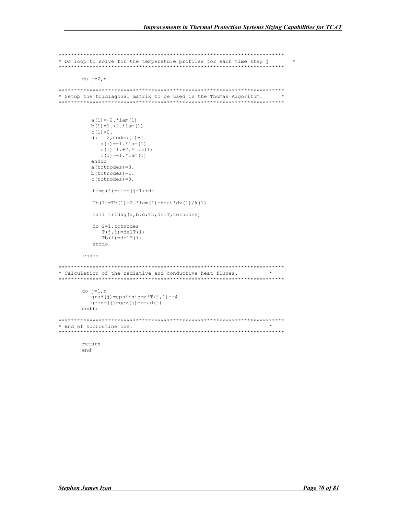```
* Do loop to solve for the temperature profiles for each time step j
                                         \stardo j=2,n* Setup the tridiagonal matrix to be used in the Thomas Algorithm.
a(1) = -2 \cdot \tan(1)b(1)=1.+2.*1am(1)C(1) = 0.
     do i=2, nodes (1) - 1a(i) = -1.*1am(1)b(i) = 1.+2.+1am(1)C(i) = -1, * lam(1)
     enddo
     a(totnodes) = 0b(totnodes)=1.
     c(totnodes)=0.
     time(j)=time(j-1)+dt
     Tb(1)=Tb(1)+2. * lam(1) * heat * dx(1) / k(1)
     call tridag(a, b, c, Tb, delT, totnodes)
     do i=1, totnodes
       T(j,i)=delT(i)Tb(i) = detT(i)enddo
    enddo
* Calculation of the radiative and conductive heat fluxes.
do j=1,nqrad(j)=epsi*sigma*T(j, 1)**4
     qcond(j) = qcv(j) - grad(j)\verb"enddo"* End of subroutine one.
return
```
end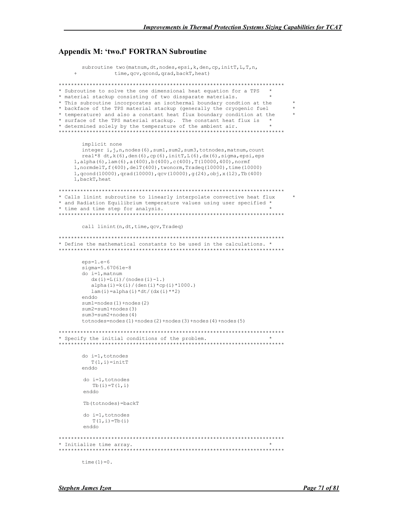#### Appendix M: 'two.f' FORTRAN Subroutine

```
subroutine two (matnum, dt, nodes, epsi, k, den, cp, initT, L, T, n,
                time, qcv, qcond, qrad, backT, heat)
*************************************************************************
* Subroutine to solve the one dimensional heat equation for a TPS *
* material stackup consisting of two dissparate materials. *
* This subroutine incorporates an isothermal boundary condtion at the *
* backface of the TPS material stackup (generally the cryogenic fuel *
* temperature) and also a constant heat flux boundary condition at the *
* surface of the TPS material stackup. The constant heat flux is *
* determined solely by the temperature of the ambient air.
*************************************************************************
       implicit none
       integer i,j,n,nodes(6),sum1,sum2,sum3,totnodes,matnum,count
       real*8 dt, k(6), den(6), cp(6), initT, L(6), dx(6), sigma, epsi, eps
      1,alpha(6),lam(6),a(400),b(400),c(400),T(10000,400),normf
      1,normdelT,f(400),delT(400),twonorm,Tradeq(10000),time(10000)
      1,qcond(10000),qrad(10000),qcv(10000),g(24),obj,x(12),Tb(400)
     1,backT,heat
*************************************************************************
* Calls linint subroutine to linearly interpolate convective heat flux *
* and Radiation Equilibrium temperature values using user specified *
* time and time step for analysis. *
*************************************************************************
       call linint(n,dt,time, qcv, Tradeq)
*************************************************************************
* Define the mathematical constants to be used in the calculations. *
*************************************************************************
       eps=1.e-6
       sigma=5.67061e-8
       do i=1,matnum
          dx(i) = L(i) / (nodes(i) - 1.)alpha(i)=k(i)/(den(i)*cp(i)*1000.)
          lam(i)=alpha(i)*dt/(dx(i)**2) enddo
       sum1=nodes(1)+nodes(2)
       sum2=sum1+nodes(3)
       sum3=sum2+nodes(4)
       totnodes=nodes(1)+nodes(2)+nodes(3)+nodes(4)+nodes(5)
*************************************************************************
* Specify the initial conditions of the problem. *
    *************************************************************************
       do i=1,totnodes
         T(1,i)=initTenddo
         do i=1,totnodes
          Tb(i) =T(1, i)
         enddo
         Tb(totnodes)=backT
         do i=1,totnodes
         T(1, i) = Tb(i) enddo
*************************************************************************
* Initialize time array. *
*************************************************************************
       time(1)=0.
```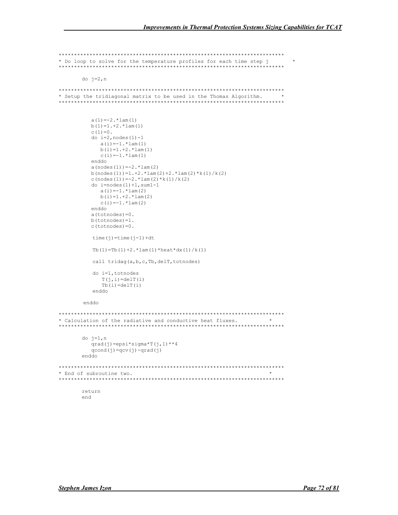```
* Do loop to solve for the temperature profiles for each time step j
                                                \stardo j=2,n* Setup the tridiagonal matrix to be used in the Thomas Algorithm.
a(1) = -2 \cdot \tan(1)b(1)=1.+2.+1 \star 1 am (1)
      C(1) = 0.
      do i=2, nodes (1) - 1a(i) = -1.*1am(1)b(i) = 1 + 2 \cdot \tan(i)C(i) = -1, * lam(1)
      enddo
      a (nodes (1)) = -2. *1am(2)b(nodes(1))=1.+2.+1am(2)+2.+1am(2)*k(1)/k(2)c(nodes(1)) = -2. \star lam(2) \star k(1)/k(2)
      do i=nodes(1) + 1, sum1 - 1a(i) = -1.*1am(2)b(i) = 1. + 2. * 1 am(2)c(i) = -1. * lam(2)
      enddo
      a(totnodes) = 0.b (totnodes)=1.
      c(totnodes)=0.
      time (j) = time (j-1) + dt
      Tb(1)=Tb(1)+2. * lam(1) * heat * dx(1) / k(1)
      call tridag(a,b,c,Tb,delT, totnodes)do i=1, totnodes
        T(j,i)=delT(i)Tb(i) = detT(i)enddo
    enddo
* Calculation of the radiative and conductive heat fluxes.
do j=1,nqrad(j)=epsi*sigma*T(j,1)**4
      qcond(j) = qcv(j) - grad(j)enddo
* End of subroutine two.
return
    end
```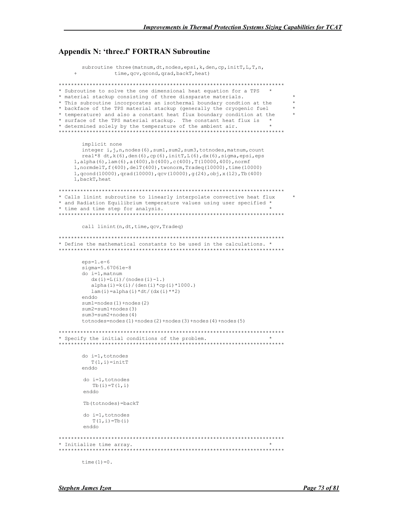#### Appendix N: 'three.f' FORTRAN Subroutine

```
subroutine three(matnum,dt,nodes,epsi,k,den,cp,initT,L,T,n,
                 time, qcv, qcond, qrad, backT, heat)
*************************************************************************
* Subroutine to solve the one dimensional heat equation for a TPS *
* material stackup consisting of three dissparate materials. *
* This subroutine incorporates an isothermal boundary condtion at the *
* backface of the TPS material stackup (generally the cryogenic fuel *
* temperature) and also a constant heat flux boundary condition at the *
* surface of the TPS material stackup. The constant heat flux is *
* determined solely by the temperature of the ambient air.
*************************************************************************
       implicit none
       integer i,j,n,nodes(6),sum1,sum2,sum3,totnodes,matnum,count
       real*8 dt, k(6), den(6), cp(6), initT, L(6), dx(6), sigma, epsi, eps
      1,alpha(6),lam(6),a(400),b(400),c(400),T(10000,400),normf
      1,normdelT,f(400),delT(400),twonorm,Tradeq(10000),time(10000)
      1,qcond(10000),qrad(10000),qcv(10000),g(24),obj,x(12),Tb(400)
     1,backT,heat
*************************************************************************
* Calls linint subroutine to linearly interpolate convective heat flux *
* and Radiation Equilibrium temperature values using user specified *
* time and time step for analysis. *
*************************************************************************
       call linint(n,dt,time, qcv, Tradeq)
*************************************************************************
* Define the mathematical constants to be used in the calculations. *
*************************************************************************
       eps=1.e-6
       sigma=5.67061e-8
       do i=1,matnum
          dx(i) = L(i) / (nodes(i) - 1.)alpha(i)=k(i)/(den(i)*cp(i)*1000.)
          lam(i)=alpha(i)*dt/(dx(i)**2) enddo
       sum1=nodes(1)+nodes(2)
       sum2=sum1+nodes(3)
       sum3=sum2+nodes(4)
       totnodes=nodes(1)+nodes(2)+nodes(3)+nodes(4)+nodes(5)
*************************************************************************
* Specify the initial conditions of the problem. *
    *************************************************************************
       do i=1,totnodes
         T(1,i)=initTenddo
        do i=1,totnodes
          Tb(i)=T(1, i)
         enddo
         Tb(totnodes)=backT
         do i=1,totnodes
         T(1, i) = Tb(i) enddo
*************************************************************************
* Initialize time array. *
*************************************************************************
       time(1)=0.
```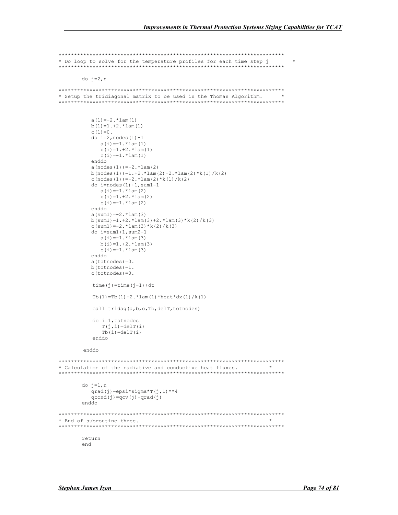```
* Do loop to solve for the temperature profiles for each time step j
      ********
     do j=2,n* Setup the tridiagonal matrix to be used in the Thomas Algorithm.
a(1) = -2 \cdot \tan(1)b(1)=1.+2.*1am(1)C(1) = 0.
       do i=2, nodes (1) - 1a(i) = -1.*lam(1)b(i) = 1 + 2 \cdot \tan(i)C(i) = -1, * lam(1)
       enddo
       a (nodes (1)) = -2. *1am(2)b(nodes (1))=1.+2.+1 am (2) +2. * 1 am (2) * k(1)/k(2)c(nodes(1)) = -2. * lam(2) * k(1)/k(2)do i=nodes(1) + 1, sum1 - 1a(i) = -1. * 1 am (2)
         b(i) = 1. +2.*lam(2)c(i) = -1. * lam(2)
       obhne
       a (sum1) = -2. *1am(3)b (sum1)=1.+2.*1am(3)+2.*1am(3)*k(2)/k(3)c(sum1)=-2.*lam(3)*k(2)/k(3)
       do i=sum1+1, sum2-1a(i) = -1.*1am(3)b(i) = 1. +2.*lam(3)
         c(i) = -1.*lam(3)enddo
       a(totnodes) = 0.b(totnodes)=1.
       c(totnodes) = 0.time (j) = time (j-1) + dtTb(1)=Tb(1)+2. *lam(1) *heat*dx(1) /k(1)
       call tridag(a,b,c,Tb,delT,totnodes)
       do i=1, totnodes
         T(j,i)=delT(i)Tb(i) = detT(i)enddo
     enddo
* Calculation of the radiative and conductive heat fluxes.
do i=1.n\text{grad}(j) = \text{epsi} \cdot \text{sign} \cdot \text{T}(j,1) \cdot \text{*4}qcond(j) = qcv(j) - grad(j)enddo
* End of subroutine three.
return
     end
```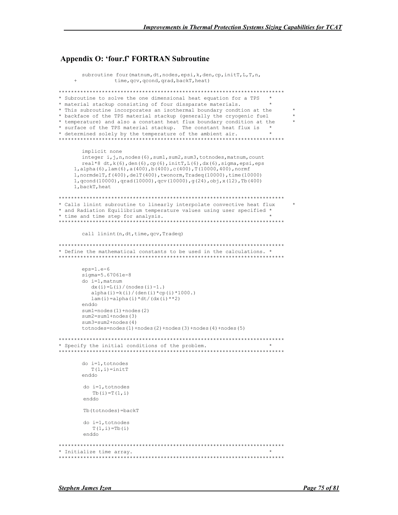## Appendix O: 'four.f' FORTRAN Subroutine

```
subroutine four(matnum,dt,nodes,epsi,k,den,cp,initT,L,T,n,
                 time, qcv, qcond, qrad, backT, heat)
*************************************************************************
* Subroutine to solve the one dimensional heat equation for a TPS *
* material stackup consisting of four dissparate materials. *
* This subroutine incorporates an isothermal boundary condtion at the *
* backface of the TPS material stackup (generally the cryogenic fuel *
* temperature) and also a constant heat flux boundary condition at the *
* surface of the TPS material stackup. The constant heat flux is *
* determined solely by the temperature of the ambient air. *
*************************************************************************
       implicit none
       integer i,j,n,nodes(6),sum1,sum2,sum3,totnodes,matnum,count
       real*8 dt,k(6),den(6),cp(6),initT,L(6),dx(6),sigma,epsi,eps
      1,alpha(6),lam(6),a(400),b(400),c(400),T(10000,400),normf
      1,normdelT,f(400),delT(400),twonorm,Tradeq(10000),time(10000)
      1,qcond(10000),qrad(10000),qcv(10000),g(24),obj,x(12),Tb(400)
      1,backT,heat
*************************************************************************
* Calls linint subroutine to linearly interpolate convective heat flux *
* and Radiation Equilibrium temperature values using user specified *
* time and time step for analysis. *
*************************************************************************
       call linint(n,dt,time, qcv, Tradeq)
*************************************************************************
* Define the mathematical constants to be used in the calculations. *
     *************************************************************************
       eps=1.e-6
       sigma=5.67061e-8
       do i=1,matnum
          dx(i) = L(i) / (nodes(i) - 1.)alpha(i)=k(i)/(den(i)*cp(i)*1000.)
          lam(i)=alpha(i)*dt/(dx(i)**2) enddo
       sum1=nodes(1)+nodes(2)
       sum2=sum1+nodes(3)
       sum3=sum2+nodes(4)
       totnodes=nodes(1)+nodes(2)+nodes(3)+nodes(4)+nodes(5)
*************************************************************************
* Specify the initial conditions of the problem. *
*************************************************************************
       do i=1,totnodes
         T(1,i)=\text{initT}enddo
        do i=1,totnodes
         Tb(i)=T(1, i) enddo
         Tb(totnodes)=backT
         do i=1,totnodes
         T(1, i) = Tb(i) enddo
*************************************************************************
* Initialize time array. *
*************************************************************************
```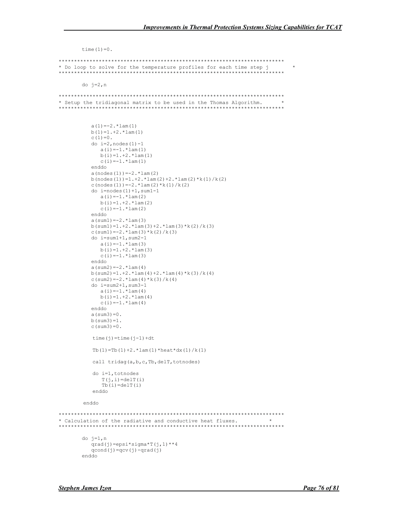```
time (1) = 0.
* Do loop to solve for the temperature profiles for each time step j
                                                                  \stardo i=2.n* Setup the tridiagonal matrix to be used in the Thomas Algorithm.
a(1) = -2 \cdot \tan(1)b(1)=1.+2.*1am(1)C(1) = 0.
         do i=2, nodes (1) - 1a(i) = -1.*1am(1)b(i) = 1.+2.*1am(1)c(i) = -1.*1am(1)endoa (nodes (1)) = -2. *1am(2)b (nodes (1) )=1+2 \cdot x \cdot 1 and (2) +2 \cdot x \cdot 1 and (2) * k (1) /k (2)<br>c (nodes (1) )=-2 \cdot x \cdot 1 and (2) * k (1) /k (2)
        do i=nodes(1) + 1, sum1 - 1a(i) = -1.*1am(2)b(i) = 1.+2.*1am(2)c(i) = -1.*1am(2)
         enddo
         a (sum1) = -2. * 1 am (3)b (sum1) = 1.+2.*1am(3)+2.*1am(3)*k(2)/k(3)c(sum1) = -2. * lam(3) * k(2) / k(3)
         do i=sum1+1, sum2-1
           a(i) = -1.*lam(3)b(i) = 1. +2. * 1am(3)c(i) = -1. * lam(3)
         enddo
         a (sum2) = -2. *1am(4)b (sum2) = 1. + 2. * lam (4) + 2. * lam (4) * k (3) / k (4)
         c(sum2)=-2.*lam(4)*k(3)/k(4)
         do i=sum2+1, sum3-1a(i) = -1.*1am (4)
           b(i) = 1. +2. * 1am(4)c(i) = -1, * lam(4)
         enddo
        a (sum3) = 0.b(sum3)=1.
        c(sum3) = 0.time (j) = time (j-1) + dt
         Tb(1)=Tb(1)+2. *lam(1) *heat*dx(1) /k(1)
         call tridag(a,b,c,Tb,delT,totnodes)
         do i=1, totnodes
           T(j,i) = \text{del}T(i)Tb(i) = detT(i)enddo
      enddo
* Calculation of the radiative and conductive heat fluxes.
******************
      do i=1.nqrad(j) =epsi*sigma*T(j, 1)**4
         qcond(j) = qcv(j) - grad(j)enddo
```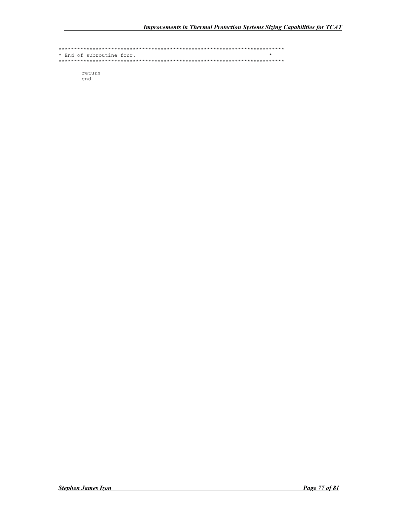return end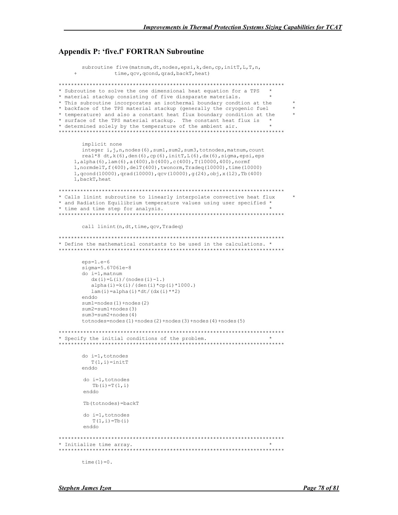#### Appendix P: 'five.f' FORTRAN Subroutine

```
subroutine five(matnum,dt,nodes,epsi,k,den,cp,initT,L,T,n,
                 time, qcv, qcond, qrad, backT, heat)
*************************************************************************
* Subroutine to solve the one dimensional heat equation for a TPS *
* material stackup consisting of five dissparate materials. *
* This subroutine incorporates an isothermal boundary condtion at the *
* backface of the TPS material stackup (generally the cryogenic fuel *
* temperature) and also a constant heat flux boundary condition at the *
* surface of the TPS material stackup. The constant heat flux is *
* determined solely by the temperature of the ambient air.
*************************************************************************
       implicit none
       integer i,j,n,nodes(6),sum1,sum2,sum3,totnodes,matnum,count
       real*8 dt, k(6), den(6), cp(6), initT, L(6), dx(6), sigma, epsi, eps
      1,alpha(6),lam(6),a(400),b(400),c(400),T(10000,400),normf
      1,normdelT,f(400),delT(400),twonorm,Tradeq(10000),time(10000)
      1,qcond(10000),qrad(10000),qcv(10000),g(24),obj,x(12),Tb(400)
     1,backT,heat
*************************************************************************
* Calls linint subroutine to linearly interpolate convective heat flux *
* and Radiation Equilibrium temperature values using user specified *
* time and time step for analysis. *
*************************************************************************
       call linint(n,dt,time, qcv, Tradeq)
*************************************************************************
* Define the mathematical constants to be used in the calculations. *
*************************************************************************
       eps=1.e-6
       sigma=5.67061e-8
       do i=1,matnum
          dx(i) = L(i) / (nodes(i) - 1.)alpha(i)=k(i)/(den(i)*cp(i)*1000.)
          lam(i)=alpha(i)*dt/(dx(i)**2) enddo
       sum1=nodes(1)+nodes(2)
       sum2=sum1+nodes(3)
       sum3=sum2+nodes(4)
       totnodes=nodes(1)+nodes(2)+nodes(3)+nodes(4)+nodes(5)
*************************************************************************
* Specify the initial conditions of the problem. *
    *************************************************************************
       do i=1,totnodes
         T(1,i)=initTenddo
        do i=1,totnodes
          Tb(i)=T(1, i)
         enddo
         Tb(totnodes)=backT
         do i=1,totnodes
         T(1, i) = Tb(i) enddo
*************************************************************************
* Initialize time array. *
*************************************************************************
       time(1)=0.
```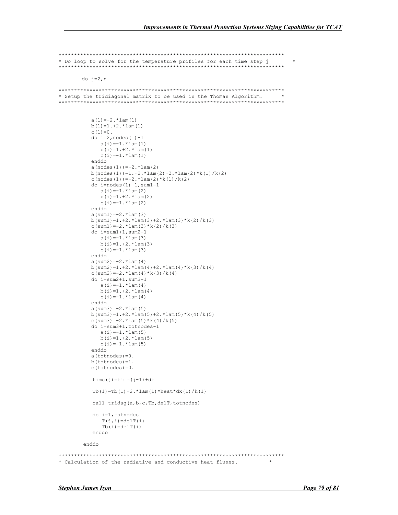```
* Do loop to solve for the temperature profiles for each time step j
       ********
      do j=2, n* Setup the tridiagonal matrix to be used in the Thomas Algorithm.
       a(1) = -2 \cdot \tan(1)b(1)=1.+2.*1am(1)C(1) = 0.
         do i=2, nodes (1) - 1a(i) = -1.*lam(1)b(i) = 1.+2.*1am(1)c(i) = -1, * lam(1)
         enddo
         a (nodes (1)) = -2. *1am(2)b(nodes (1))=1.+2. * lam(2) +2. * lam(2) * k(1)/k(2)
         c(nodes(1)) = -2. * lam(2) * k(1)/k(2)do i=nodes(1) + 1, sum1 - 1a(i) = -1. * 1 am (2)
           b(i) = 1.+2.*1am(2)c(i) = -1. * lam(2)
         enddo
         a (sum1) = -2. *1am(3)b (sum1)=1.+2.*1am(3)+2.*1am(3)*k(2)/k(3)c(sum1)=-2.*lam(3)*k(2)/k(3)
         do i=sum1+1, sum2-1a(i) = -1.*1am(3)b(i) = 1.+2.*1am(3)c(i) = -1.*1am (3)
         enddo
         a (sum2) = -2. *1am(4)b (sum2) = 1. +2. *1 am (4) +2. *1 am (4) *k (3) /k (4)c (sum2) = -2. \star lam (4) \star k (3) / k (4)
         do i=sum2+1, sum3-1
           a(i) = -1.*1am(4)b(i) = 1. +2. * 1am(4)c(i) = -1.*1am(4)
         endoa (sum3) = -2. *1am(5)b (sum3) = 1. +2. * 1am(5) +2. * 1am(5) * k(4)/k(5)c(sum3) = -2 \cdot \frac{\text{tan}(5) \cdot k(4)}{k(5)}do i=sum3+1, totnodes-1
           a(i) = -1.*1am(5)b(i) = 1. +2. * 1am(5)c(i) = -1.*1am (5)
         enddo
         a(totnodes) = 0.b(totnodes)=1.
         c(totnodes)=0.
         time (j) = time (j-1) + dt
         Tb(1)=Tb(1)+2. * lam(1) * heat * dx(1) / k(1)
         call tridag(a, b, c, Tb, delT, totnodes)
         do i=1, totnodes
            T(i,i) = detT(i)Tb(i) = detT(i)enddo
       enddo
* Calculation of the radiative and conductive heat fluxes.
                                                             \rightarrow
```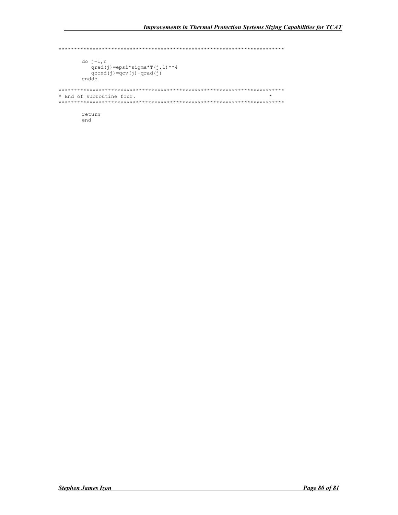```
do j=1,nqrad(j)=epsi*sigma*T(j,1)**4
  qcond(j) = qcv(j) - grad(j)enddo
return
 end
```